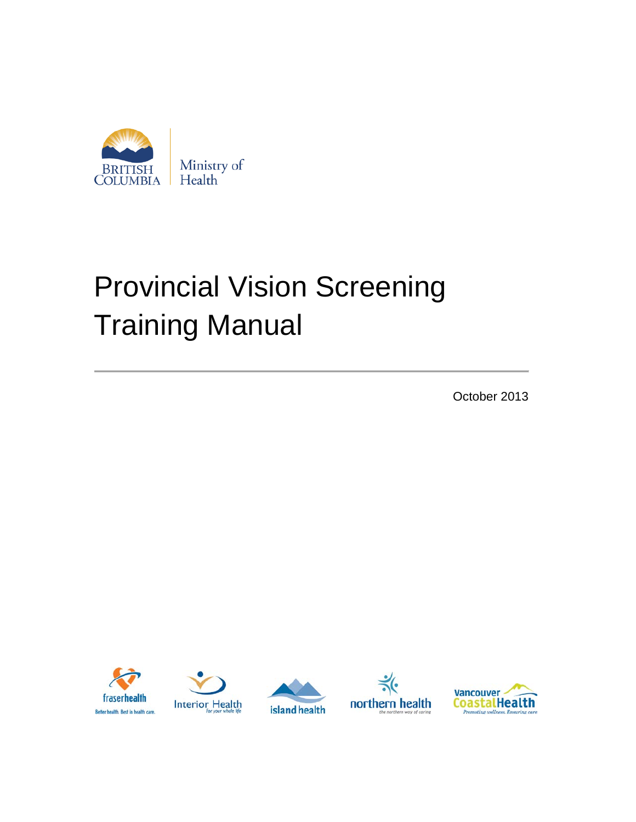

# Provincial Vision Screening Training Manual

October 2013







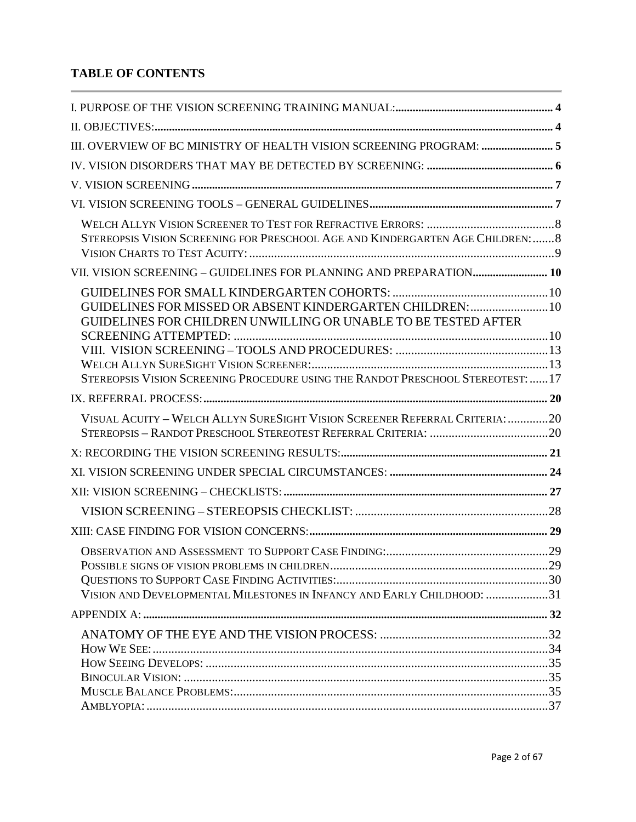# **TABLE OF CONTENTS**

| $\hfill \textbf{II. } \textbf{OBIECTIVES:} \textit{} \textit{} \textit{} \textit{} \textit{} \textit{} \textit{} \textit{} \textit{} \textit{} \textit{} \textit{} \textit{} \textit{} \textit{} \textit{} \textit{} \textit{} \textit{} \textit{} \textit{} \textit{} \textit{} \textit{} \textit{} \textit{} \textit{} \textit{} \textit{} \textit{} \textit{} \textit{} \textit{} \text$ |  |
|---------------------------------------------------------------------------------------------------------------------------------------------------------------------------------------------------------------------------------------------------------------------------------------------------------------------------------------------------------------------------------------------|--|
| III. OVERVIEW OF BC MINISTRY OF HEALTH VISION SCREENING PROGRAM: 5                                                                                                                                                                                                                                                                                                                          |  |
|                                                                                                                                                                                                                                                                                                                                                                                             |  |
|                                                                                                                                                                                                                                                                                                                                                                                             |  |
|                                                                                                                                                                                                                                                                                                                                                                                             |  |
| STEREOPSIS VISION SCREENING FOR PRESCHOOL AGE AND KINDERGARTEN AGE CHILDREN:  8                                                                                                                                                                                                                                                                                                             |  |
|                                                                                                                                                                                                                                                                                                                                                                                             |  |
| GUIDELINES FOR MISSED OR ABSENT KINDERGARTEN CHILDREN:  10<br>GUIDELINES FOR CHILDREN UNWILLING OR UNABLE TO BE TESTED AFTER<br>STEREOPSIS VISION SCREENING PROCEDURE USING THE RANDOT PRESCHOOL STEREOTEST:  17                                                                                                                                                                            |  |
|                                                                                                                                                                                                                                                                                                                                                                                             |  |
| VISUAL ACUITY - WELCH ALLYN SURESIGHT VISION SCREENER REFERRAL CRITERIA: 20                                                                                                                                                                                                                                                                                                                 |  |
|                                                                                                                                                                                                                                                                                                                                                                                             |  |
|                                                                                                                                                                                                                                                                                                                                                                                             |  |
|                                                                                                                                                                                                                                                                                                                                                                                             |  |
|                                                                                                                                                                                                                                                                                                                                                                                             |  |
|                                                                                                                                                                                                                                                                                                                                                                                             |  |
| VISION AND DEVELOPMENTAL MILESTONES IN INFANCY AND EARLY CHILDHOOD: 31                                                                                                                                                                                                                                                                                                                      |  |
|                                                                                                                                                                                                                                                                                                                                                                                             |  |
|                                                                                                                                                                                                                                                                                                                                                                                             |  |
|                                                                                                                                                                                                                                                                                                                                                                                             |  |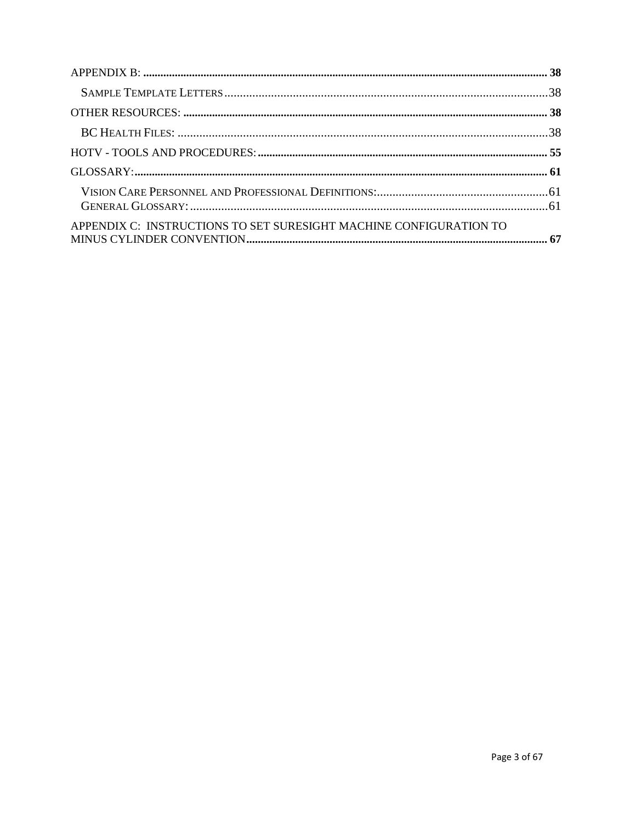| APPENDIX C: INSTRUCTIONS TO SET SURESIGHT MACHINE CONFIGURATION TO |  |
|--------------------------------------------------------------------|--|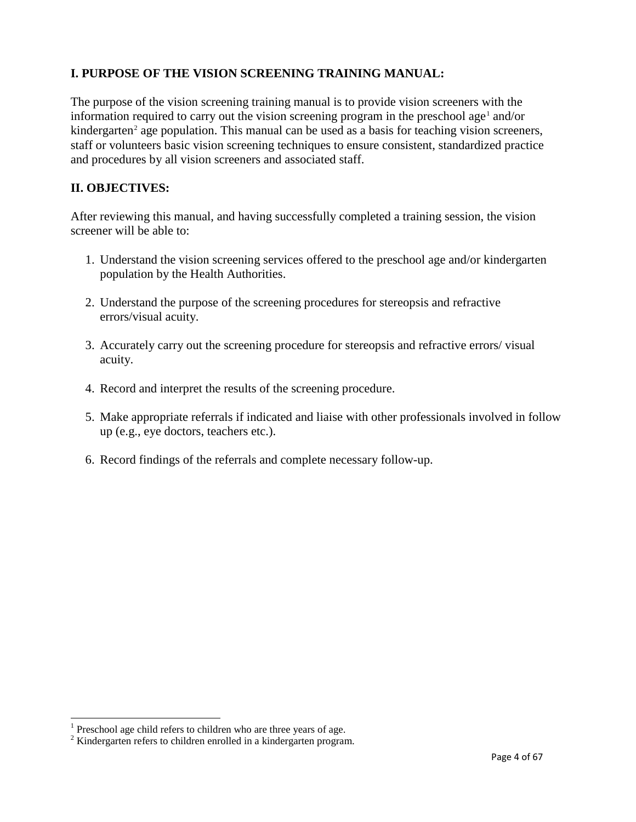# <span id="page-3-0"></span>**I. PURPOSE OF THE VISION SCREENING TRAINING MANUAL:**

The purpose of the vision screening training manual is to provide vision screeners with the information required to carry out the vision screening program in the preschool age<sup>[1](#page-3-2)</sup> and/or kindergarten<sup>[2](#page-3-3)</sup> age population. This manual can be used as a basis for teaching vision screeners, staff or volunteers basic vision screening techniques to ensure consistent, standardized practice and procedures by all vision screeners and associated staff.

# <span id="page-3-1"></span>**II. OBJECTIVES:**

After reviewing this manual, and having successfully completed a training session, the vision screener will be able to:

- 1. Understand the vision screening services offered to the preschool age and/or kindergarten population by the Health Authorities.
- 2. Understand the purpose of the screening procedures for stereopsis and refractive errors/visual acuity.
- 3. Accurately carry out the screening procedure for stereopsis and refractive errors/ visual acuity.
- 4. Record and interpret the results of the screening procedure.
- 5. Make appropriate referrals if indicated and liaise with other professionals involved in follow up (e.g., eye doctors, teachers etc.).
- 6. Record findings of the referrals and complete necessary follow-up.

<span id="page-3-2"></span><sup>&</sup>lt;sup>1</sup> Preschool age child refers to children who are three years of age.

<span id="page-3-3"></span><sup>&</sup>lt;sup>2</sup> Kindergarten refers to children enrolled in a kindergarten program.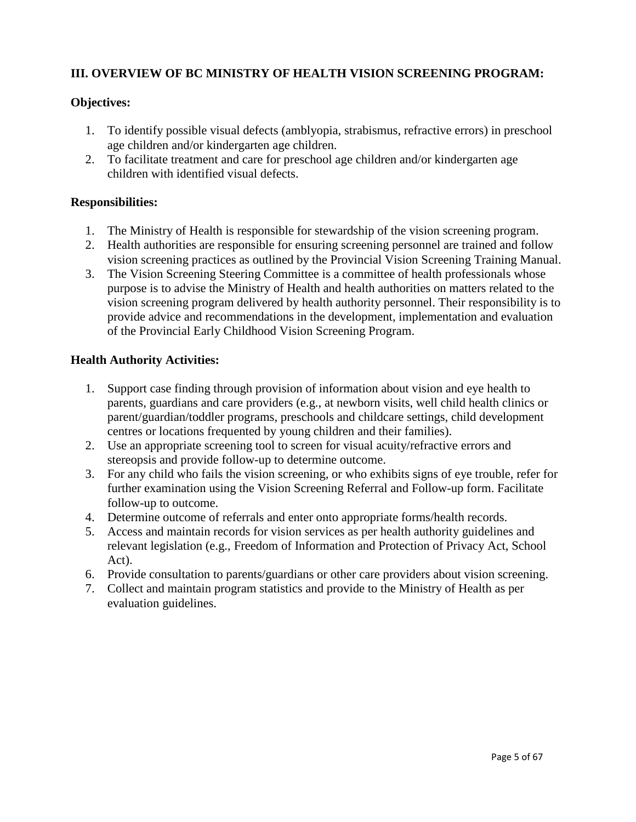# **III. OVERVIEW OF BC MINISTRY OF HEALTH VISION SCREENING PROGRAM:**

## **Objectives:**

- <span id="page-4-0"></span>1. To identify possible visual defects (amblyopia, strabismus, refractive errors) in preschool age children and/or kindergarten age children.
- 2. To facilitate treatment and care for preschool age children and/or kindergarten age children with identified visual defects.

#### **Responsibilities:**

- 1. The Ministry of Health is responsible for stewardship of the vision screening program.
- 2. Health authorities are responsible for ensuring screening personnel are trained and follow vision screening practices as outlined by the Provincial Vision Screening Training Manual.
- 3. The Vision Screening Steering Committee is a committee of health professionals whose purpose is to advise the Ministry of Health and health authorities on matters related to the vision screening program delivered by health authority personnel. Their responsibility is to provide advice and recommendations in the development, implementation and evaluation of the Provincial Early Childhood Vision Screening Program.

#### **Health Authority Activities:**

- 1. Support case finding through provision of information about vision and eye health to parents, guardians and care providers (e.g., at newborn visits, well child health clinics or parent/guardian/toddler programs, preschools and childcare settings, child development centres or locations frequented by young children and their families).
- 2. Use an appropriate screening tool to screen for visual acuity/refractive errors and stereopsis and provide follow-up to determine outcome.
- 3. For any child who fails the vision screening, or who exhibits signs of eye trouble, refer for further examination using the Vision Screening Referral and Follow-up form. Facilitate follow-up to outcome.
- 4. Determine outcome of referrals and enter onto appropriate forms/health records.
- 5. Access and maintain records for vision services as per health authority guidelines and relevant legislation (e.g., Freedom of Information and Protection of Privacy Act, School Act).
- 6. Provide consultation to parents/guardians or other care providers about vision screening.
- 7. Collect and maintain program statistics and provide to the Ministry of Health as per evaluation guidelines.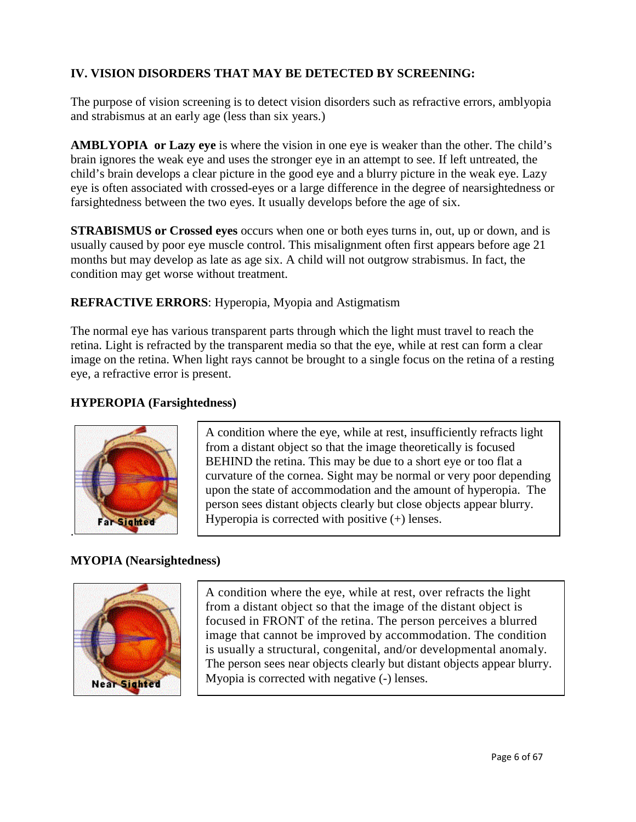# <span id="page-5-0"></span>**IV. VISION DISORDERS THAT MAY BE DETECTED BY SCREENING:**

The purpose of vision screening is to detect vision disorders such as refractive errors, amblyopia and strabismus at an early age (less than six years.)

**AMBLYOPIA or Lazy eye** is where the vision in one eye is weaker than the other. The child's brain ignores the weak eye and uses the stronger eye in an attempt to see. If left untreated, the child's brain develops a clear picture in the good eye and a blurry picture in the weak eye. Lazy eye is often associated with crossed-eyes or a large difference in the degree of nearsightedness or farsightedness between the two eyes. It usually develops before the age of six.

**STRABISMUS or Crossed eyes** occurs when one or both eyes turns in, out, up or down, and is usually caused by poor eye muscle control. This misalignment often first appears before age 21 months but may develop as late as age six. A child will not outgrow strabismus. In fact, the condition may get worse without treatment.

# **REFRACTIVE ERRORS**: Hyperopia, Myopia and Astigmatism

The normal eye has various transparent parts through which the light must travel to reach the retina. Light is refracted by the transparent media so that the eye, while at rest can form a clear image on the retina. When light rays cannot be brought to a single focus on the retina of a resting eye, a refractive error is present.

# **HYPEROPIA (Farsightedness)**



A condition where the eye, while at rest, insufficiently refracts light from a distant object so that the image theoretically is focused BEHIND the retina. This may be due to a short eye or too flat a curvature of the cornea. Sight may be normal or very poor depending upon the state of accommodation and the amount of hyperopia. The person sees distant objects clearly but close objects appear blurry. Hyperopia is corrected with positive (+) lenses.

# **MYOPIA (Nearsightedness)**



A condition where the eye, while at rest, over refracts the light from a distant object so that the image of the distant object is focused in FRONT of the retina. The person perceives a blurred image that cannot be improved by accommodation. The condition is usually a structural, congenital, and/or developmental anomaly. The person sees near objects clearly but distant objects appear blurry. Myopia is corrected with negative (-) lenses.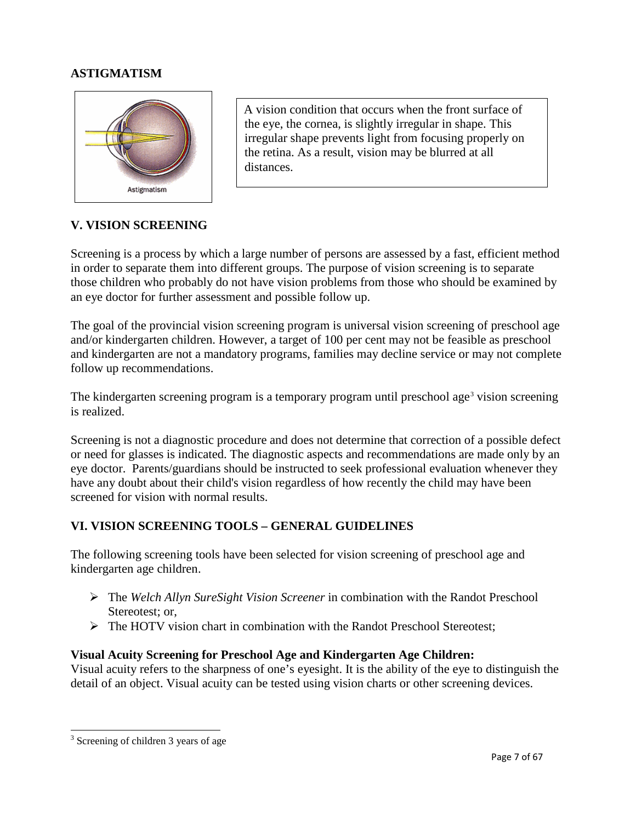## **ASTIGMATISM**



<span id="page-6-0"></span>A vision condition that occurs when the front surface of the eye, the cornea, is slightly irregular in shape. This irregular shape prevents light from focusing properly on the retina. As a result, vision may be blurred at all distances.

## **V. VISION SCREENING**

Screening is a process by which a large number of persons are assessed by a fast, efficient method in order to separate them into different groups. The purpose of vision screening is to separate those children who probably do not have vision problems from those who should be examined by an eye doctor for further assessment and possible follow up.

The goal of the provincial vision screening program is universal vision screening of preschool age and/or kindergarten children. However, a target of 100 per cent may not be feasible as preschool and kindergarten are not a mandatory programs, families may decline service or may not complete follow up recommendations.

The kindergarten screening program is a temporary program until preschool age<sup>[3](#page-6-2)</sup> vision screening is realized.

Screening is not a diagnostic procedure and does not determine that correction of a possible defect or need for glasses is indicated. The diagnostic aspects and recommendations are made only by an eye doctor. Parents/guardians should be instructed to seek professional evaluation whenever they have any doubt about their child's vision regardless of how recently the child may have been screened for vision with normal results.

## **VI. VISION SCREENING TOOLS – GENERAL GUIDELINES**

The following screening tools have been selected for vision screening of preschool age and kindergarten age children.

- <span id="page-6-1"></span> The *Welch Allyn SureSight Vision Screener* in combination with the Randot Preschool Stereotest: or,
- $\triangleright$  The HOTV vision chart in combination with the Randot Preschool Stereotest:

#### **Visual Acuity Screening for Preschool Age and Kindergarten Age Children:**

Visual acuity refers to the sharpness of one's eyesight. It is the ability of the eye to distinguish the detail of an object. Visual acuity can be tested using vision charts or other screening devices.

<span id="page-6-2"></span><sup>&</sup>lt;sup>3</sup> Screening of children 3 years of age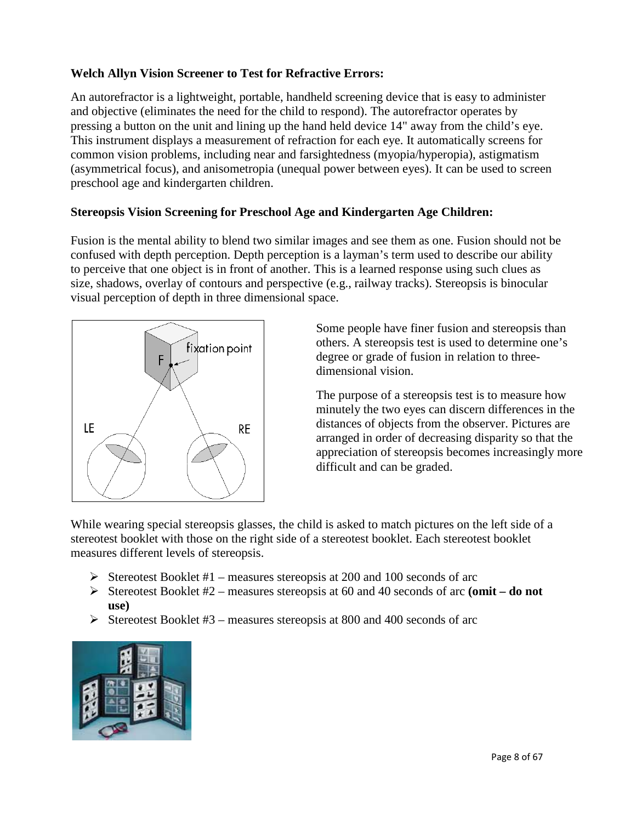# **Welch Allyn Vision Screener to Test for Refractive Errors:**

An autorefractor is a lightweight, portable, handheld screening device that is easy to administer and objective (eliminates the need for the child to respond). The autorefractor operates by pressing a button on the unit and lining up the hand held device 14" away from the child's eye. This instrument displays a measurement of refraction for each eye. It automatically screens for common vision problems, including near and farsightedness (myopia/hyperopia), astigmatism (asymmetrical focus), and anisometropia (unequal power between eyes). It can be used to screen preschool age and kindergarten children.

## **Stereopsis Vision Screening for Preschool Age and Kindergarten Age Children:**

Fusion is the mental ability to blend two similar images and see them as one. Fusion should not be confused with depth perception. Depth perception is a layman's term used to describe our ability to perceive that one object is in front of another. This is a learned response using such clues as size, shadows, overlay of contours and perspective (e.g., railway tracks). Stereopsis is binocular visual perception of depth in three dimensional space.



<span id="page-7-1"></span><span id="page-7-0"></span>Some people have finer fusion and stereopsis than others. A stereopsis test is used to determine one's degree or grade of fusion in relation to threedimensional vision.

The purpose of a stereopsis test is to measure how minutely the two eyes can discern differences in the distances of objects from the observer. Pictures are arranged in order of decreasing disparity so that the appreciation of stereopsis becomes increasingly more difficult and can be graded.

While wearing special stereopsis glasses, the child is asked to match pictures on the left side of a stereotest booklet with those on the right side of a stereotest booklet. Each stereotest booklet measures different levels of stereopsis.

- Stereotest Booklet  $#1$  measures stereopsis at 200 and 100 seconds of arc
- Stereotest Booklet #2 measures stereopsis at 60 and 40 seconds of arc **(omit – do not use)**
- Stereotest Booklet  $#3$  measures stereopsis at 800 and 400 seconds of arc

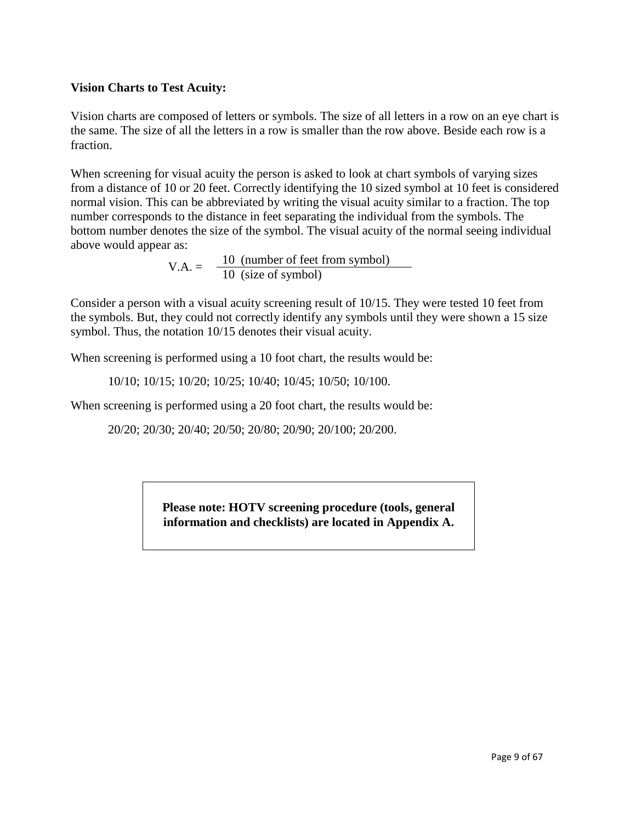#### <span id="page-8-0"></span>**Vision Charts to Test Acuity:**

Vision charts are composed of letters or symbols. The size of all letters in a row on an eye chart is the same. The size of all the letters in a row is smaller than the row above. Beside each row is a fraction.

When screening for visual acuity the person is asked to look at chart symbols of varying sizes from a distance of 10 or 20 feet. Correctly identifying the 10 sized symbol at 10 feet is considered normal vision. This can be abbreviated by writing the visual acuity similar to a fraction. The top number corresponds to the distance in feet separating the individual from the symbols. The bottom number denotes the size of the symbol. The visual acuity of the normal seeing individual above would appear as:

V.A. =  $\frac{10 \text{ (number of feet from symbol)}}{10 \text{ (size of symbol)}}$ 

Consider a person with a visual acuity screening result of 10/15. They were tested 10 feet from the symbols. But, they could not correctly identify any symbols until they were shown a 15 size symbol. Thus, the notation 10/15 denotes their visual acuity.

When screening is performed using a 10 foot chart, the results would be:

10/10; 10/15; 10/20; 10/25; 10/40; 10/45; 10/50; 10/100.

When screening is performed using a 20 foot chart, the results would be:

20/20; 20/30; 20/40; 20/50; 20/80; 20/90; 20/100; 20/200.

**Please note: HOTV screening procedure (tools, general information and checklists) are located in Appendix A.**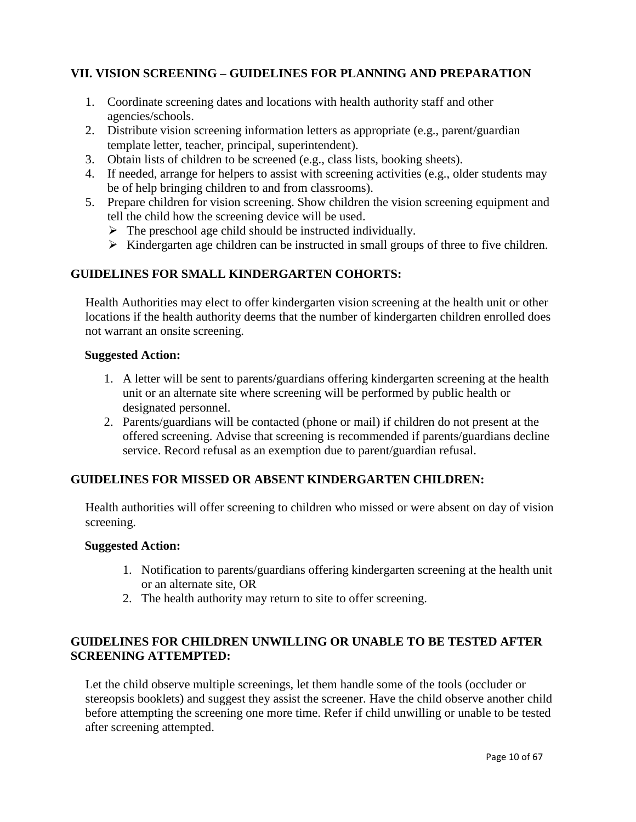## **VII. VISION SCREENING – GUIDELINES FOR PLANNING AND PREPARATION**

- <span id="page-9-0"></span>1. Coordinate screening dates and locations with health authority staff and other agencies/schools.
- 2. Distribute vision screening information letters as appropriate (e.g., parent/guardian template letter, teacher, principal, superintendent).
- 3. Obtain lists of children to be screened (e.g., class lists, booking sheets).
- 4. If needed, arrange for helpers to assist with screening activities (e.g., older students may be of help bringing children to and from classrooms).
- 5. Prepare children for vision screening. Show children the vision screening equipment and tell the child how the screening device will be used.
	- $\triangleright$  The preschool age child should be instructed individually.
	- $\triangleright$  Kindergarten age children can be instructed in small groups of three to five children.

## **GUIDELINES FOR SMALL KINDERGARTEN COHORTS:**

Health Authorities may elect to offer kindergarten vision screening at the health unit or other locations if the health authority deems that the number of kindergarten children enrolled does not warrant an onsite screening.

#### **Suggested Action:**

- <span id="page-9-1"></span>1. A letter will be sent to parents/guardians offering kindergarten screening at the health unit or an alternate site where screening will be performed by public health or designated personnel.
- 2. Parents/guardians will be contacted (phone or mail) if children do not present at the offered screening. Advise that screening is recommended if parents/guardians decline service. Record refusal as an exemption due to parent/guardian refusal.

## **GUIDELINES FOR MISSED OR ABSENT KINDERGARTEN CHILDREN:**

Health authorities will offer screening to children who missed or were absent on day of vision screening.

#### **Suggested Action:**

- <span id="page-9-2"></span>1. Notification to parents/guardians offering kindergarten screening at the health unit or an alternate site, OR
- <span id="page-9-3"></span>2. The health authority may return to site to offer screening.

## **GUIDELINES FOR CHILDREN UNWILLING OR UNABLE TO BE TESTED AFTER SCREENING ATTEMPTED:**

Let the child observe multiple screenings, let them handle some of the tools (occluder or stereopsis booklets) and suggest they assist the screener. Have the child observe another child before attempting the screening one more time. Refer if child unwilling or unable to be tested after screening attempted.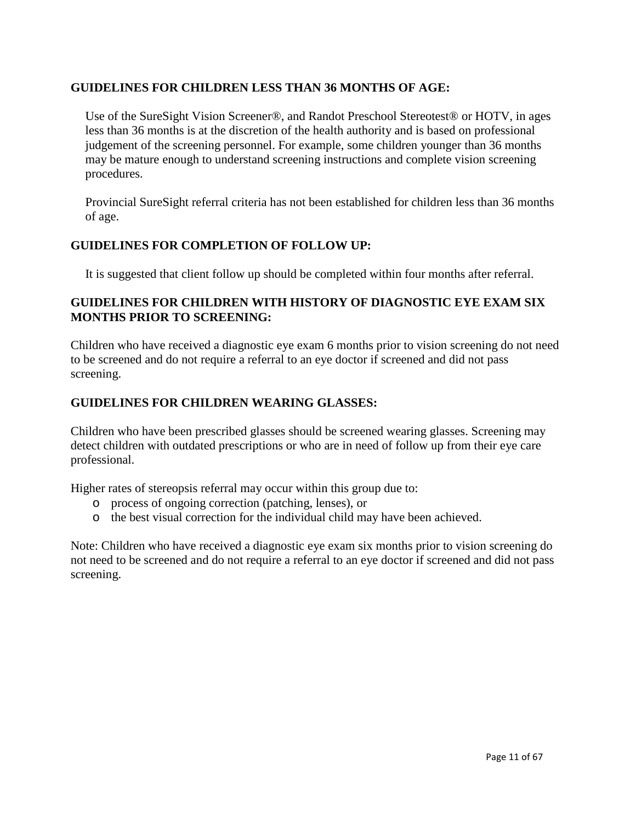## **GUIDELINES FOR CHILDREN LESS THAN 36 MONTHS OF AGE:**

Use of the SureSight Vision Screener®, and Randot Preschool Stereotest® or HOTV, in ages less than 36 months is at the discretion of the health authority and is based on professional judgement of the screening personnel. For example, some children younger than 36 months may be mature enough to understand screening instructions and complete vision screening procedures.

Provincial SureSight referral criteria has not been established for children less than 36 months of age.

## **GUIDELINES FOR COMPLETION OF FOLLOW UP:**

It is suggested that client follow up should be completed within four months after referral.

## **GUIDELINES FOR CHILDREN WITH HISTORY OF DIAGNOSTIC EYE EXAM SIX MONTHS PRIOR TO SCREENING:**

Children who have received a diagnostic eye exam 6 months prior to vision screening do not need to be screened and do not require a referral to an eye doctor if screened and did not pass screening.

## **GUIDELINES FOR CHILDREN WEARING GLASSES:**

Children who have been prescribed glasses should be screened wearing glasses. Screening may detect children with outdated prescriptions or who are in need of follow up from their eye care professional.

Higher rates of stereopsis referral may occur within this group due to:

- o process of ongoing correction (patching, lenses), or
- o the best visual correction for the individual child may have been achieved.

Note: Children who have received a diagnostic eye exam six months prior to vision screening do not need to be screened and do not require a referral to an eye doctor if screened and did not pass screening.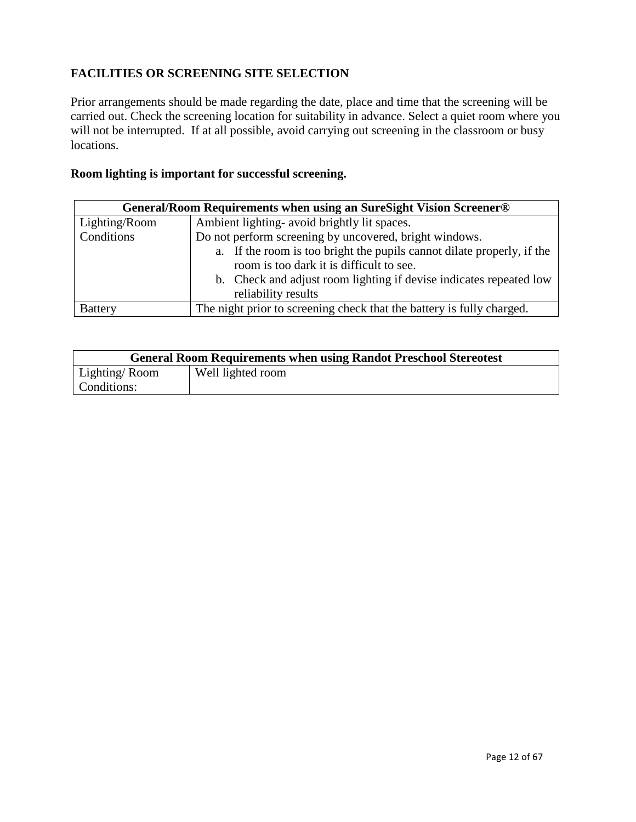# **FACILITIES OR SCREENING SITE SELECTION**

Prior arrangements should be made regarding the date, place and time that the screening will be carried out. Check the screening location for suitability in advance. Select a quiet room where you will not be interrupted. If at all possible, avoid carrying out screening in the classroom or busy locations.

# **Room lighting is important for successful screening.**

| General/Room Requirements when using an SureSight Vision Screener <sup>®</sup> |                                                                                                                    |  |  |  |  |
|--------------------------------------------------------------------------------|--------------------------------------------------------------------------------------------------------------------|--|--|--|--|
| Lighting/Room                                                                  | Ambient lighting- avoid brightly lit spaces.                                                                       |  |  |  |  |
| Conditions                                                                     | Do not perform screening by uncovered, bright windows.                                                             |  |  |  |  |
|                                                                                | a. If the room is too bright the pupils cannot dilate properly, if the<br>room is too dark it is difficult to see. |  |  |  |  |
|                                                                                | b. Check and adjust room lighting if devise indicates repeated low<br>reliability results                          |  |  |  |  |
| <b>Battery</b>                                                                 | The night prior to screening check that the battery is fully charged.                                              |  |  |  |  |

|                | <b>General Room Requirements when using Randot Preschool Stereotest</b> |
|----------------|-------------------------------------------------------------------------|
| Lighting/ Room | Well lighted room                                                       |
| Conditions:    |                                                                         |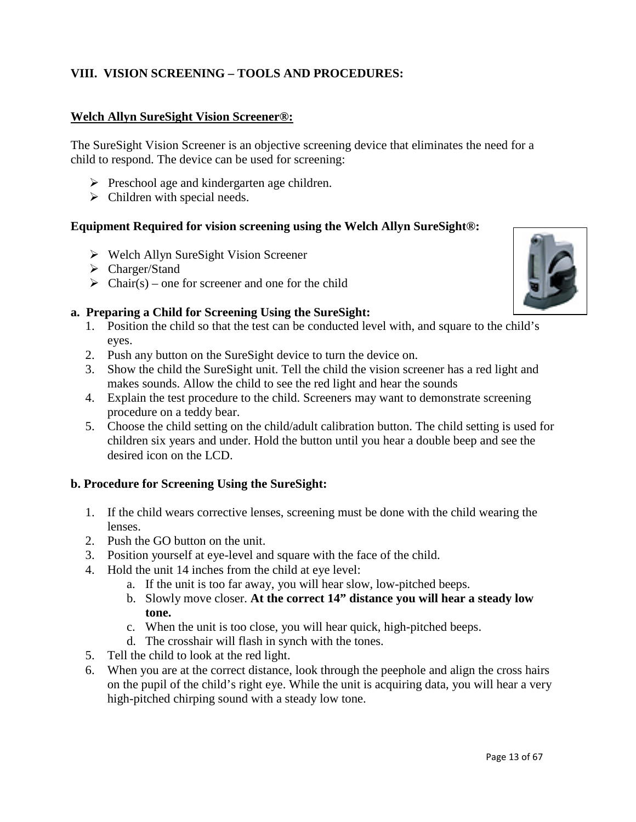# **VIII. VISION SCREENING – TOOLS AND PROCEDURES:**

#### **Welch Allyn SureSight Vision Screener®:**

The SureSight Vision Screener is an objective screening device that eliminates the need for a child to respond. The device can be used for screening:

- <span id="page-12-1"></span> $\triangleright$  Preschool age and kindergarten age children.
- $\triangleright$  Children with special needs.

#### **Equipment Required for vision screening using the Welch Allyn SureSight®:**

- Welch Allyn SureSight Vision Screener
- > Charger/Stand
- $\triangleright$  Chair(s) one for screener and one for the child

## **a. Preparing a Child for Screening Using the SureSight:**

- 1. Position the child so that the test can be conducted level with, and square to the child's eyes.
- 2. Push any button on the SureSight device to turn the device on.
- 3. Show the child the SureSight unit. Tell the child the vision screener has a red light and makes sounds. Allow the child to see the red light and hear the sounds
- 4. Explain the test procedure to the child. Screeners may want to demonstrate screening procedure on a teddy bear.
- 5. Choose the child setting on the child/adult calibration button. The child setting is used for children six years and under. Hold the button until you hear a double beep and see the desired icon on the LCD.

#### **b. Procedure for Screening Using the SureSight:**

- 1. If the child wears corrective lenses, screening must be done with the child wearing the lenses.
- 2. Push the GO button on the unit.
- 3. Position yourself at eye-level and square with the face of the child.
- 4. Hold the unit 14 inches from the child at eye level:
	- a. If the unit is too far away, you will hear slow, low-pitched beeps.
	- b. Slowly move closer. **At the correct 14" distance you will hear a steady low tone.**
	- c. When the unit is too close, you will hear quick, high-pitched beeps.
	- d. The crosshair will flash in synch with the tones.
- 5. Tell the child to look at the red light.
- 6. When you are at the correct distance, look through the peephole and align the cross hairs on the pupil of the child's right eye. While the unit is acquiring data, you will hear a very high-pitched chirping sound with a steady low tone.

<span id="page-12-0"></span>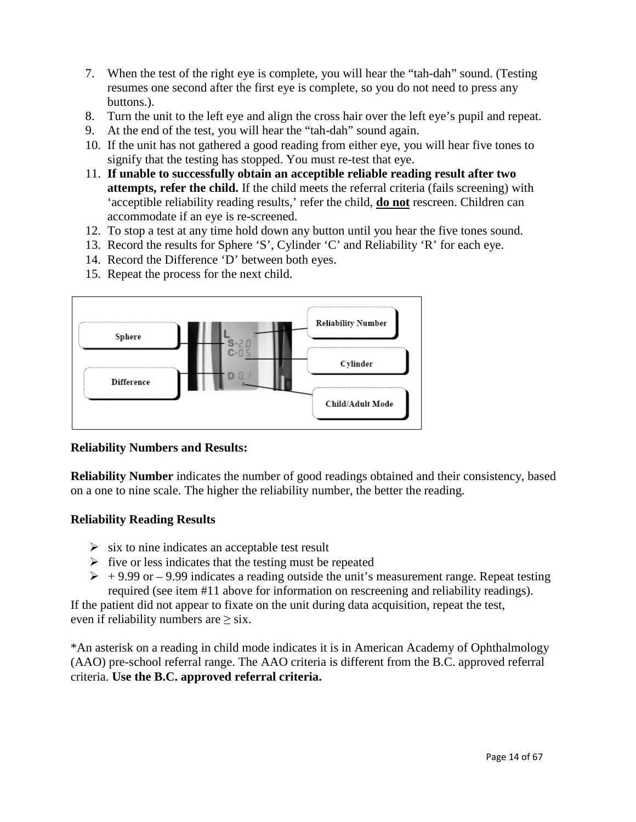- 7. When the test of the right eye is complete, you will hear the "tah-dah" sound. (Testing resumes one second after the first eye is complete, so you do not need to press any buttons.).
- 8. Turn the unit to the left eye and align the cross hair over the left eye's pupil and repeat.
- 9. At the end of the test, you will hear the "tah-dah" sound again.
- 10. If the unit has not gathered a good reading from either eye, you will hear five tones to signify that the testing has stopped. You must re-test that eye.
- 11. **If unable to successfully obtain an acceptible reliable reading result after two attempts, refer the child.** If the child meets the referral criteria (fails screening) with 'acceptible reliability reading results,' refer the child, **do not** rescreen. Children can accommodate if an eye is re-screened.
- 12. To stop a test at any time hold down any button until you hear the five tones sound.
- 13. Record the results for Sphere 'S', Cylinder 'C' and Reliability 'R' for each eye.
- 14. Record the Difference 'D' between both eyes.
- 15. Repeat the process for the next child.



#### **Reliability Numbers and Results:**

**Reliability Number** indicates the number of good readings obtained and their consistency, based on a one to nine scale. The higher the reliability number, the better the reading.

## **Reliability Reading Results**

- $\triangleright$  six to nine indicates an acceptable test result
- $\triangleright$  five or less indicates that the testing must be repeated
- $\rightarrow$  + 9.99 or 9.99 indicates a reading outside the unit's measurement range. Repeat testing required (see item #11 above for information on rescreening and reliability readings).

If the patient did not appear to fixate on the unit during data acquisition, repeat the test, even if reliability numbers are  $\geq$  six.

\*An asterisk on a reading in child mode indicates it is in American Academy of Ophthalmology (AAO) pre-school referral range. The AAO criteria is different from the B.C. approved referral criteria. **Use the B.C. approved referral criteria.**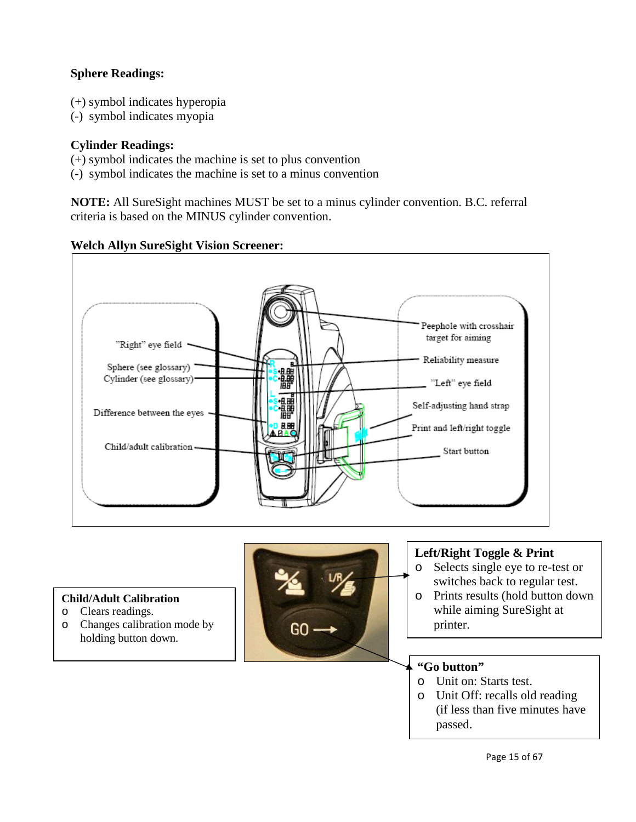# **Sphere Readings:**

- (+) symbol indicates hyperopia
- (-) symbol indicates myopia

## **Cylinder Readings:**

- (+) symbol indicates the machine is set to plus convention
- (-) symbol indicates the machine is set to a minus convention

**NOTE:** All SureSight machines MUST be set to a minus cylinder convention. B.C. referral criteria is based on the MINUS cylinder convention.





# **Child/Adult Calibration**

- o Clears readings.
- o Changes calibration mode by holding button down.



#### **Left/Right Toggle & Print**

- o Selects single eye to re-test or switches back to regular test.
- o Prints results (hold button down while aiming SureSight at printer.

## **"Go button"**

- o Unit on: Starts test.
- o Unit Off: recalls old reading (if less than five minutes have passed.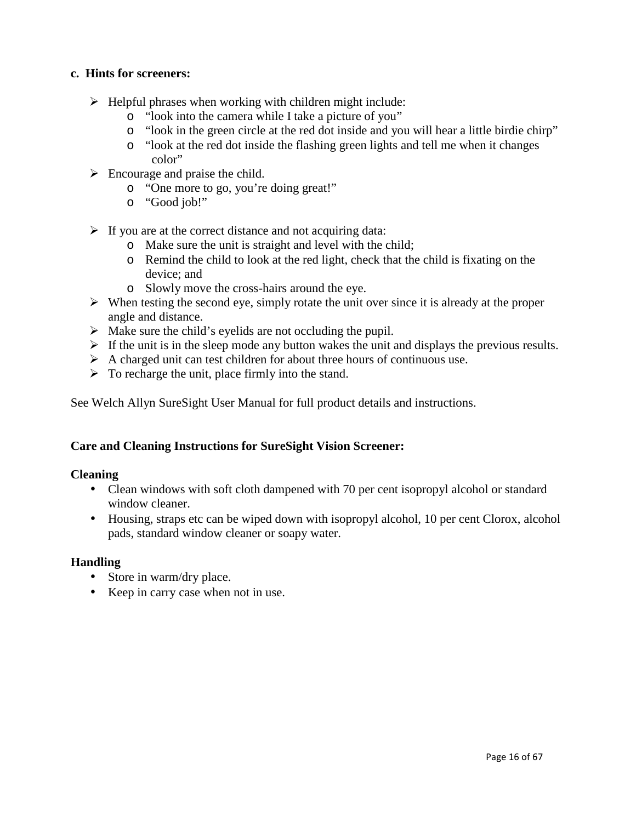#### **c. Hints for screeners:**

- $\triangleright$  Helpful phrases when working with children might include:
	- o "look into the camera while I take a picture of you"
	- o "look in the green circle at the red dot inside and you will hear a little birdie chirp"
	- o "look at the red dot inside the flashing green lights and tell me when it changes color"
- $\triangleright$  Encourage and praise the child.
	- o "One more to go, you're doing great!"
	- o "Good job!"
- $\triangleright$  If you are at the correct distance and not acquiring data:
	- o Make sure the unit is straight and level with the child;
	- o Remind the child to look at the red light, check that the child is fixating on the device; and
	- o Slowly move the cross-hairs around the eye.
- $\triangleright$  When testing the second eye, simply rotate the unit over since it is already at the proper angle and distance.
- $\triangleright$  Make sure the child's eyelids are not occluding the pupil.
- $\triangleright$  If the unit is in the sleep mode any button wakes the unit and displays the previous results.
- $\triangleright$  A charged unit can test children for about three hours of continuous use.
- $\triangleright$  To recharge the unit, place firmly into the stand.

See Welch Allyn SureSight User Manual for full product details and instructions.

#### **Care and Cleaning Instructions for SureSight Vision Screener:**

#### **Cleaning**

- Clean windows with soft cloth dampened with 70 per cent isopropyl alcohol or standard window cleaner.
- Housing, straps etc can be wiped down with isopropyl alcohol, 10 per cent Clorox, alcohol pads, standard window cleaner or soapy water.

#### **Handling**

- Store in warm/dry place.
- Keep in carry case when not in use.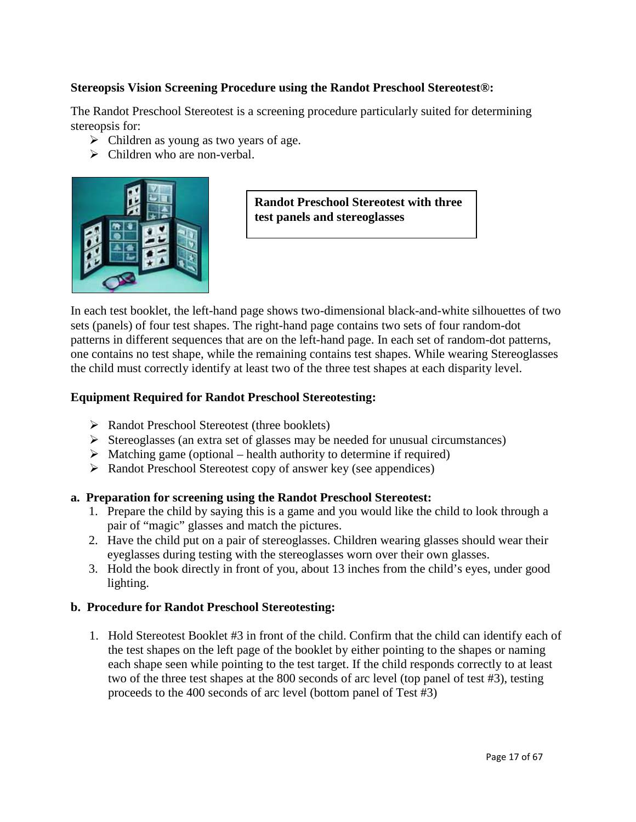## **Stereopsis Vision Screening Procedure using the Randot Preschool Stereotest®:**

The Randot Preschool Stereotest is a screening procedure particularly suited for determining stereopsis for:

- $\triangleright$  Children as young as two years of age.
- $\triangleright$  Children who are non-verbal.



<span id="page-16-0"></span>**Randot Preschool Stereotest with three test panels and stereoglasses**

In each test booklet, the left-hand page shows two-dimensional black-and-white silhouettes of two sets (panels) of four test shapes. The right-hand page contains two sets of four random-dot patterns in different sequences that are on the left-hand page. In each set of random-dot patterns, one contains no test shape, while the remaining contains test shapes. While wearing Stereoglasses the child must correctly identify at least two of the three test shapes at each disparity level.

#### **Equipment Required for Randot Preschool Stereotesting:**

- Randot Preschool Stereotest (three booklets)
- $\triangleright$  Stereoglasses (an extra set of glasses may be needed for unusual circumstances)
- $\triangleright$  Matching game (optional health authority to determine if required)
- $\triangleright$  Randot Preschool Stereotest copy of answer key (see appendices)

#### **a. Preparation for screening using the Randot Preschool Stereotest:**

- 1. Prepare the child by saying this is a game and you would like the child to look through a pair of "magic" glasses and match the pictures.
- 2. Have the child put on a pair of stereoglasses. Children wearing glasses should wear their eyeglasses during testing with the stereoglasses worn over their own glasses.
- 3. Hold the book directly in front of you, about 13 inches from the child's eyes, under good lighting.

#### **b. Procedure for Randot Preschool Stereotesting:**

1. Hold Stereotest Booklet #3 in front of the child. Confirm that the child can identify each of the test shapes on the left page of the booklet by either pointing to the shapes or naming each shape seen while pointing to the test target. If the child responds correctly to at least two of the three test shapes at the 800 seconds of arc level (top panel of test #3), testing proceeds to the 400 seconds of arc level (bottom panel of Test #3)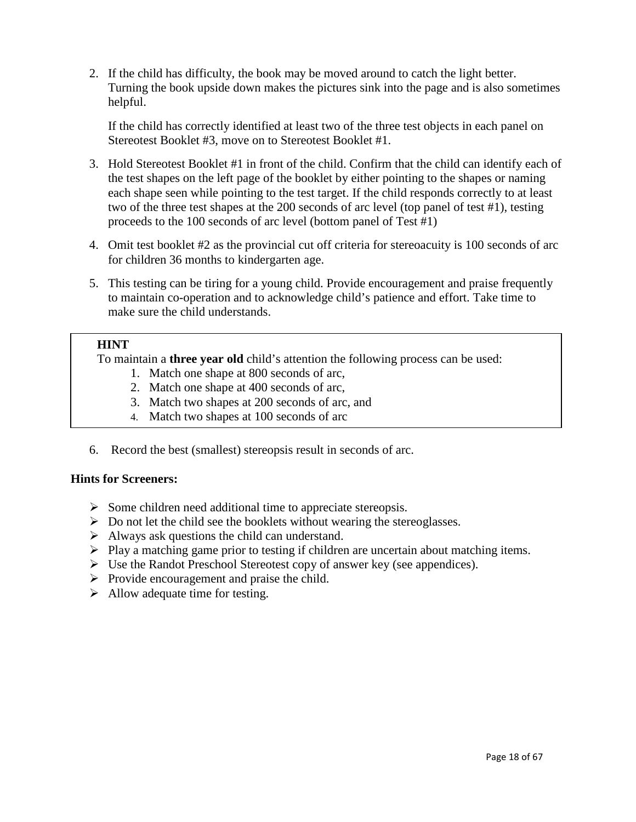2. If the child has difficulty, the book may be moved around to catch the light better. Turning the book upside down makes the pictures sink into the page and is also sometimes helpful.

If the child has correctly identified at least two of the three test objects in each panel on Stereotest Booklet #3, move on to Stereotest Booklet #1.

- 3. Hold Stereotest Booklet #1 in front of the child. Confirm that the child can identify each of the test shapes on the left page of the booklet by either pointing to the shapes or naming each shape seen while pointing to the test target. If the child responds correctly to at least two of the three test shapes at the 200 seconds of arc level (top panel of test #1), testing proceeds to the 100 seconds of arc level (bottom panel of Test #1)
- 4. Omit test booklet #2 as the provincial cut off criteria for stereoacuity is 100 seconds of arc for children 36 months to kindergarten age.
- 5. This testing can be tiring for a young child. Provide encouragement and praise frequently to maintain co-operation and to acknowledge child's patience and effort. Take time to make sure the child understands.

## **HINT**

To maintain a **three year old** child's attention the following process can be used:

- 1. Match one shape at 800 seconds of arc,
- 2. Match one shape at 400 seconds of arc,
- 3. Match two shapes at 200 seconds of arc, and
- 4. Match two shapes at 100 seconds of arc
- 6. Record the best (smallest) stereopsis result in seconds of arc.

## **Hints for Screeners:**

- $\triangleright$  Some children need additional time to appreciate stereopsis.
- $\triangleright$  Do not let the child see the booklets without wearing the stereoglasses.
- $\triangleright$  Always ask questions the child can understand.
- $\triangleright$  Play a matching game prior to testing if children are uncertain about matching items.
- $\triangleright$  Use the Randot Preschool Stereotest copy of answer key (see appendices).
- $\triangleright$  Provide encouragement and praise the child.
- $\triangleright$  Allow adequate time for testing.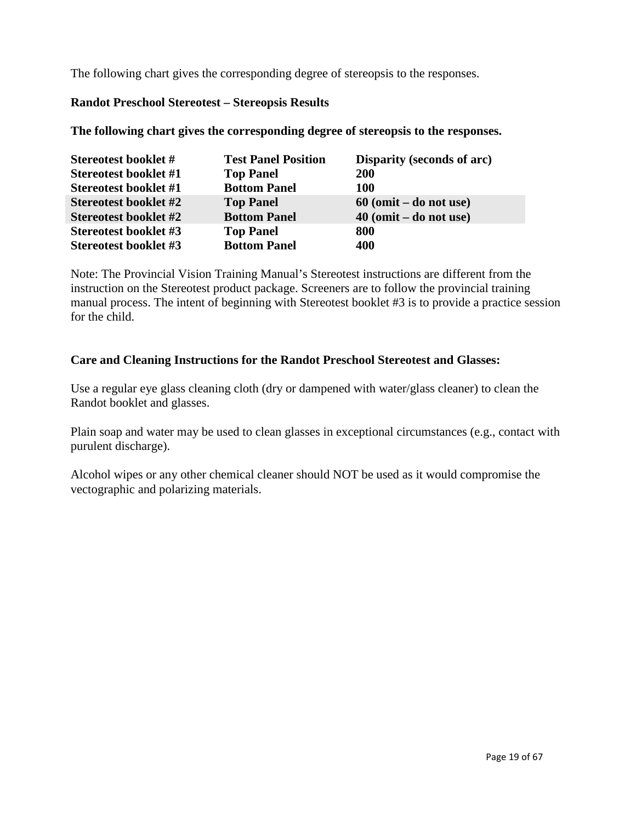The following chart gives the corresponding degree of stereopsis to the responses.

#### **Randot Preschool Stereotest – Stereopsis Results**

**The following chart gives the corresponding degree of stereopsis to the responses.**

| Stereotest booklet #         | <b>Test Panel Position</b> | <b>Disparity (seconds of arc)</b> |
|------------------------------|----------------------------|-----------------------------------|
| <b>Stereotest booklet #1</b> | <b>Top Panel</b>           | <b>200</b>                        |
| <b>Stereotest booklet #1</b> | <b>Bottom Panel</b>        | 100                               |
| <b>Stereotest booklet #2</b> | <b>Top Panel</b>           | $60$ (omit – do not use)          |
| <b>Stereotest booklet #2</b> | <b>Bottom Panel</b>        | $40$ (omit – do not use)          |
| Stereotest booklet #3        | <b>Top Panel</b>           | 800                               |
| Stereotest booklet #3        | <b>Bottom Panel</b>        | 400                               |

Note: The Provincial Vision Training Manual's Stereotest instructions are different from the instruction on the Stereotest product package. Screeners are to follow the provincial training manual process. The intent of beginning with Stereotest booklet #3 is to provide a practice session for the child.

#### **Care and Cleaning Instructions for the Randot Preschool Stereotest and Glasses:**

Use a regular eye glass cleaning cloth (dry or dampened with water/glass cleaner) to clean the Randot booklet and glasses.

Plain soap and water may be used to clean glasses in exceptional circumstances (e.g., contact with purulent discharge).

Alcohol wipes or any other chemical cleaner should NOT be used as it would compromise the vectographic and polarizing materials.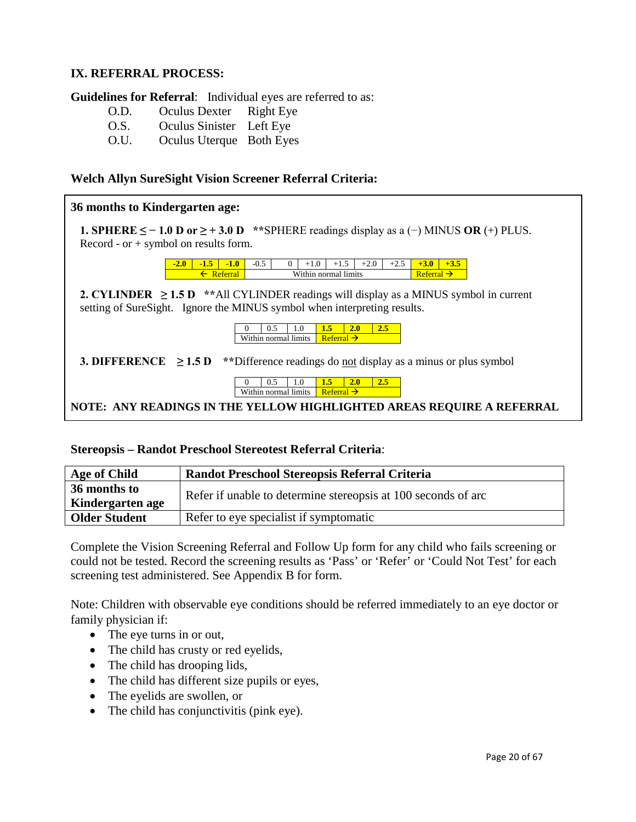## **IX. REFERRAL PROCESS:**

**Guidelines for Referral**: Individual eyes are referred to as:

- <span id="page-19-0"></span>O.D. Oculus Dexter Right Eye<br>O.S. Oculus Sinister Left Eve
- Oculus Sinister Left Eye
- <span id="page-19-1"></span>O.U. Oculus Uterque Both Eyes

#### **Welch Allyn SureSight Vision Screener Referral Criteria:**

| 36 months to Kindergarten age:                                                                                                                                                          |  |  |  |  |
|-----------------------------------------------------------------------------------------------------------------------------------------------------------------------------------------|--|--|--|--|
| <b>1. SPHERE <math>\leq</math> - 1.0 D or <math>\geq</math> + 3.0 D</b> **SPHERE readings display as a (-) MINUS <b>OR</b> (+) PLUS.<br>$Record - or + symbol on results form.$         |  |  |  |  |
| $-1.0$<br>$-0.5$<br>$+2.5$<br>$-2.0$<br>$-1.5$<br>$+1.5$<br>$+2.0$<br>$+3.0$<br>$+3.5$<br>$\Omega$<br>$+1.0$<br>$\leftarrow$ Referral<br>Within normal limits<br>Referral $\rightarrow$ |  |  |  |  |
| <b>2. CYLINDER</b> $\geq$ 1.5 D **All CYLINDER readings will display as a MINUS symbol in current<br>setting of SureSight. Ignore the MINUS symbol when interpreting results.           |  |  |  |  |
| 1.5<br>2.0<br>2.5<br>1.0<br>0.5<br>Referral $\rightarrow$<br>Within normal limits                                                                                                       |  |  |  |  |
| <b>3. DIFFERENCE</b> $\geq 1.5$ <b>D</b> **Difference readings do <u>not</u> display as a minus or plus symbol                                                                          |  |  |  |  |
| 1.5<br>2.5<br>1.0<br>2.0<br>0.5<br>0<br>Referral $\rightarrow$<br>Within normal limits                                                                                                  |  |  |  |  |
| NOTE: ANY READINGS IN THE YELLOW HIGHLIGHTED AREAS REQUIRE A REFERRAL                                                                                                                   |  |  |  |  |

#### <span id="page-19-2"></span>**Stereopsis – Randot Preschool Stereotest Referral Criteria**:

| Age of Child                     | Randot Preschool Stereopsis Referral Criteria                 |
|----------------------------------|---------------------------------------------------------------|
| 36 months to<br>Kindergarten age | Refer if unable to determine stereopsis at 100 seconds of arc |
| <b>Older Student</b>             | Refer to eye specialist if symptomatic                        |

Complete the Vision Screening Referral and Follow Up form for any child who fails screening or could not be tested. Record the screening results as 'Pass' or 'Refer' or 'Could Not Test' for each screening test administered. See Appendix B for form.

Note: Children with observable eye conditions should be referred immediately to an eye doctor or family physician if:

- The eye turns in or out,
- The child has crusty or red eyelids,
- The child has drooping lids,
- The child has different size pupils or eyes,
- The eyelids are swollen, or
- The child has conjunctivitis (pink eye).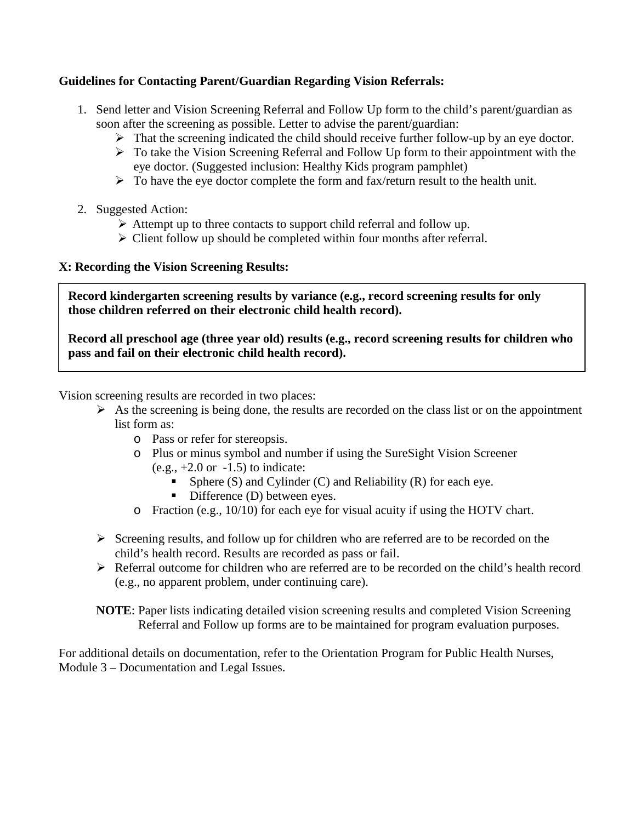# **Guidelines for Contacting Parent/Guardian Regarding Vision Referrals:**

- 1. Send letter and Vision Screening Referral and Follow Up form to the child's parent/guardian as soon after the screening as possible. Letter to advise the parent/guardian:
	- $\triangleright$  That the screening indicated the child should receive further follow-up by an eye doctor.
	- $\triangleright$  To take the Vision Screening Referral and Follow Up form to their appointment with the eye doctor. (Suggested inclusion: Healthy Kids program pamphlet)
	- $\triangleright$  To have the eye doctor complete the form and fax/return result to the health unit.
- 2. Suggested Action:
	- $\triangleright$  Attempt up to three contacts to support child referral and follow up.
	- $\triangleright$  Client follow up should be completed within four months after referral.

# **X: Recording the Vision Screening Results:**

**Record kindergarten screening results by variance (e.g., record screening results for only those children referred on their electronic child health record).**

**Record all preschool age (three year old) results (e.g., record screening results for children who pass and fail on their electronic child health record).**

Vision screening results are recorded in two places:

- <span id="page-20-0"></span> $\triangleright$  As the screening is being done, the results are recorded on the class list or on the appointment list form as:
	- o Pass or refer for stereopsis.
	- o Plus or minus symbol and number if using the SureSight Vision Screener  $(e.g., +2.0 \text{ or } -1.5)$  to indicate:
		- Sphere  $(S)$  and Cylinder  $(C)$  and Reliability  $(R)$  for each eye.
		- $\blacksquare$  Difference (D) between eyes.
	- o Fraction (e.g., 10/10) for each eye for visual acuity if using the HOTV chart.
- $\triangleright$  Screening results, and follow up for children who are referred are to be recorded on the child's health record. Results are recorded as pass or fail.
- $\triangleright$  Referral outcome for children who are referred are to be recorded on the child's health record (e.g., no apparent problem, under continuing care).

**NOTE**: Paper lists indicating detailed vision screening results and completed Vision Screening Referral and Follow up forms are to be maintained for program evaluation purposes.

For additional details on documentation, refer to the Orientation Program for Public Health Nurses, Module 3 – Documentation and Legal Issues.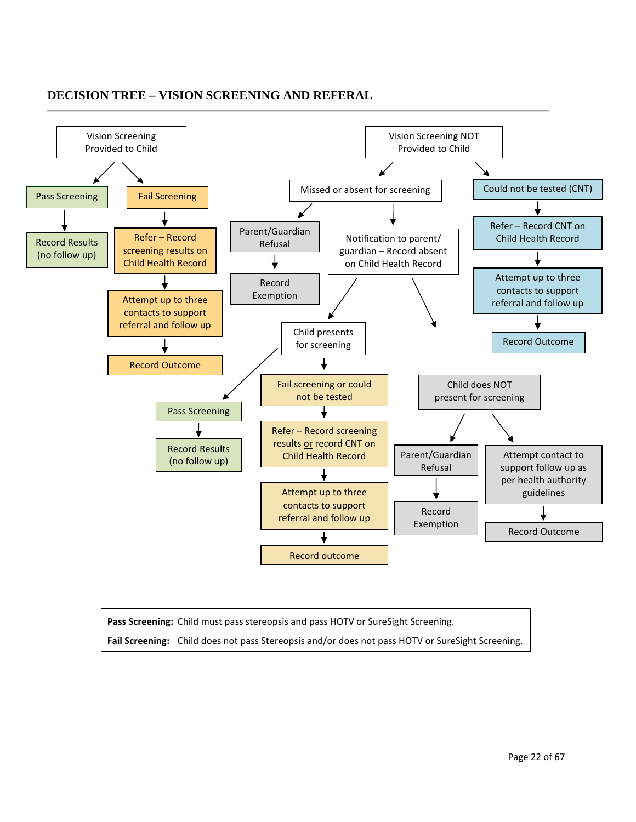

#### **DECISION TREE – VISION SCREENING AND REFERAL**

**Pass Screening:** Child must pass stereopsis and pass HOTV or SureSight Screening.

**Fail Screening:** Child does not pass Stereopsis and/or does not pass HOTV or SureSight Screening.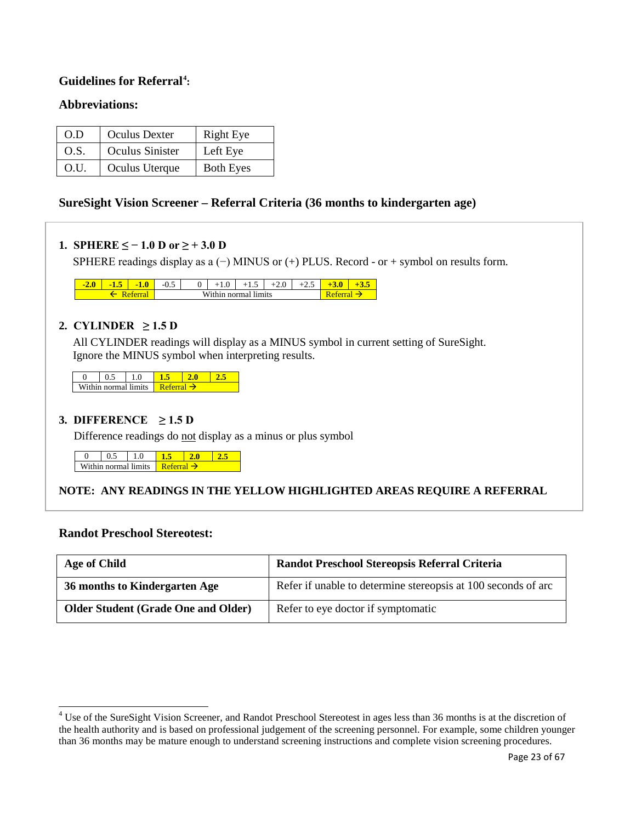# **Guidelines for Referral[4](#page-22-0) :**

#### **Abbreviations:**

| O.D  | Oculus Dexter   | Right Eye        |
|------|-----------------|------------------|
| O.S. | Oculus Sinister | Left Eye         |
| O.U. | Oculus Uterque  | <b>Both Eyes</b> |

#### **SureSight Vision Screener – Referral Criteria (36 months to kindergarten age)**

#### **1. SPHERE ≤ − 1.0 D or ≥ + 3.0 D**

SPHERE readings display as a (−) MINUS or (+) PLUS. Record - or + symbol on results form.

| $\blacksquare$ | لحمال | $4.0^{\circ}$<br>- 1 | U.J |                      | 1.0 | ن . | $\sim\,$ | سە |  |
|----------------|-------|----------------------|-----|----------------------|-----|-----|----------|----|--|
|                |       |                      |     | Within normal limits |     |     |          |    |  |

#### **2. CYLINDER**  $\geq 1.5$  **D**

All CYLINDER readings will display as a MINUS symbol in current setting of SureSight. Ignore the MINUS symbol when interpreting results.

|  | Within normal limits |  |  |
|--|----------------------|--|--|

#### **3. DIFFERENCE**  $\geq 1.5$  D

Difference readings do not display as a minus or plus symbol

|  | Within normal limits <b>Re</b> |  |  |
|--|--------------------------------|--|--|

#### **NOTE: ANY READINGS IN THE YELLOW HIGHLIGHTED AREAS REQUIRE A REFERRAL**

#### **Randot Preschool Stereotest:**

| Age of Child                               | Randot Preschool Stereopsis Referral Criteria                 |
|--------------------------------------------|---------------------------------------------------------------|
| 36 months to Kindergarten Age              | Refer if unable to determine stereopsis at 100 seconds of arc |
| <b>Older Student (Grade One and Older)</b> | Refer to eye doctor if symptomatic                            |

<span id="page-22-0"></span><sup>&</sup>lt;sup>4</sup> Use of the SureSight Vision Screener, and Randot Preschool Stereotest in ages less than 36 months is at the discretion of the health authority and is based on professional judgement of the screening personnel. For example, some children younger than 36 months may be mature enough to understand screening instructions and complete vision screening procedures.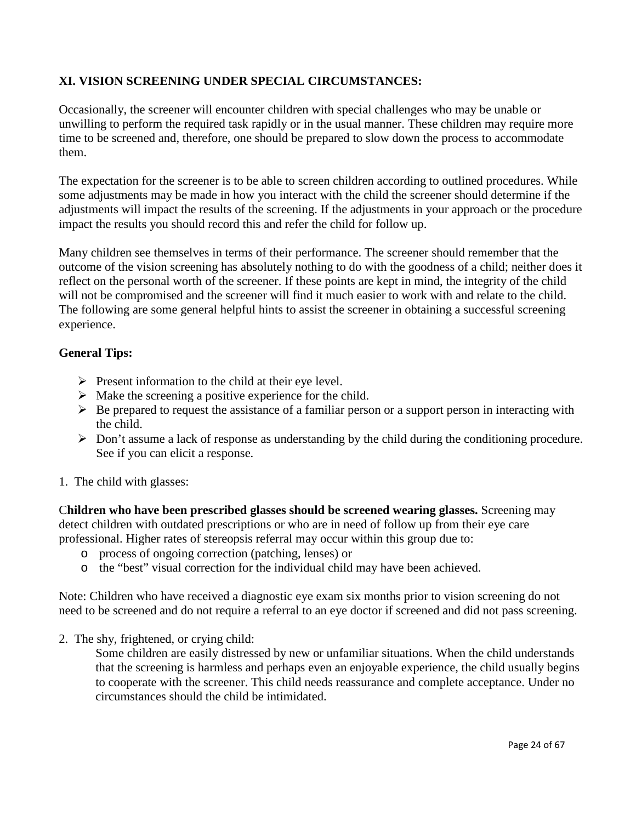# <span id="page-23-0"></span>**XI. VISION SCREENING UNDER SPECIAL CIRCUMSTANCES:**

Occasionally, the screener will encounter children with special challenges who may be unable or unwilling to perform the required task rapidly or in the usual manner. These children may require more time to be screened and, therefore, one should be prepared to slow down the process to accommodate them.

The expectation for the screener is to be able to screen children according to outlined procedures. While some adjustments may be made in how you interact with the child the screener should determine if the adjustments will impact the results of the screening. If the adjustments in your approach or the procedure impact the results you should record this and refer the child for follow up.

Many children see themselves in terms of their performance. The screener should remember that the outcome of the vision screening has absolutely nothing to do with the goodness of a child; neither does it reflect on the personal worth of the screener. If these points are kept in mind, the integrity of the child will not be compromised and the screener will find it much easier to work with and relate to the child. The following are some general helpful hints to assist the screener in obtaining a successful screening experience.

## **General Tips:**

- $\triangleright$  Present information to the child at their eye level.
- $\triangleright$  Make the screening a positive experience for the child.
- $\triangleright$  Be prepared to request the assistance of a familiar person or a support person in interacting with the child.
- $\triangleright$  Don't assume a lack of response as understanding by the child during the conditioning procedure. See if you can elicit a response.
- 1. The child with glasses:

C**hildren who have been prescribed glasses should be screened wearing glasses.** Screening may detect children with outdated prescriptions or who are in need of follow up from their eye care professional. Higher rates of stereopsis referral may occur within this group due to:

- o process of ongoing correction (patching, lenses) or
- o the "best" visual correction for the individual child may have been achieved.

Note: Children who have received a diagnostic eye exam six months prior to vision screening do not need to be screened and do not require a referral to an eye doctor if screened and did not pass screening.

2. The shy, frightened, or crying child:

Some children are easily distressed by new or unfamiliar situations. When the child understands that the screening is harmless and perhaps even an enjoyable experience, the child usually begins to cooperate with the screener. This child needs reassurance and complete acceptance. Under no circumstances should the child be intimidated.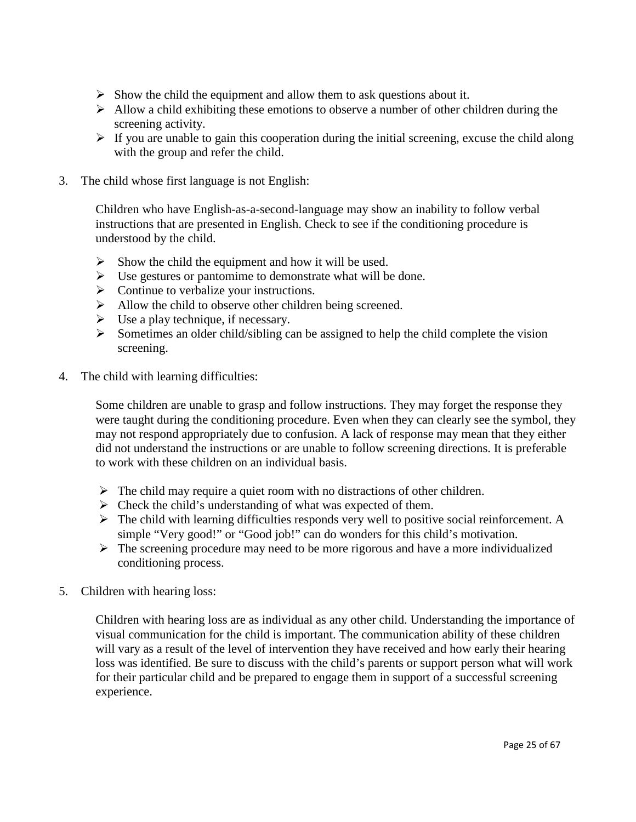- $\triangleright$  Show the child the equipment and allow them to ask questions about it.
- $\triangleright$  Allow a child exhibiting these emotions to observe a number of other children during the screening activity.
- $\triangleright$  If you are unable to gain this cooperation during the initial screening, excuse the child along with the group and refer the child.
- 3. The child whose first language is not English:

Children who have English-as-a-second-language may show an inability to follow verbal instructions that are presented in English. Check to see if the conditioning procedure is understood by the child.

- $\triangleright$  Show the child the equipment and how it will be used.
- $\triangleright$  Use gestures or pantomime to demonstrate what will be done.
- $\triangleright$  Continue to verbalize your instructions.
- $\triangleright$  Allow the child to observe other children being screened.
- $\triangleright$  Use a play technique, if necessary.
- $\triangleright$  Sometimes an older child/sibling can be assigned to help the child complete the vision screening.
- 4. The child with learning difficulties:

Some children are unable to grasp and follow instructions. They may forget the response they were taught during the conditioning procedure. Even when they can clearly see the symbol, they may not respond appropriately due to confusion. A lack of response may mean that they either did not understand the instructions or are unable to follow screening directions. It is preferable to work with these children on an individual basis.

- $\triangleright$  The child may require a quiet room with no distractions of other children.
- $\triangleright$  Check the child's understanding of what was expected of them.
- $\triangleright$  The child with learning difficulties responds very well to positive social reinforcement. A simple "Very good!" or "Good job!" can do wonders for this child's motivation.
- $\triangleright$  The screening procedure may need to be more rigorous and have a more individualized conditioning process.
- 5. Children with hearing loss:

Children with hearing loss are as individual as any other child. Understanding the importance of visual communication for the child is important. The communication ability of these children will vary as a result of the level of intervention they have received and how early their hearing loss was identified. Be sure to discuss with the child's parents or support person what will work for their particular child and be prepared to engage them in support of a successful screening experience.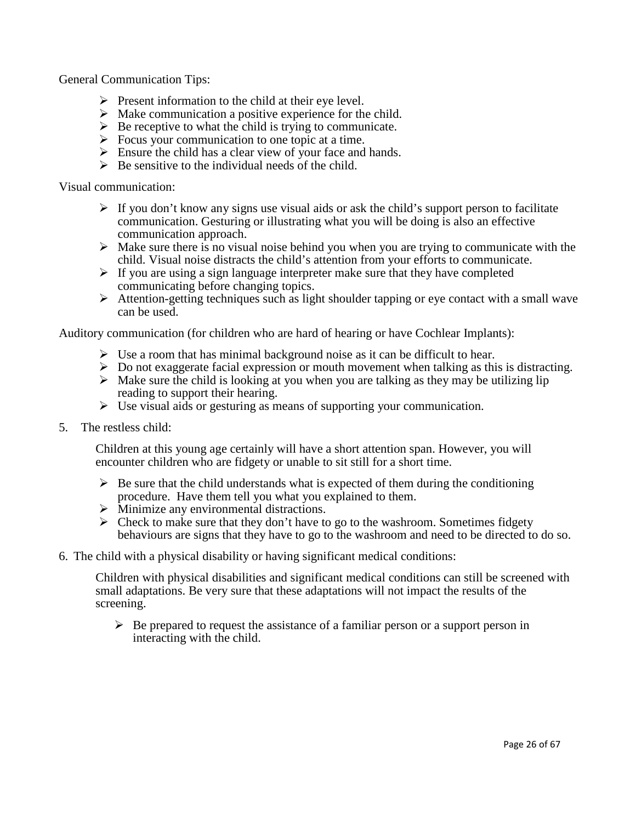General Communication Tips:

- $\triangleright$  Present information to the child at their eye level.
- $\triangleright$  Make communication a positive experience for the child.
- $\triangleright$  Be receptive to what the child is trying to communicate.
- $\triangleright$  Focus your communication to one topic at a time.
- $\triangleright$  Ensure the child has a clear view of your face and hands.
- $\triangleright$  Be sensitive to the individual needs of the child.

Visual communication:

- $\triangleright$  If you don't know any signs use visual aids or ask the child's support person to facilitate communication. Gesturing or illustrating what you will be doing is also an effective communication approach.
- $\triangleright$  Make sure there is no visual noise behind you when you are trying to communicate with the child. Visual noise distracts the child's attention from your efforts to communicate.
- $\triangleright$  If you are using a sign language interpreter make sure that they have completed communicating before changing topics.
- $\triangleright$  Attention-getting techniques such as light shoulder tapping or eye contact with a small wave can be used.

Auditory communication (for children who are hard of hearing or have Cochlear Implants):

- $\triangleright$  Use a room that has minimal background noise as it can be difficult to hear.
- $\triangleright$  Do not exaggerate facial expression or mouth movement when talking as this is distracting.
- $\triangleright$  Make sure the child is looking at you when you are talking as they may be utilizing lip reading to support their hearing.
- $\triangleright$  Use visual aids or gesturing as means of supporting your communication.
- 5. The restless child:

Children at this young age certainly will have a short attention span. However, you will encounter children who are fidgety or unable to sit still for a short time.

- $\triangleright$  Be sure that the child understands what is expected of them during the conditioning procedure. Have them tell you what you explained to them.
- $\triangleright$  Minimize any environmental distractions.
- $\triangleright$  Check to make sure that they don't have to go to the washroom. Sometimes fidgety behaviours are signs that they have to go to the washroom and need to be directed to do so.
- 6. The child with a physical disability or having significant medical conditions:

Children with physical disabilities and significant medical conditions can still be screened with small adaptations. Be very sure that these adaptations will not impact the results of the screening.

 $\triangleright$  Be prepared to request the assistance of a familiar person or a support person in interacting with the child.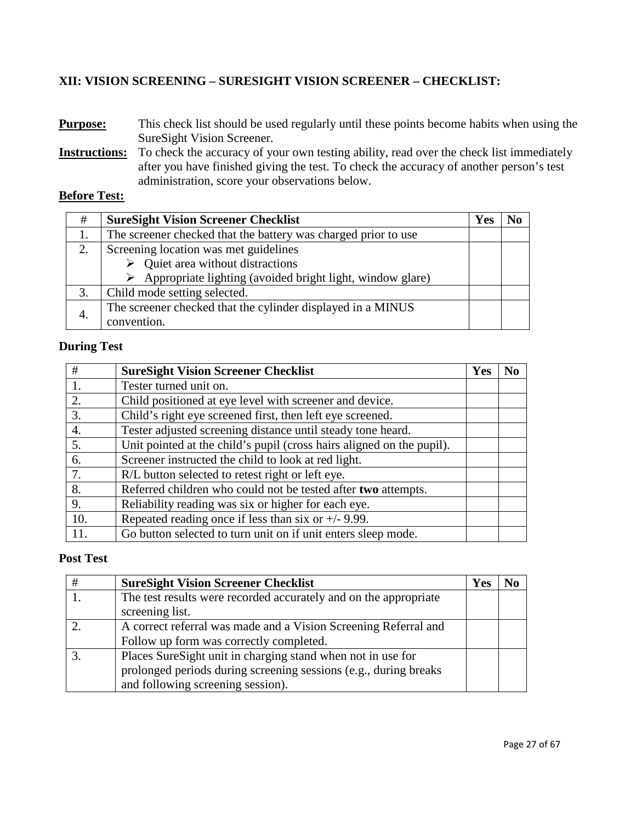# <span id="page-26-0"></span>**XII: VISION SCREENING – SURESIGHT VISION SCREENER – CHECKLIST:**

| <b>Purpose:</b> | This check list should be used regularly until these points become habits when using the |
|-----------------|------------------------------------------------------------------------------------------|
|                 | SureSight Vision Screener.                                                               |

**Instructions:** To check the accuracy of your own testing ability, read over the check list immediately after you have finished giving the test. To check the accuracy of another person's test administration, score your observations below.

# **Before Test:**

| #  | <b>SureSight Vision Screener Checklist</b>                                 |  |  |
|----|----------------------------------------------------------------------------|--|--|
| 1. | The screener checked that the battery was charged prior to use             |  |  |
| 2. | Screening location was met guidelines                                      |  |  |
|    | $\triangleright$ Quiet area without distractions                           |  |  |
|    | $\triangleright$ Appropriate lighting (avoided bright light, window glare) |  |  |
| 3. | Child mode setting selected.                                               |  |  |
| 4. | The screener checked that the cylinder displayed in a MINUS                |  |  |
|    | convention.                                                                |  |  |

# **During Test**

| #   | <b>SureSight Vision Screener Checklist</b>                            | Yes |  |
|-----|-----------------------------------------------------------------------|-----|--|
|     | Tester turned unit on.                                                |     |  |
| 2.  | Child positioned at eye level with screener and device.               |     |  |
| 3.  | Child's right eye screened first, then left eye screened.             |     |  |
| 4.  | Tester adjusted screening distance until steady tone heard.           |     |  |
| 5.  | Unit pointed at the child's pupil (cross hairs aligned on the pupil). |     |  |
| 6.  | Screener instructed the child to look at red light.                   |     |  |
| 7.  | R/L button selected to retest right or left eye.                      |     |  |
| 8.  | Referred children who could not be tested after two attempts.         |     |  |
| 9.  | Reliability reading was six or higher for each eye.                   |     |  |
| 10. | Repeated reading once if less than six or $+/- 9.99$ .                |     |  |
| 11. | Go button selected to turn unit on if unit enters sleep mode.         |     |  |

## **Post Test**

| # | <b>SureSight Vision Screener Checklist</b>                       | Yes |  |
|---|------------------------------------------------------------------|-----|--|
|   | The test results were recorded accurately and on the appropriate |     |  |
|   | screening list.                                                  |     |  |
|   | A correct referral was made and a Vision Screening Referral and  |     |  |
|   | Follow up form was correctly completed.                          |     |  |
|   | Places SureSight unit in charging stand when not in use for      |     |  |
|   | prolonged periods during screening sessions (e.g., during breaks |     |  |
|   | and following screening session).                                |     |  |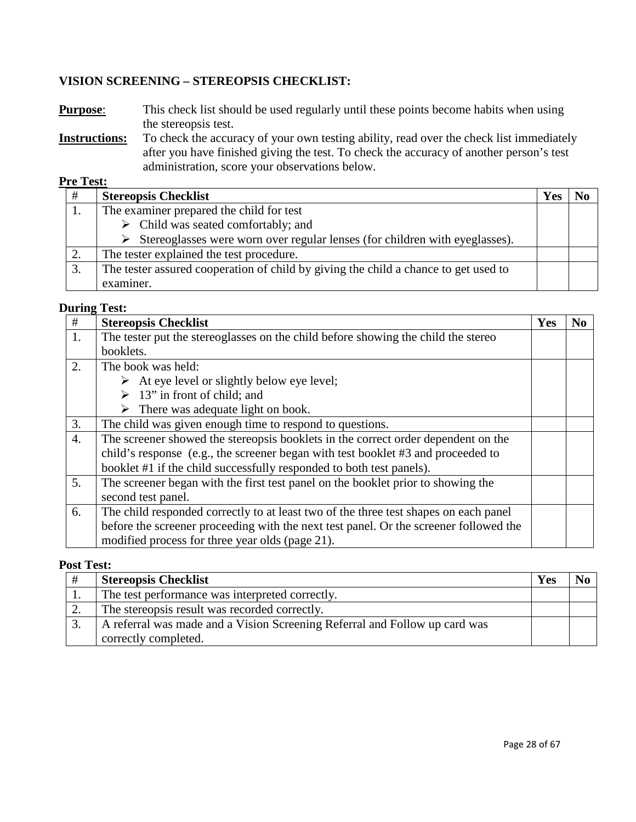## <span id="page-27-0"></span>**VISION SCREENING – STEREOPSIS CHECKLIST:**

**Purpose:** This check list should be used regularly until these points become habits when using the stereopsis test.

**Instructions:** To check the accuracy of your own testing ability, read over the check list immediately after you have finished giving the test. To check the accuracy of another person's test administration, score your observations below.

## **Pre Test:**

| #  | <b>Stereopsis Checklist</b>                                                                  | Yes |  |  |
|----|----------------------------------------------------------------------------------------------|-----|--|--|
|    | The examiner prepared the child for test                                                     |     |  |  |
|    | $\triangleright$ Child was seated comfortably; and                                           |     |  |  |
|    | $\triangleright$ Stereoglasses were worn over regular lenses (for children with eyeglasses). |     |  |  |
|    | The tester explained the test procedure.                                                     |     |  |  |
| 3. | The tester assured cooperation of child by giving the child a chance to get used to          |     |  |  |
|    | examiner.                                                                                    |     |  |  |

#### **During Test:**

| #  | <b>Stereopsis Checklist</b>                                                           | Yes | N <sub>0</sub> |  |  |  |
|----|---------------------------------------------------------------------------------------|-----|----------------|--|--|--|
| 1. | The tester put the stereoglasses on the child before showing the child the stereo     |     |                |  |  |  |
|    | booklets.                                                                             |     |                |  |  |  |
| 2. | The book was held:                                                                    |     |                |  |  |  |
|    | $\triangleright$ At eye level or slightly below eye level;                            |     |                |  |  |  |
|    | $\geq 13$ " in front of child; and                                                    |     |                |  |  |  |
|    | $\triangleright$ There was adequate light on book.                                    |     |                |  |  |  |
| 3. | The child was given enough time to respond to questions.                              |     |                |  |  |  |
| 4. | The screener showed the stereopsis booklets in the correct order dependent on the     |     |                |  |  |  |
|    | child's response (e.g., the screener began with test booklet #3 and proceeded to      |     |                |  |  |  |
|    | booklet #1 if the child successfully responded to both test panels).                  |     |                |  |  |  |
| 5. | The screener began with the first test panel on the booklet prior to showing the      |     |                |  |  |  |
|    | second test panel.                                                                    |     |                |  |  |  |
| 6. | The child responded correctly to at least two of the three test shapes on each panel  |     |                |  |  |  |
|    | before the screener proceeding with the next test panel. Or the screener followed the |     |                |  |  |  |
|    | modified process for three year olds (page 21).                                       |     |                |  |  |  |

#### **Post Test:**

|     | <b>Stereopsis Checklist</b>                                                | Yes |  |
|-----|----------------------------------------------------------------------------|-----|--|
| . . | The test performance was interpreted correctly.                            |     |  |
|     | The stereopsis result was recorded correctly.                              |     |  |
|     | A referral was made and a Vision Screening Referral and Follow up card was |     |  |
|     | correctly completed.                                                       |     |  |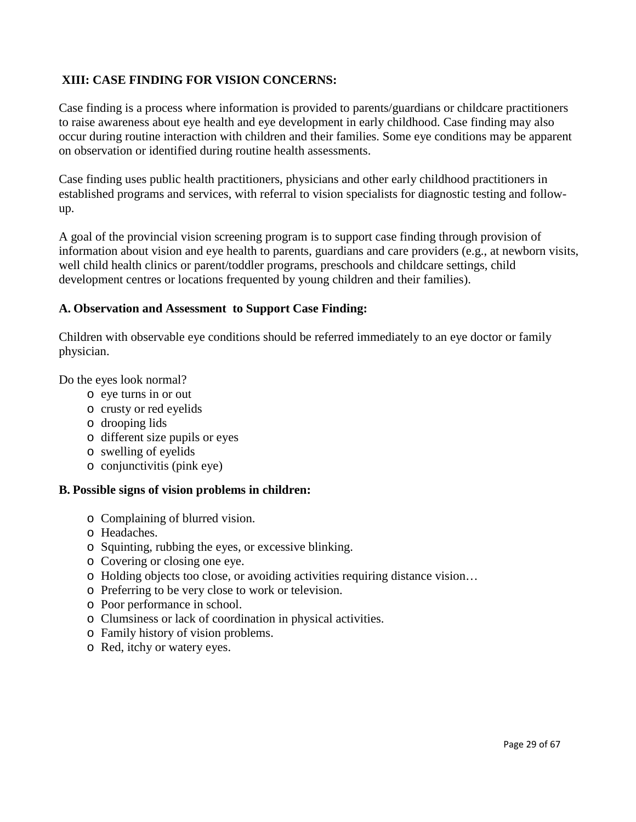# <span id="page-28-0"></span>**XIII: CASE FINDING FOR VISION CONCERNS:**

Case finding is a process where information is provided to parents/guardians or childcare practitioners to raise awareness about eye health and eye development in early childhood. Case finding may also occur during routine interaction with children and their families. Some eye conditions may be apparent on observation or identified during routine health assessments.

Case finding uses public health practitioners, physicians and other early childhood practitioners in established programs and services, with referral to vision specialists for diagnostic testing and followup.

A goal of the provincial vision screening program is to support case finding through provision of information about vision and eye health to parents, guardians and care providers (e.g., at newborn visits, well child health clinics or parent/toddler programs, preschools and childcare settings, child development centres or locations frequented by young children and their families).

## **A. Observation and Assessment to Support Case Finding:**

Children with observable eye conditions should be referred immediately to an eye doctor or family physician.

Do the eyes look normal?

- <span id="page-28-1"></span>o eye turns in or out
- o crusty or red eyelids
- o drooping lids
- o different size pupils or eyes
- o swelling of eyelids
- <span id="page-28-2"></span>o conjunctivitis (pink eye)

#### **B. Possible signs of vision problems in children:**

- o Complaining of blurred vision.
- o Headaches.
- o Squinting, rubbing the eyes, or excessive blinking.
- o Covering or closing one eye.
- o Holding objects too close, or avoiding activities requiring distance vision…
- o Preferring to be very close to work or television.
- o Poor performance in school.
- o Clumsiness or lack of coordination in physical activities.
- o Family history of vision problems.
- o Red, itchy or watery eyes.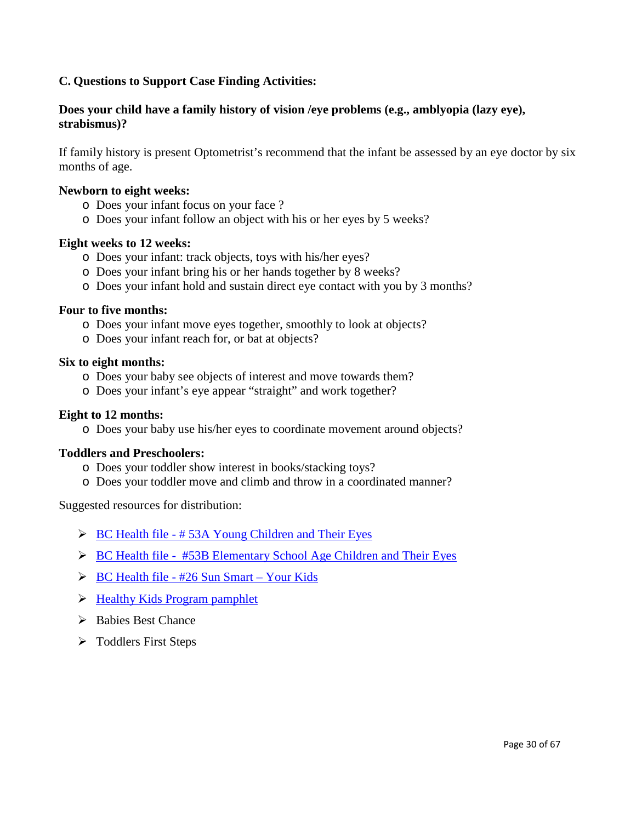## <span id="page-29-0"></span>**C. Questions to Support Case Finding Activities:**

#### **Does your child have a family history of vision /eye problems (e.g., amblyopia (lazy eye), strabismus)?**

If family history is present Optometrist's recommend that the infant be assessed by an eye doctor by six months of age.

#### **Newborn to eight weeks:**

- o Does your infant focus on your face ?
- o Does your infant follow an object with his or her eyes by 5 weeks?

#### **Eight weeks to 12 weeks:**

- o Does your infant: track objects, toys with his/her eyes?
- o Does your infant bring his or her hands together by 8 weeks?
- o Does your infant hold and sustain direct eye contact with you by 3 months?

#### **Four to five months:**

- o Does your infant move eyes together, smoothly to look at objects?
- o Does your infant reach for, or bat at objects?

#### **Six to eight months:**

- o Does your baby see objects of interest and move towards them?
- o Does your infant's eye appear "straight" and work together?

#### **Eight to 12 months:**

o Does your baby use his/her eyes to coordinate movement around objects?

#### **Toddlers and Preschoolers:**

- o Does your toddler show interest in books/stacking toys?
- o Does your toddler move and climb and throw in a coordinated manner?

#### Suggested resources for distribution:

- $\triangleright$  BC Health file #53A Young Children and Their Eyes
- [BC Health file #53B Elementary School Age Children and Their Eyes](http://www.healthlinkbc.ca/kbaltindex.asp)
- $\triangleright$  BC Health file [#26 Sun Smart –](http://www.healthlinkbc.ca/kbaltindex.asp) Your Kids
- $\triangleright$  Healthy Kids Program pamphlet
- $\triangleright$  Babies Best Chance
- Toddlers First Steps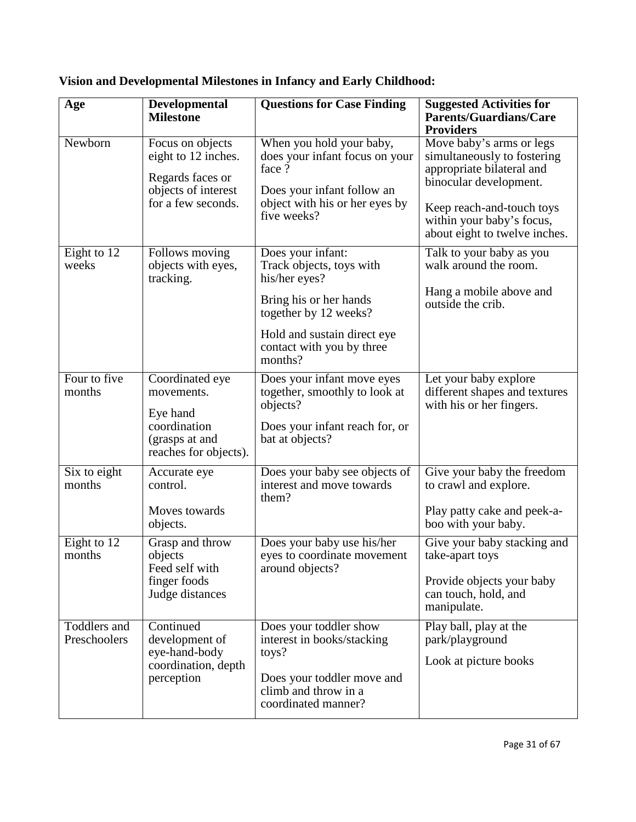| Age                                        | <b>Developmental</b><br><b>Milestone</b>                                                                 | <b>Questions for Case Finding</b>                                                                                                                                                        | <b>Suggested Activities for</b><br><b>Parents/Guardians/Care</b><br><b>Providers</b>                                                                                                                      |
|--------------------------------------------|----------------------------------------------------------------------------------------------------------|------------------------------------------------------------------------------------------------------------------------------------------------------------------------------------------|-----------------------------------------------------------------------------------------------------------------------------------------------------------------------------------------------------------|
| Newborn                                    | Focus on objects<br>eight to 12 inches.<br>Regards faces or<br>objects of interest<br>for a few seconds. | When you hold your baby,<br>does your infant focus on your<br>face ?<br>Does your infant follow an<br>object with his or her eyes by<br>five weeks?                                      | Move baby's arms or legs<br>simultaneously to fostering<br>appropriate bilateral and<br>binocular development.<br>Keep reach-and-touch toys<br>within your baby's focus,<br>about eight to twelve inches. |
| Eight to 12<br>weeks                       | Follows moving<br>objects with eyes,<br>tracking.                                                        | Does your infant:<br>Track objects, toys with<br>his/her eyes?<br>Bring his or her hands<br>together by 12 weeks?<br>Hold and sustain direct eye<br>contact with you by three<br>months? | Talk to your baby as you<br>walk around the room.<br>Hang a mobile above and<br>outside the crib.                                                                                                         |
| Four to five<br>months                     | Coordinated eye<br>movements.<br>Eye hand<br>coordination<br>(grasps at and<br>reaches for objects).     | Does your infant move eyes<br>together, smoothly to look at<br>objects?<br>Does your infant reach for, or<br>bat at objects?                                                             | Let your baby explore<br>different shapes and textures<br>with his or her fingers.                                                                                                                        |
| $\overline{\text{Six}}$ to eight<br>months | Accurate eye<br>control.<br>Moves towards<br>objects.                                                    | Does your baby see objects of<br>interest and move towards<br>them?                                                                                                                      | Give your baby the freedom<br>to crawl and explore.<br>Play patty cake and peek-a-<br>boo with your baby.                                                                                                 |
| Eight to 12<br>months                      | Grasp and throw<br>objects<br>Feed self with<br>finger foods<br>Judge distances                          | Does your baby use his/her<br>eyes to coordinate movement<br>around objects?                                                                                                             | Give your baby stacking and<br>take-apart toys<br>Provide objects your baby<br>can touch, hold, and<br>manipulate.                                                                                        |
| Toddlers and<br>Preschoolers               | Continued<br>development of<br>eye-hand-body<br>coordination, depth<br>perception                        | Does your toddler show<br>interest in books/stacking<br>toys?<br>Does your toddler move and<br>climb and throw in a<br>coordinated manner?                                               | Play ball, play at the<br>park/playground<br>Look at picture books                                                                                                                                        |

# <span id="page-30-0"></span>**Vision and Developmental Milestones in Infancy and Early Childhood:**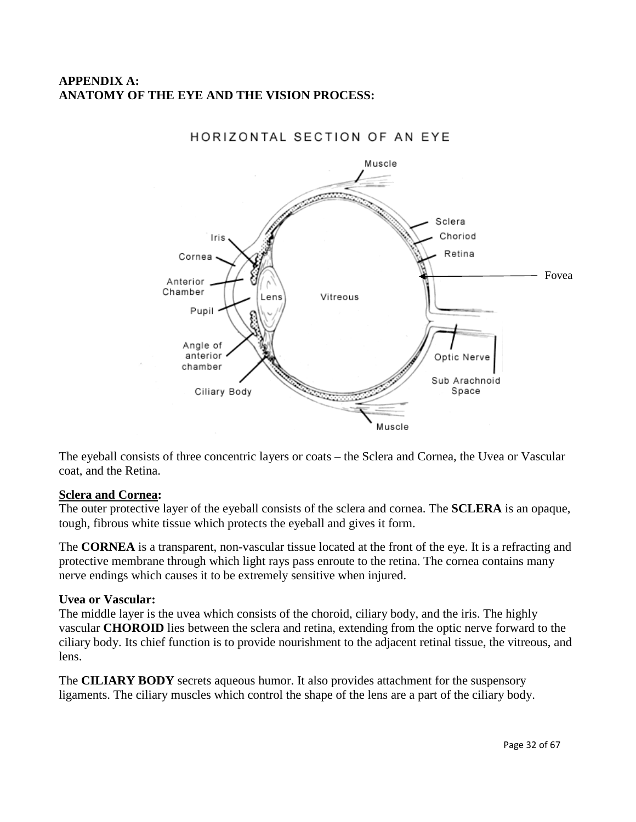# **APPENDIX A: ANATOMY OF THE EYE AND THE VISION PROCESS:**

<span id="page-31-0"></span>

# <span id="page-31-1"></span>HORIZONTAL SECTION OF AN EYE

The eyeball consists of three concentric layers or coats – the Sclera and Cornea, the Uvea or Vascular coat, and the Retina.

#### **Sclera and Cornea:**

The outer protective layer of the eyeball consists of the sclera and cornea. The **SCLERA** is an opaque, tough, fibrous white tissue which protects the eyeball and gives it form.

The **CORNEA** is a transparent, non-vascular tissue located at the front of the eye. It is a refracting and protective membrane through which light rays pass enroute to the retina. The cornea contains many nerve endings which causes it to be extremely sensitive when injured.

#### **Uvea or Vascular:**

The middle layer is the uvea which consists of the choroid, ciliary body, and the iris. The highly vascular **CHOROID** lies between the sclera and retina, extending from the optic nerve forward to the ciliary body. Its chief function is to provide nourishment to the adjacent retinal tissue, the vitreous, and lens.

The **CILIARY BODY** secrets aqueous humor. It also provides attachment for the suspensory ligaments. The ciliary muscles which control the shape of the lens are a part of the ciliary body.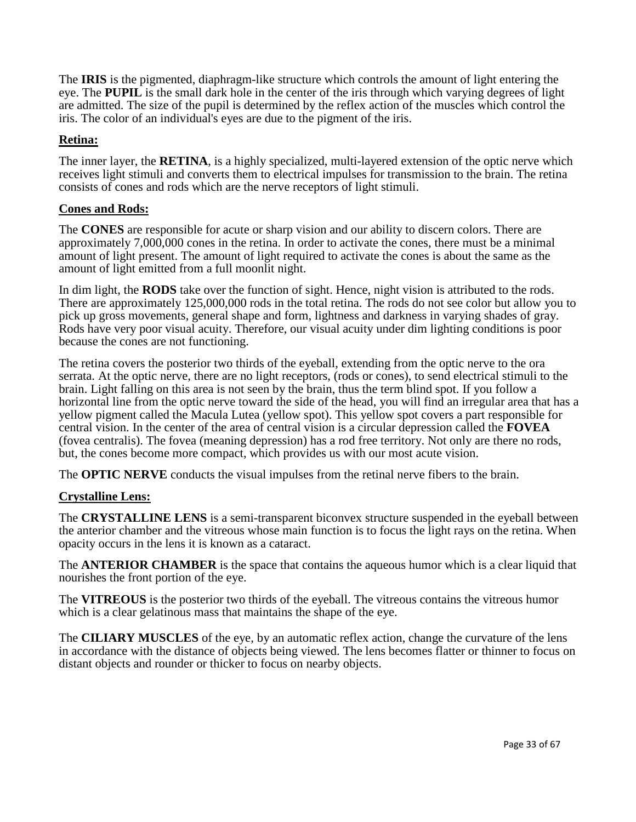The **IRIS** is the pigmented, diaphragm-like structure which controls the amount of light entering the eye. The **PUPIL** is the small dark hole in the center of the iris through which varying degrees of light are admitted. The size of the pupil is determined by the reflex action of the muscles which control the iris. The color of an individual's eyes are due to the pigment of the iris.

## **Retina:**

The inner layer, the **RETINA**, is a highly specialized, multi-layered extension of the optic nerve which receives light stimuli and converts them to electrical impulses for transmission to the brain. The retina consists of cones and rods which are the nerve receptors of light stimuli.

## **Cones and Rods:**

The **CONES** are responsible for acute or sharp vision and our ability to discern colors. There are approximately 7,000,000 cones in the retina. In order to activate the cones, there must be a minimal amount of light present. The amount of light required to activate the cones is about the same as the amount of light emitted from a full moonlit night.

In dim light, the **RODS** take over the function of sight. Hence, night vision is attributed to the rods. There are approximately 125,000,000 rods in the total retina. The rods do not see color but allow you to pick up gross movements, general shape and form, lightness and darkness in varying shades of gray. Rods have very poor visual acuity. Therefore, our visual acuity under dim lighting conditions is poor because the cones are not functioning.

The retina covers the posterior two thirds of the eyeball, extending from the optic nerve to the ora serrata. At the optic nerve, there are no light receptors, (rods or cones), to send electrical stimuli to the brain. Light falling on this area is not seen by the brain, thus the term blind spot. If you follow a horizontal line from the optic nerve toward the side of the head, you will find an irregular area that has a yellow pigment called the Macula Lutea (yellow spot). This yellow spot covers a part responsible for central vision. In the center of the area of central vision is a circular depression called the **FOVEA**  (fovea centralis). The fovea (meaning depression) has a rod free territory. Not only are there no rods, but, the cones become more compact, which provides us with our most acute vision.

The **OPTIC NERVE** conducts the visual impulses from the retinal nerve fibers to the brain.

#### **Crystalline Lens:**

The **CRYSTALLINE LENS** is a semi-transparent biconvex structure suspended in the eyeball between the anterior chamber and the vitreous whose main function is to focus the light rays on the retina. When opacity occurs in the lens it is known as a cataract.

The **ANTERIOR CHAMBER** is the space that contains the aqueous humor which is a clear liquid that nourishes the front portion of the eye.

The **VITREOUS** is the posterior two thirds of the eyeball. The vitreous contains the vitreous humor which is a clear gelatinous mass that maintains the shape of the eye.

The **CILIARY MUSCLES** of the eye, by an automatic reflex action, change the curvature of the lens in accordance with the distance of objects being viewed. The lens becomes flatter or thinner to focus on distant objects and rounder or thicker to focus on nearby objects.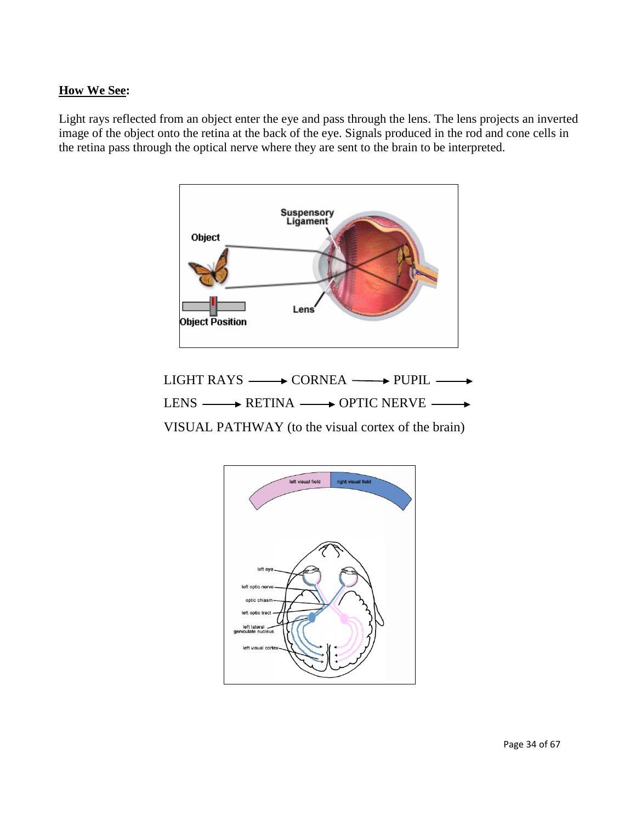## <span id="page-33-0"></span>**How We See:**

Light rays reflected from an object enter the eye and pass through the lens. The lens projects an inverted image of the object onto the retina at the back of the eye. Signals produced in the rod and cone cells in the retina pass through the optical nerve where they are sent to the brain to be interpreted.



LIGHT RAYS  $\longrightarrow$  CORNEA  $\longrightarrow$  PUPIL  $\longrightarrow$ LENS  $\longrightarrow$  RETINA  $\longrightarrow$  OPTIC NERVE  $\longrightarrow$ VISUAL PATHWAY (to the visual cortex of the brain)

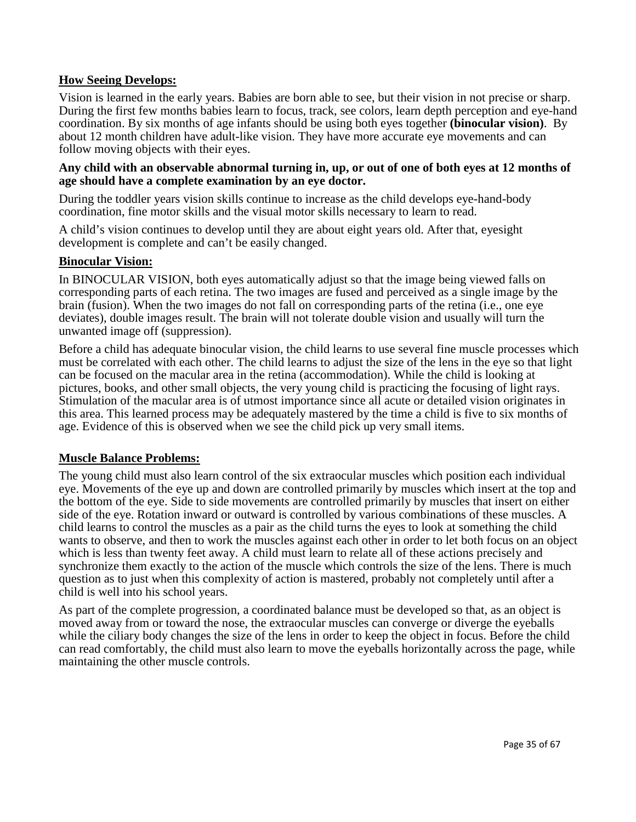#### <span id="page-34-0"></span>**How Seeing Develops:**

Vision is learned in the early years. Babies are born able to see, but their vision in not precise or sharp. During the first few months babies learn to focus, track, see colors, learn depth perception and eye-hand coordination. By six months of age infants should be using both eyes together **(binocular vision)**. By about 12 month children have adult-like vision. They have more accurate eye movements and can follow moving objects with their eyes.

#### **Any child with an observable abnormal turning in, up, or out of one of both eyes at 12 months of age should have a complete examination by an eye doctor.**

During the toddler years vision skills continue to increase as the child develops eye-hand-body coordination, fine motor skills and the visual motor skills necessary to learn to read.

A child's vision continues to develop until they are about eight years old. After that, eyesight development is complete and can't be easily changed.

#### <span id="page-34-1"></span>**Binocular Vision:**

In BINOCULAR VISION, both eyes automatically adjust so that the image being viewed falls on corresponding parts of each retina. The two images are fused and perceived as a single image by the brain (fusion). When the two images do not fall on corresponding parts of the retina (i.e., one eye deviates), double images result. The brain will not tolerate double vision and usually will turn the unwanted image off (suppression).

Before a child has adequate binocular vision, the child learns to use several fine muscle processes which must be correlated with each other. The child learns to adjust the size of the lens in the eye so that light can be focused on the macular area in the retina (accommodation). While the child is looking at pictures, books, and other small objects, the very young child is practicing the focusing of light rays. Stimulation of the macular area is of utmost importance since all acute or detailed vision originates in this area. This learned process may be adequately mastered by the time a child is five to six months of age. Evidence of this is observed when we see the child pick up very small items.

#### <span id="page-34-2"></span>**Muscle Balance Problems:**

The young child must also learn control of the six extraocular muscles which position each individual eye. Movements of the eye up and down are controlled primarily by muscles which insert at the top and the bottom of the eye. Side to side movements are controlled primarily by muscles that insert on either side of the eye. Rotation inward or outward is controlled by various combinations of these muscles. A child learns to control the muscles as a pair as the child turns the eyes to look at something the child wants to observe, and then to work the muscles against each other in order to let both focus on an object which is less than twenty feet away. A child must learn to relate all of these actions precisely and synchronize them exactly to the action of the muscle which controls the size of the lens. There is much question as to just when this complexity of action is mastered, probably not completely until after a child is well into his school years.

As part of the complete progression, a coordinated balance must be developed so that, as an object is moved away from or toward the nose, the extraocular muscles can converge or diverge the eyeballs while the ciliary body changes the size of the lens in order to keep the object in focus. Before the child can read comfortably, the child must also learn to move the eyeballs horizontally across the page, while maintaining the other muscle controls.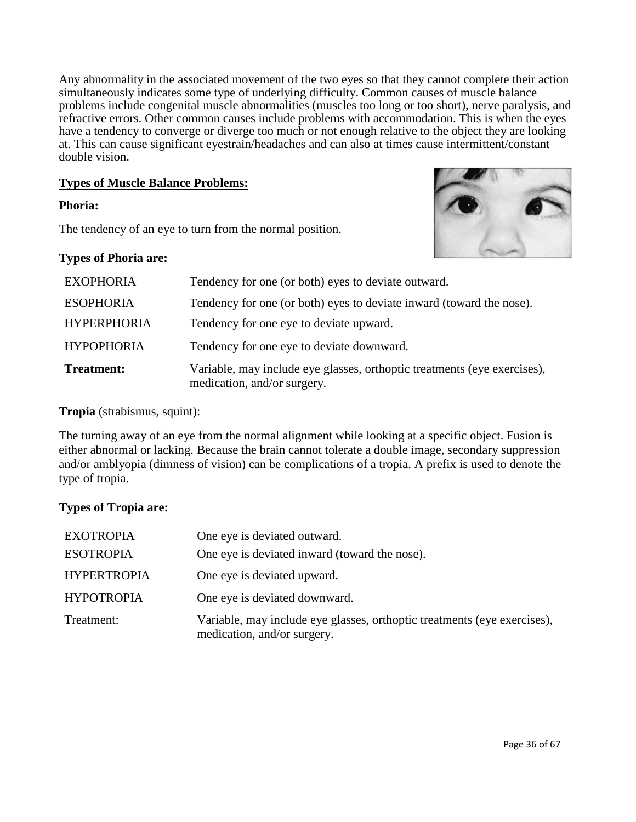Any abnormality in the associated movement of the two eyes so that they cannot complete their action simultaneously indicates some type of underlying difficulty. Common causes of muscle balance problems include congenital muscle abnormalities (muscles too long or too short), nerve paralysis, and refractive errors. Other common causes include problems with accommodation. This is when the eyes have a tendency to converge or diverge too much or not enough relative to the object they are looking at. This can cause significant eyestrain/headaches and can also at times cause intermittent/constant double vision.

#### **Types of Muscle Balance Problems:**

#### **Phoria:**

The tendency of an eye to turn from the normal position.

#### **Types of Phoria are:**



| <b>EXOPHORIA</b>   | Tendency for one (or both) eyes to deviate outward.                                                     |
|--------------------|---------------------------------------------------------------------------------------------------------|
| <b>ESOPHORIA</b>   | Tendency for one (or both) eyes to deviate inward (toward the nose).                                    |
| <b>HYPERPHORIA</b> | Tendency for one eye to deviate upward.                                                                 |
| <b>HYPOPHORIA</b>  | Tendency for one eye to deviate downward.                                                               |
| <b>Treatment:</b>  | Variable, may include eye glasses, orthoptic treatments (eye exercises),<br>medication, and/or surgery. |

#### **Tropia** (strabismus, squint):

The turning away of an eye from the normal alignment while looking at a specific object. Fusion is either abnormal or lacking. Because the brain cannot tolerate a double image, secondary suppression and/or amblyopia (dimness of vision) can be complications of a tropia. A prefix is used to denote the type of tropia.

#### **Types of Tropia are:**

| <b>EXOTROPIA</b>   | One eye is deviated outward.                                                                            |
|--------------------|---------------------------------------------------------------------------------------------------------|
| <b>ESOTROPIA</b>   | One eye is deviated inward (toward the nose).                                                           |
| <b>HYPERTROPIA</b> | One eye is deviated upward.                                                                             |
| <b>HYPOTROPIA</b>  | One eye is deviated downward.                                                                           |
| Treatment:         | Variable, may include eye glasses, orthoptic treatments (eye exercises),<br>medication, and/or surgery. |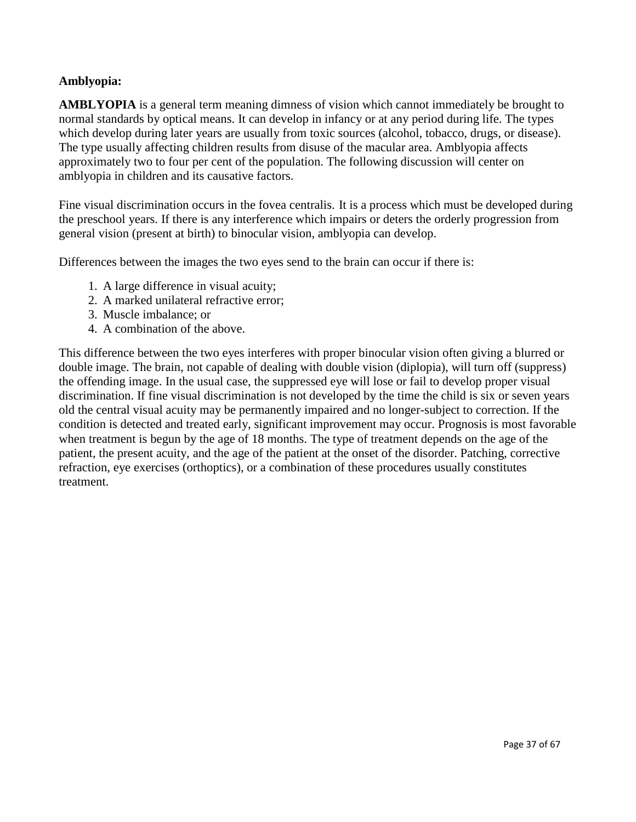## <span id="page-36-0"></span>**Amblyopia:**

**AMBLYOPIA** is a general term meaning dimness of vision which cannot immediately be brought to normal standards by optical means. It can develop in infancy or at any period during life. The types which develop during later years are usually from toxic sources (alcohol, tobacco, drugs, or disease). The type usually affecting children results from disuse of the macular area. Amblyopia affects approximately two to four per cent of the population. The following discussion will center on amblyopia in children and its causative factors.

Fine visual discrimination occurs in the fovea centralis. It is a process which must be developed during the preschool years. If there is any interference which impairs or deters the orderly progression from general vision (present at birth) to binocular vision, amblyopia can develop.

Differences between the images the two eyes send to the brain can occur if there is:

- 1. A large difference in visual acuity;
- 2. A marked unilateral refractive error;
- 3. Muscle imbalance; or
- 4. A combination of the above.

This difference between the two eyes interferes with proper binocular vision often giving a blurred or double image. The brain, not capable of dealing with double vision (diplopia), will turn off (suppress) the offending image. In the usual case, the suppressed eye will lose or fail to develop proper visual discrimination. If fine visual discrimination is not developed by the time the child is six or seven years old the central visual acuity may be permanently impaired and no longer-subject to correction. If the condition is detected and treated early, significant improvement may occur. Prognosis is most favorable when treatment is begun by the age of 18 months. The type of treatment depends on the age of the patient, the present acuity, and the age of the patient at the onset of the disorder. Patching, corrective refraction, eye exercises (orthoptics), or a combination of these procedures usually constitutes treatment.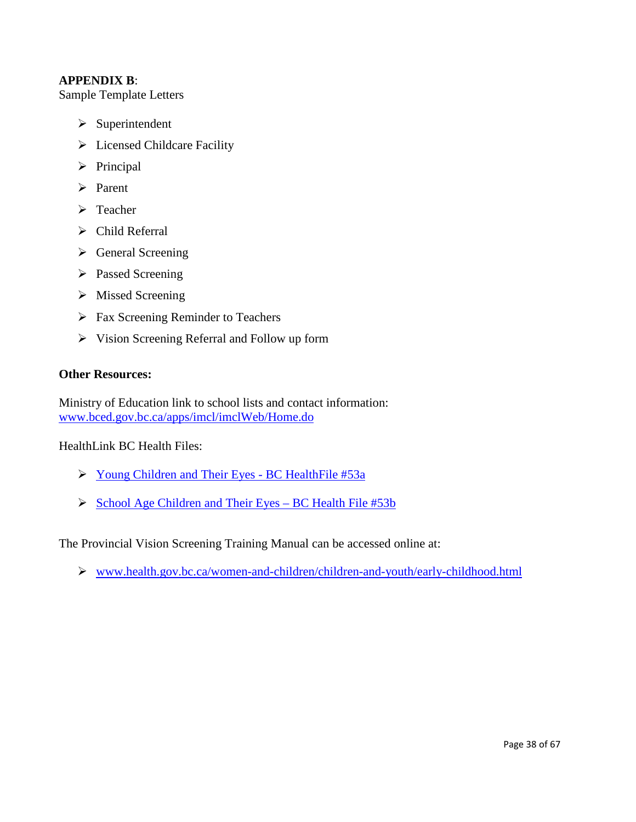#### <span id="page-37-1"></span>**APPENDIX B**:

Sample Template Letters

- <span id="page-37-0"></span> $\triangleright$  Superintendent
- > Licensed Childcare Facility
- $\triangleright$  Principal
- > Parent
- > Teacher
- > Child Referral
- $\triangleright$  General Screening
- $\triangleright$  Passed Screening
- $\triangleright$  Missed Screening
- $\triangleright$  Fax Screening Reminder to Teachers
- <span id="page-37-2"></span> $\triangleright$  Vision Screening Referral and Follow up form

#### **Other Resources:**

Ministry of Education link to school lists and contact information: [www.bced.gov.bc.ca/apps/imcl/imclWeb/Home.do](http://www.bced.gov.bc.ca/apps/imcl/imclWeb/Home.do)

HealthLink BC Health Files:

- <span id="page-37-3"></span> $\triangleright$  [Young Children and Their Eyes -](http://www.healthlinkbc.ca/kbaltindex.asp) BC Health File #53a
- $\geq$  [School Age Children and Their Eyes –](http://www.healthlinkbc.ca/kbaltindex.asp) BC Health File #53b

The Provincial Vision Screening Training Manual can be accessed online at:

[www.health.gov.bc.ca/women-and-children/children-and-youth/early-childhood.html](http://www.health.gov.bc.ca/women-and-children/children-and-youth/early-childhood.html)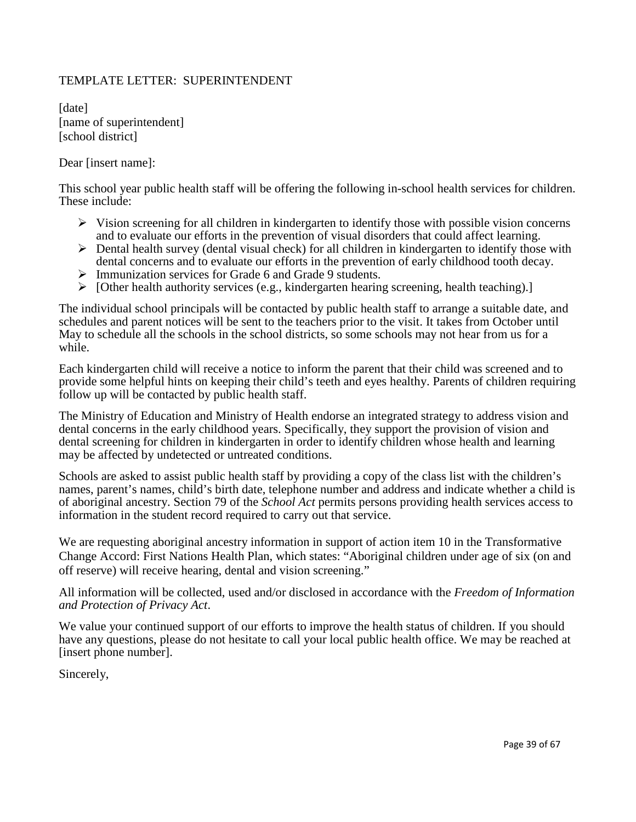## TEMPLATE LETTER: SUPERINTENDENT

[date] [name of superintendent] [school district]

Dear [insert name]:

This school year public health staff will be offering the following in-school health services for children. These include:

- $\triangleright$  Vision screening for all children in kindergarten to identify those with possible vision concerns and to evaluate our efforts in the prevention of visual disorders that could affect learning.
- $\triangleright$  Dental health survey (dental visual check) for all children in kindergarten to identify those with dental concerns and to evaluate our efforts in the prevention of early childhood tooth decay.
- $\triangleright$  Immunization services for Grade 6 and Grade 9 students.
- $\triangleright$  [Other health authority services (e.g., kindergarten hearing screening, health teaching).]

The individual school principals will be contacted by public health staff to arrange a suitable date, and schedules and parent notices will be sent to the teachers prior to the visit. It takes from October until May to schedule all the schools in the school districts, so some schools may not hear from us for a while.

Each kindergarten child will receive a notice to inform the parent that their child was screened and to provide some helpful hints on keeping their child's teeth and eyes healthy. Parents of children requiring follow up will be contacted by public health staff.

The Ministry of Education and Ministry of Health endorse an integrated strategy to address vision and dental concerns in the early childhood years. Specifically, they support the provision of vision and dental screening for children in kindergarten in order to identify children whose health and learning may be affected by undetected or untreated conditions.

Schools are asked to assist public health staff by providing a copy of the class list with the children's names, parent's names, child's birth date, telephone number and address and indicate whether a child is of aboriginal ancestry. Section 79 of the *School Act* permits persons providing health services access to information in the student record required to carry out that service.

We are requesting aboriginal ancestry information in support of action item 10 in the Transformative Change Accord: First Nations Health Plan, which states: "Aboriginal children under age of six (on and off reserve) will receive hearing, dental and vision screening."

All information will be collected, used and/or disclosed in accordance with the *Freedom of Information and Protection of Privacy Act*.

We value your continued support of our efforts to improve the health status of children. If you should have any questions, please do not hesitate to call your local public health office. We may be reached at [insert phone number].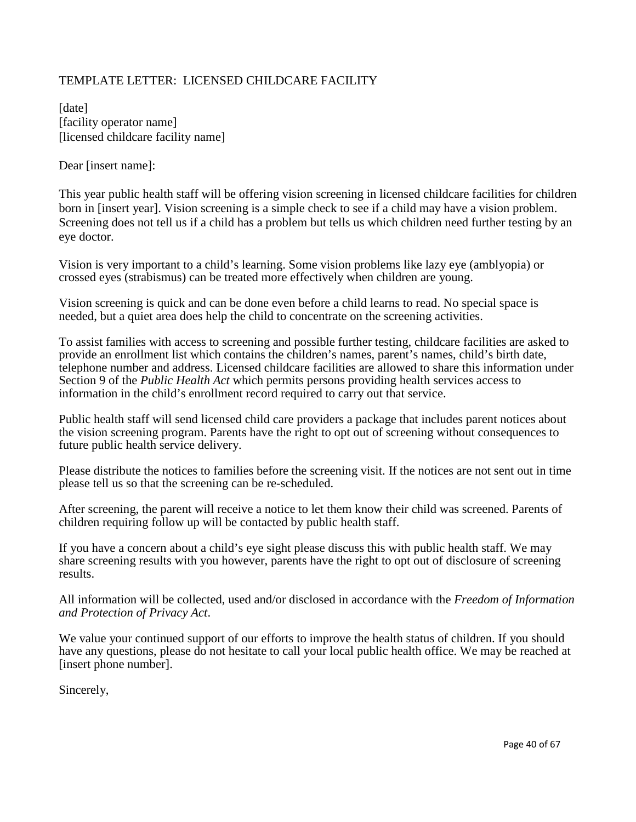## TEMPLATE LETTER: LICENSED CHILDCARE FACILITY

[date] [facility operator name] [licensed childcare facility name]

Dear [insert name]:

This year public health staff will be offering vision screening in licensed childcare facilities for children born in [insert year]. Vision screening is a simple check to see if a child may have a vision problem. Screening does not tell us if a child has a problem but tells us which children need further testing by an eye doctor.

Vision is very important to a child's learning. Some vision problems like lazy eye (amblyopia) or crossed eyes (strabismus) can be treated more effectively when children are young.

Vision screening is quick and can be done even before a child learns to read. No special space is needed, but a quiet area does help the child to concentrate on the screening activities.

To assist families with access to screening and possible further testing, childcare facilities are asked to provide an enrollment list which contains the children's names, parent's names, child's birth date, telephone number and address. Licensed childcare facilities are allowed to share this information under Section 9 of the *Public Health Act* which permits persons providing health services access to information in the child's enrollment record required to carry out that service.

Public health staff will send licensed child care providers a package that includes parent notices about the vision screening program. Parents have the right to opt out of screening without consequences to future public health service delivery.

Please distribute the notices to families before the screening visit. If the notices are not sent out in time please tell us so that the screening can be re-scheduled.

After screening, the parent will receive a notice to let them know their child was screened. Parents of children requiring follow up will be contacted by public health staff.

If you have a concern about a child's eye sight please discuss this with public health staff. We may share screening results with you however, parents have the right to opt out of disclosure of screening results.

All information will be collected, used and/or disclosed in accordance with the *Freedom of Information and Protection of Privacy Act*.

We value your continued support of our efforts to improve the health status of children. If you should have any questions, please do not hesitate to call your local public health office. We may be reached at [insert phone number].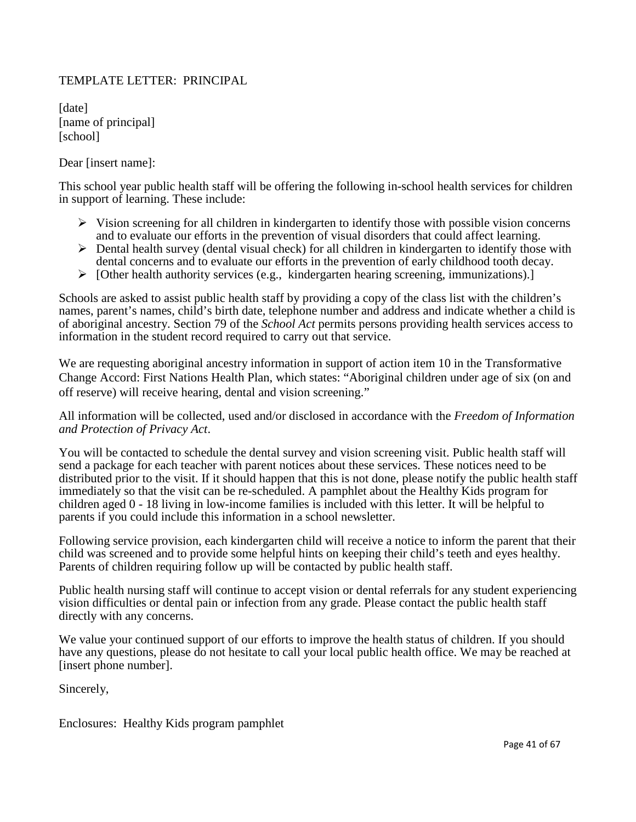## TEMPLATE LETTER: PRINCIPAL

[date] [name of principal] [school]

Dear [insert name]:

This school year public health staff will be offering the following in-school health services for children in support of learning. These include:

- $\triangleright$  Vision screening for all children in kindergarten to identify those with possible vision concerns and to evaluate our efforts in the prevention of visual disorders that could affect learning.
- $\triangleright$  Dental health survey (dental visual check) for all children in kindergarten to identify those with dental concerns and to evaluate our efforts in the prevention of early childhood tooth decay.
- $\triangleright$  [Other health authority services (e.g., kindergarten hearing screening, immunizations).]

Schools are asked to assist public health staff by providing a copy of the class list with the children's names, parent's names, child's birth date, telephone number and address and indicate whether a child is of aboriginal ancestry. Section 79 of the *School Act* permits persons providing health services access to information in the student record required to carry out that service.

We are requesting aboriginal ancestry information in support of action item 10 in the Transformative Change Accord: First Nations Health Plan, which states: "Aboriginal children under age of six (on and off reserve) will receive hearing, dental and vision screening."

All information will be collected, used and/or disclosed in accordance with the *Freedom of Information and Protection of Privacy Act*.

You will be contacted to schedule the dental survey and vision screening visit. Public health staff will send a package for each teacher with parent notices about these services. These notices need to be distributed prior to the visit. If it should happen that this is not done, please notify the public health staff immediately so that the visit can be re-scheduled. A pamphlet about the Healthy Kids program for children aged 0 - 18 living in low-income families is included with this letter. It will be helpful to parents if you could include this information in a school newsletter.

Following service provision, each kindergarten child will receive a notice to inform the parent that their child was screened and to provide some helpful hints on keeping their child's teeth and eyes healthy. Parents of children requiring follow up will be contacted by public health staff.

Public health nursing staff will continue to accept vision or dental referrals for any student experiencing vision difficulties or dental pain or infection from any grade. Please contact the public health staff directly with any concerns.

We value your continued support of our efforts to improve the health status of children. If you should have any questions, please do not hesitate to call your local public health office. We may be reached at [insert phone number].

Sincerely,

Enclosures: Healthy Kids program pamphlet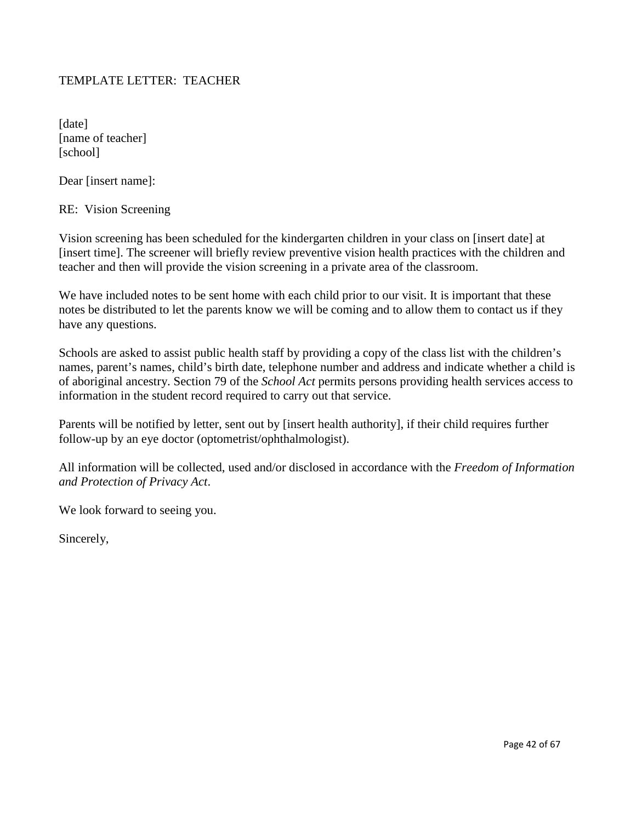## TEMPLATE LETTER: TEACHER

[date] [name of teacher] [school]

Dear [insert name]:

RE: Vision Screening

Vision screening has been scheduled for the kindergarten children in your class on [insert date] at [insert time]. The screener will briefly review preventive vision health practices with the children and teacher and then will provide the vision screening in a private area of the classroom.

We have included notes to be sent home with each child prior to our visit. It is important that these notes be distributed to let the parents know we will be coming and to allow them to contact us if they have any questions.

Schools are asked to assist public health staff by providing a copy of the class list with the children's names, parent's names, child's birth date, telephone number and address and indicate whether a child is of aboriginal ancestry. Section 79 of the *School Act* permits persons providing health services access to information in the student record required to carry out that service.

Parents will be notified by letter, sent out by [insert health authority], if their child requires further follow-up by an eye doctor (optometrist/ophthalmologist).

All information will be collected, used and/or disclosed in accordance with the *Freedom of Information and Protection of Privacy Act*.

We look forward to seeing you.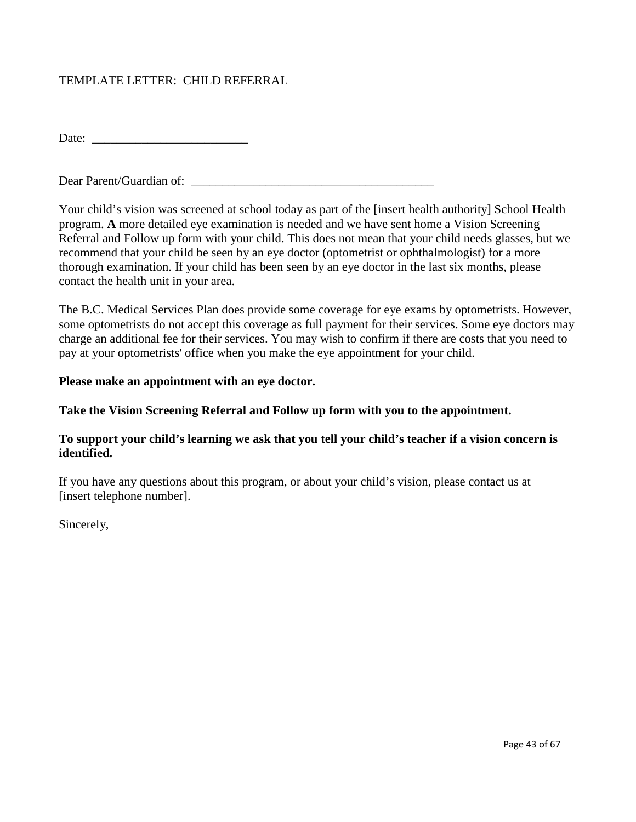# TEMPLATE LETTER: CHILD REFERRAL

Date:

Dear Parent/Guardian of:

Your child's vision was screened at school today as part of the [insert health authority] School Health program. **A** more detailed eye examination is needed and we have sent home a Vision Screening Referral and Follow up form with your child. This does not mean that your child needs glasses, but we recommend that your child be seen by an eye doctor (optometrist or ophthalmologist) for a more thorough examination. If your child has been seen by an eye doctor in the last six months, please contact the health unit in your area.

The B.C. Medical Services Plan does provide some coverage for eye exams by optometrists. However, some optometrists do not accept this coverage as full payment for their services. Some eye doctors may charge an additional fee for their services. You may wish to confirm if there are costs that you need to pay at your optometrists' office when you make the eye appointment for your child.

#### **Please make an appointment with an eye doctor.**

**Take the Vision Screening Referral and Follow up form with you to the appointment.**

#### **To support your child's learning we ask that you tell your child's teacher if a vision concern is identified.**

If you have any questions about this program, or about your child's vision, please contact us at [insert telephone number].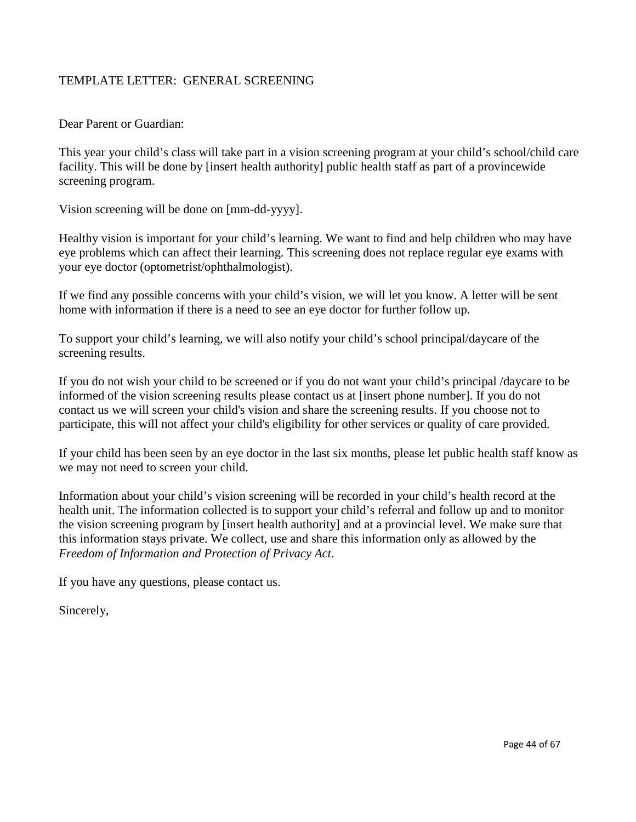## TEMPLATE LETTER: GENERAL SCREENING

Dear Parent or Guardian:

This year your child's class will take part in a vision screening program at your child's school/child care facility. This will be done by [insert health authority] public health staff as part of a provincewide screening program.

Vision screening will be done on [mm-dd-yyyy].

Healthy vision is important for your child's learning. We want to find and help children who may have eye problems which can affect their learning. This screening does not replace regular eye exams with your eye doctor (optometrist/ophthalmologist).

If we find any possible concerns with your child's vision, we will let you know. A letter will be sent home with information if there is a need to see an eye doctor for further follow up.

To support your child's learning, we will also notify your child's school principal/daycare of the screening results.

If you do not wish your child to be screened or if you do not want your child's principal /daycare to be informed of the vision screening results please contact us at [insert phone number]. If you do not contact us we will screen your child's vision and share the screening results. If you choose not to participate, this will not affect your child's eligibility for other services or quality of care provided.

If your child has been seen by an eye doctor in the last six months, please let public health staff know as we may not need to screen your child.

Information about your child's vision screening will be recorded in your child's health record at the health unit. The information collected is to support your child's referral and follow up and to monitor the vision screening program by [insert health authority] and at a provincial level. We make sure that this information stays private. We collect, use and share this information only as allowed by the *Freedom of Information and Protection of Privacy Act*.

If you have any questions, please contact us.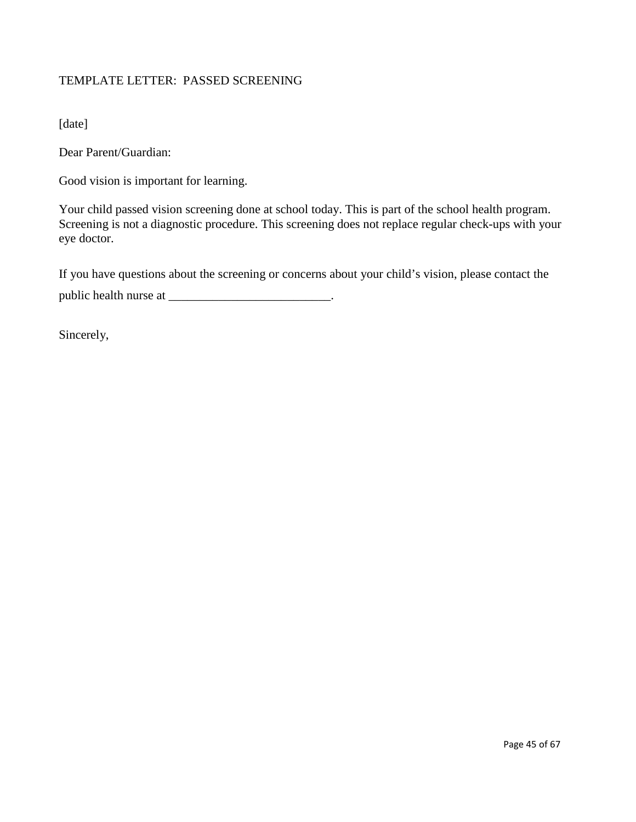## TEMPLATE LETTER: PASSED SCREENING

[date]

Dear Parent/Guardian:

Good vision is important for learning.

Your child passed vision screening done at school today. This is part of the school health program. Screening is not a diagnostic procedure. This screening does not replace regular check-ups with your eye doctor.

If you have questions about the screening or concerns about your child's vision, please contact the public health nurse at \_\_\_\_\_\_\_\_\_\_\_\_\_\_\_\_\_\_\_\_\_\_\_\_\_\_\_\_\_\_\_\_.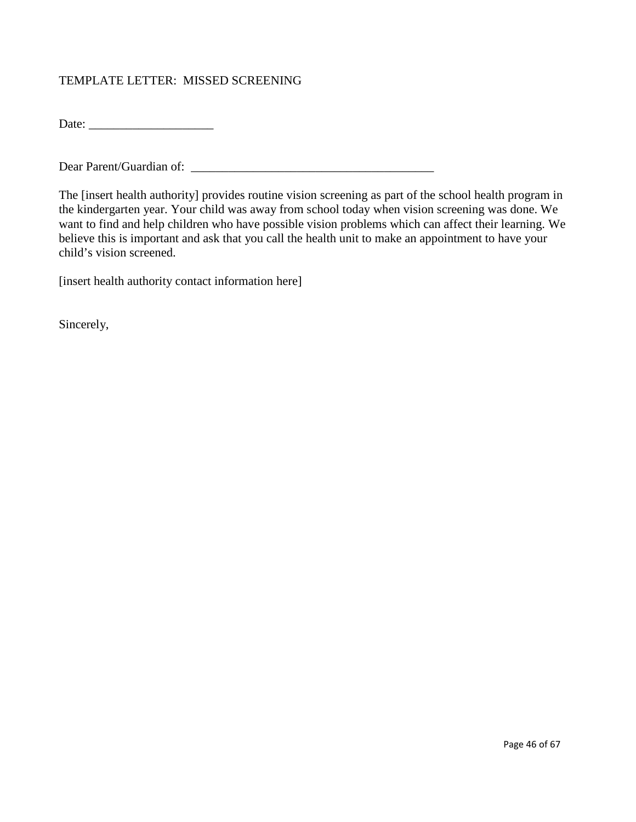## TEMPLATE LETTER: MISSED SCREENING

Date:

Dear Parent/Guardian of:

The [insert health authority] provides routine vision screening as part of the school health program in the kindergarten year. Your child was away from school today when vision screening was done. We want to find and help children who have possible vision problems which can affect their learning. We believe this is important and ask that you call the health unit to make an appointment to have your child's vision screened.

[insert health authority contact information here]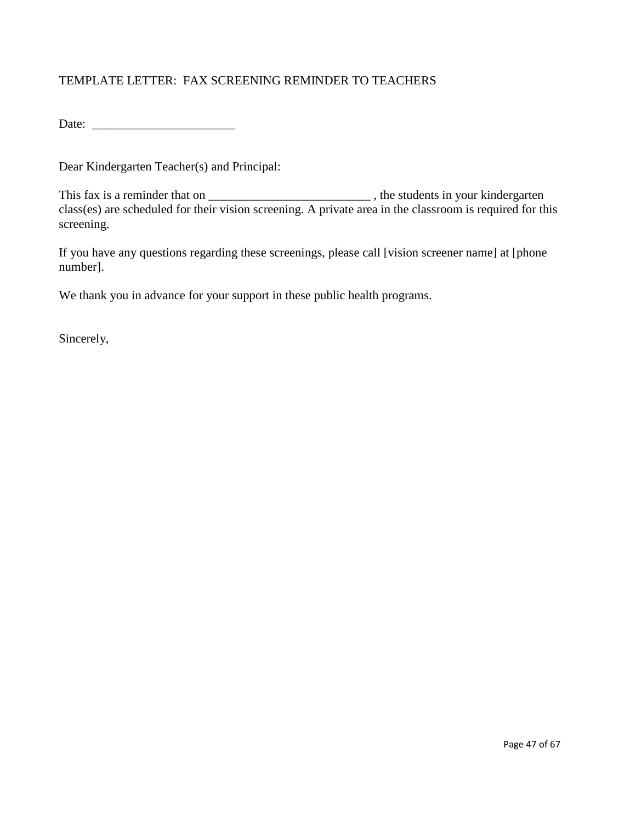# TEMPLATE LETTER: FAX SCREENING REMINDER TO TEACHERS

Date: \_\_\_\_\_\_\_\_\_\_\_\_\_\_\_\_\_\_\_\_\_\_\_

Dear Kindergarten Teacher(s) and Principal:

This fax is a reminder that on \_\_\_\_\_\_\_\_\_\_\_\_\_\_\_\_\_\_\_\_\_\_\_\_\_\_ , the students in your kindergarten class(es) are scheduled for their vision screening. A private area in the classroom is required for this screening.

If you have any questions regarding these screenings, please call [vision screener name] at [phone number].

We thank you in advance for your support in these public health programs.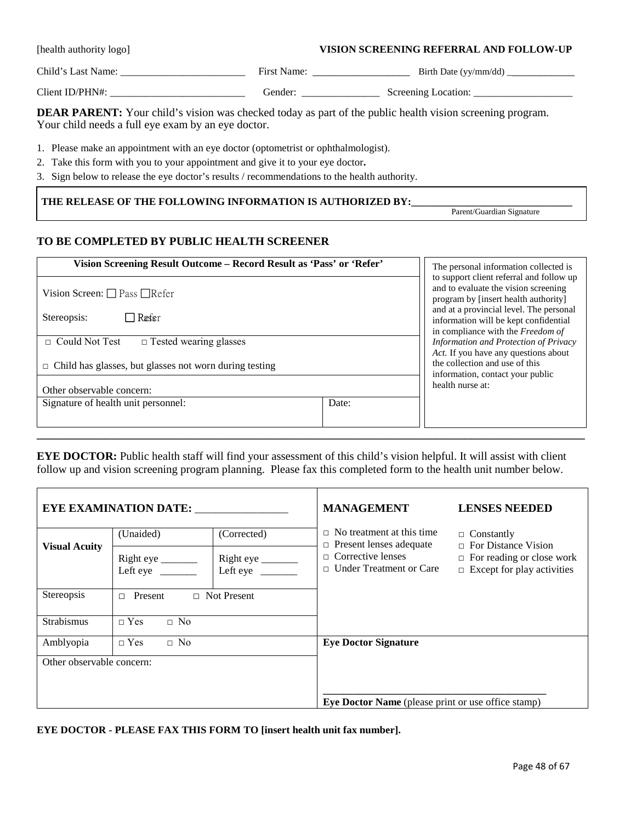[health authority logo] **VISION SCREENING REFERRAL AND FOLLOW-UP** Child's Last Name: \_\_\_\_\_\_\_\_\_\_\_\_\_\_\_\_\_\_\_\_\_\_\_\_\_\_\_\_\_ First Name: \_\_\_\_\_\_\_\_\_\_\_\_\_\_\_\_\_\_\_\_\_\_\_\_\_\_ Birth Date (yy/mm/dd) \_\_\_\_\_\_\_\_\_\_\_\_\_\_\_\_\_\_\_\_\_\_\_\_ Client ID/PHN#: \_\_\_\_\_\_\_\_\_\_\_\_\_\_\_\_\_\_\_\_\_\_\_\_\_\_ Gender: \_\_\_\_\_\_\_\_\_\_\_\_\_\_\_ Screening Location: \_\_\_\_\_\_\_\_\_\_\_\_\_\_\_\_\_\_\_ **DEAR PARENT:** Your child's vision was checked today as part of the public health vision screening program. Your child needs a full eye exam by an eye doctor. 1. Please make an appointment with an eye doctor (optometrist or ophthalmologist).

2. Take this form with you to your appointment and give it to your eye doctor**.**

3. Sign below to release the eye doctor's results / recommendations to the health authority.

#### THE RELEASE OF THE FOLLOWING INFORMATION IS AUTHORIZED BY:

Parent/Guardian Signature

#### **TO BE COMPLETED BY PUBLIC HEALTH SCREENER**

| Vision Screening Result Outcome – Record Result as 'Pass' or 'Refer' |       | The personal information collected is                                                                                                                                                                                                                                        |
|----------------------------------------------------------------------|-------|------------------------------------------------------------------------------------------------------------------------------------------------------------------------------------------------------------------------------------------------------------------------------|
| Vision Screen: $\Box$ Pass $\Box$ Refer                              |       | to support client referral and follow up<br>and to evaluate the vision screening<br>program by [insert health authority]                                                                                                                                                     |
| <sup>1</sup> Ræfer<br>Stereopsis:                                    |       | and at a provincial level. The personal<br>information will be kept confidential<br>in compliance with the Freedom of<br>Information and Protection of Privacy<br>Act. If you have any questions about<br>the collection and use of this<br>information, contact your public |
| $\Box$ Could Not Test<br>$\Box$ Tested wearing glasses               |       |                                                                                                                                                                                                                                                                              |
| Child has glasses, but glasses not worn during testing<br>$\Box$     |       |                                                                                                                                                                                                                                                                              |
| Other observable concern:                                            |       | health nurse at:                                                                                                                                                                                                                                                             |
| Signature of health unit personnel:                                  | Date: |                                                                                                                                                                                                                                                                              |
|                                                                      |       |                                                                                                                                                                                                                                                                              |

**EYE DOCTOR:** Public health staff will find your assessment of this child's vision helpful. It will assist with client follow up and vision screening program planning. Please fax this completed form to the health unit number below.

| <b>EYE EXAMINATION DATE:</b>                            |                         | <b>MANAGEMENT</b>                   | <b>LENSES NEEDED</b>                                                                                                                       |                                                                       |
|---------------------------------------------------------|-------------------------|-------------------------------------|--------------------------------------------------------------------------------------------------------------------------------------------|-----------------------------------------------------------------------|
|                                                         | (Unaided)               | (Corrected)                         | No treatment at this time.<br>$\Box$<br>Present lenses adequate<br>$\Box$<br>$\Box$ Corrective lenses<br>Under Treatment or Care<br>$\Box$ | $\Box$ Constantly<br>$\Box$ For Distance Vision                       |
| <b>Visual Acuity</b>                                    | Left eye                | Right eye<br>Left eye $\frac{ }{ }$ |                                                                                                                                            | $\Box$ For reading or close work<br>$\Box$ Except for play activities |
| <b>Stereopsis</b><br>$\Box$ Not Present<br>Present<br>П |                         |                                     |                                                                                                                                            |                                                                       |
| <b>Strabismus</b>                                       | $\neg$ Yes<br>$\Box$ No |                                     |                                                                                                                                            |                                                                       |
| Amblyopia                                               | $\neg$ Yes<br>$\Box$ No |                                     | <b>Eye Doctor Signature</b>                                                                                                                |                                                                       |
| Other observable concern:                               |                         |                                     |                                                                                                                                            |                                                                       |
|                                                         |                         |                                     |                                                                                                                                            |                                                                       |
|                                                         |                         |                                     | Eye Doctor Name (please print or use office stamp)                                                                                         |                                                                       |

**EYE DOCTOR - PLEASE FAX THIS FORM TO [insert health unit fax number].**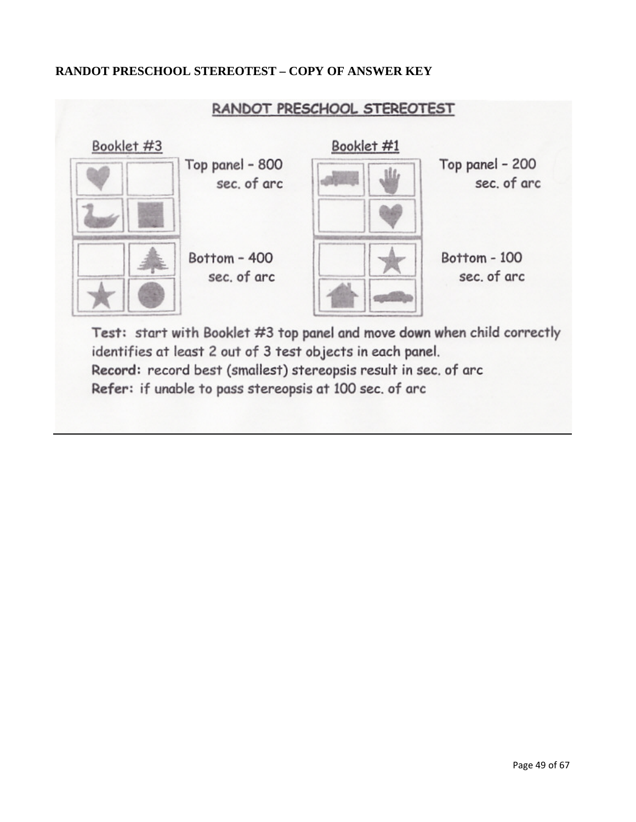# **RANDOT PRESCHOOL STEREOTEST – COPY OF ANSWER KEY**



Record: record best (smallest) stereopsis result in sec. of arc Refer: if unable to pass stereopsis at 100 sec. of arc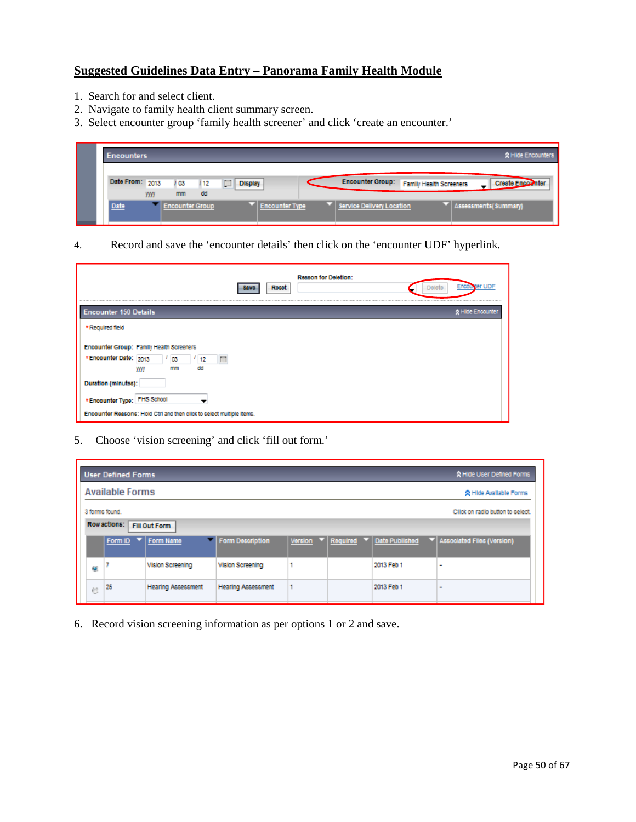# **Suggested Guidelines Data Entry – Panorama Family Health Module**

- 1. Search for and select client.
- 2. Navigate to family health client summary screen.
- 3. Select encounter group 'family health screener' and click 'create an encounter.'

| <b>Encounters</b> |            |                        |            |                  |                       |                                          | <b>☆ Hide Encounters</b> |
|-------------------|------------|------------------------|------------|------------------|-----------------------|------------------------------------------|--------------------------|
| Date From: 2013   | <b>yyy</b> | 03<br>mm               | 112<br>-dd | ID.<br>A Display |                       | Encounter Group: Family Health Screeners | <b>Create Encounter</b>  |
| Date              |            | <b>Encounter Group</b> |            |                  | <b>Encounter Type</b> | Service Delivery Location                | Assessments (Summary)    |

4. Record and save the 'encounter details' then click on the 'encounter UDF' hyperlink.

| <b>Reason for Deletion:</b><br><b>Reset</b><br>Delete<br>*********************** | Encov<br>ter UDI |
|----------------------------------------------------------------------------------|------------------|
| <b>Encounter 150 Details</b>                                                     | A Hide Encounter |
| * Required field                                                                 |                  |
| Encounter Group: Family Health Screeners                                         |                  |
| *Encounter Date: 2013<br>O3<br>12<br>đđ<br>mm<br>yyy                             |                  |
| Duration (minutes):                                                              |                  |
| *Encounter Type: FHS School                                                      |                  |
| Encounter Reasons: Hold Ctrl and then click to select multiple items.            |                  |

5. Choose 'vision screening' and click 'fill out form.'

| User Defined Forms<br>A Hide User Defined Forms  |                |                                |                           |  |  |                                     |                                  |
|--------------------------------------------------|----------------|--------------------------------|---------------------------|--|--|-------------------------------------|----------------------------------|
| <b>Available Forms</b><br>会 Hide Available Forms |                |                                |                           |  |  |                                     |                                  |
|                                                  | 3 forms found. |                                |                           |  |  |                                     | Click on radio button to select. |
| Row actions: Fill Out Form                       |                |                                |                           |  |  |                                     |                                  |
|                                                  | Form ID        | $\blacktriangledown$ Form Name | Form Description          |  |  | Version ▼ Required ▼ Date Published | ▼ Associated Files (Version)     |
| o                                                |                | <b>Vision Screening</b>        | <b>Vision Screening</b>   |  |  | 2013 Feb 1                          | -                                |
| e.                                               | 25             | <b>Hearing Assessment</b>      | <b>Hearing Assessment</b> |  |  | 2013 Feb 1                          | $\overline{\phantom{a}}$         |

6. Record vision screening information as per options 1 or 2 and save.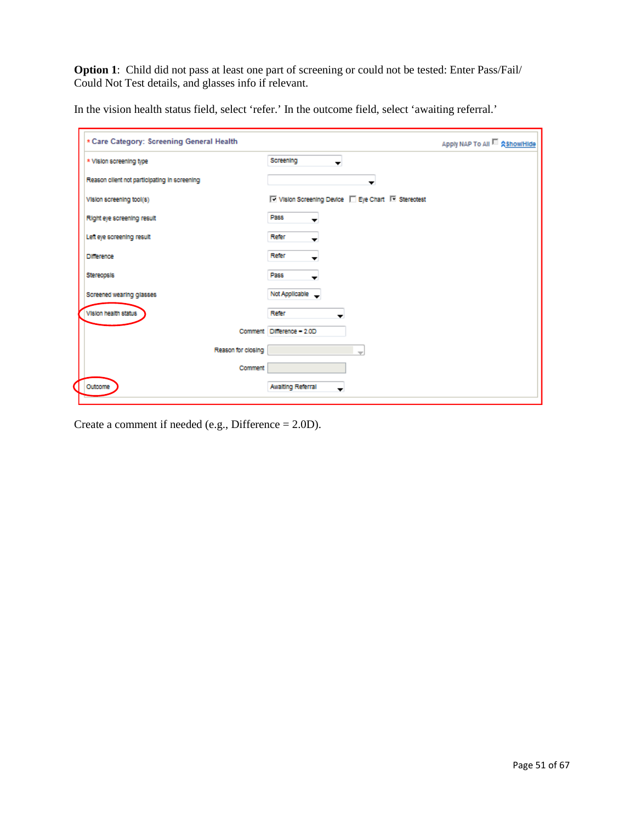**Option 1**: Child did not pass at least one part of screening or could not be tested: Enter Pass/Fail/ Could Not Test details, and glasses info if relevant.

| * Care Category: Screening General Health    |                                                      | Apply NAP To All <a> Show/Hide</a> |
|----------------------------------------------|------------------------------------------------------|------------------------------------|
| * Vision screening type                      | Screening                                            |                                    |
| Reason client not participating in screening | ▼                                                    |                                    |
| Vision screening tool(s)                     | IV Vision Screening Device   Eye Chart IV Stereotest |                                    |
| Right eye screening result                   | Pass<br>$\blacksquare$                               |                                    |
| Left eye screening result                    | Refer<br>$\blacksquare$                              |                                    |
| <b>Difference</b>                            | Refer                                                |                                    |
| Stereopsis                                   | Pass                                                 |                                    |
| Screened wearing glasses                     | Not Applicable                                       |                                    |
| Vision health status                         | Refer                                                |                                    |
|                                              | Comment Difference - 2.0D                            |                                    |
| Reason for closing                           |                                                      |                                    |
| Comment                                      |                                                      |                                    |
| Outcome                                      | Awaiting Referral<br>$\overline{\phantom{a}}$        |                                    |

In the vision health status field, select 'refer.' In the outcome field, select 'awaiting referral.'

Create a comment if needed (e.g., Difference = 2.0D).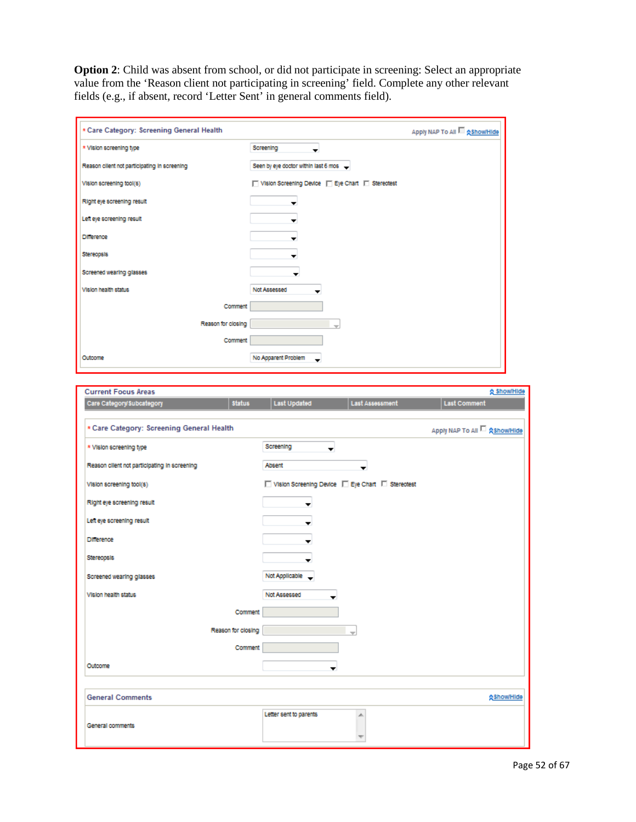**Option 2**: Child was absent from school, or did not participate in screening: Select an appropriate value from the 'Reason client not participating in screening' field. Complete any other relevant fields (e.g., if absent, record 'Letter Sent' in general comments field).

| * Care Category: Screening General Health    |                                                    | Apply NAP To All Show/Hide |
|----------------------------------------------|----------------------------------------------------|----------------------------|
| * Vision screening type                      | Screening                                          |                            |
| Reason client not participating in screening | Seen by eye doctor within last 6 mos -             |                            |
| Vision screening tool(s)                     | □ Vision Screening Device □ Eye Chart □ Stereotest |                            |
| Right eye screening result                   |                                                    |                            |
| Left eye screening result                    |                                                    |                            |
| Difference                                   |                                                    |                            |
| Stereopsis                                   |                                                    |                            |
| Screened wearing glasses                     |                                                    |                            |
| Vision health status                         | Not Assessed                                       |                            |
| Comment                                      |                                                    |                            |
| Reason for closing                           |                                                    |                            |
| Comment                                      |                                                    |                            |
| Outcome                                      | No Apparent Problem                                |                            |

| <b>Current Focus Areas</b>                   |                    |                        |                                                    | <u>☆ Show/Hide</u>             |
|----------------------------------------------|--------------------|------------------------|----------------------------------------------------|--------------------------------|
| Care Category/Subcategory                    | <b>Status</b>      | <b>Last Updated</b>    | Last Assessment                                    | <b>Last Comment</b>            |
|                                              |                    |                        |                                                    |                                |
| * Care Category: Screening General Health    |                    |                        |                                                    | Apply NAP To All C & Show/Hide |
| * Vision screening type                      |                    | Screening<br>▼         |                                                    |                                |
| Reason client not participating in screening |                    | <b>Absent</b>          |                                                    |                                |
| Vision screening tool(s)                     |                    |                        | □ Vision Screening Device □ Eye Chart □ Stereotest |                                |
| Right eye screening result                   |                    |                        |                                                    |                                |
| Left eye screening result                    |                    | $\mathbf -$            |                                                    |                                |
| Difference                                   |                    |                        |                                                    |                                |
| Stereopsis                                   |                    | -                      |                                                    |                                |
| Screened wearing glasses                     |                    | Not Applicable         |                                                    |                                |
| Vision health status                         |                    | Not Assessed           |                                                    |                                |
|                                              | Comment            |                        |                                                    |                                |
|                                              | Reason for closing |                        |                                                    |                                |
|                                              | Comment            |                        |                                                    |                                |
| Outcome                                      |                    |                        |                                                    |                                |
|                                              |                    |                        |                                                    |                                |
| <b>General Comments</b>                      |                    |                        |                                                    | <b>交Show/Hide</b>              |
| General comments                             |                    | Letter sent to parents | 杰                                                  |                                |
|                                              |                    |                        |                                                    |                                |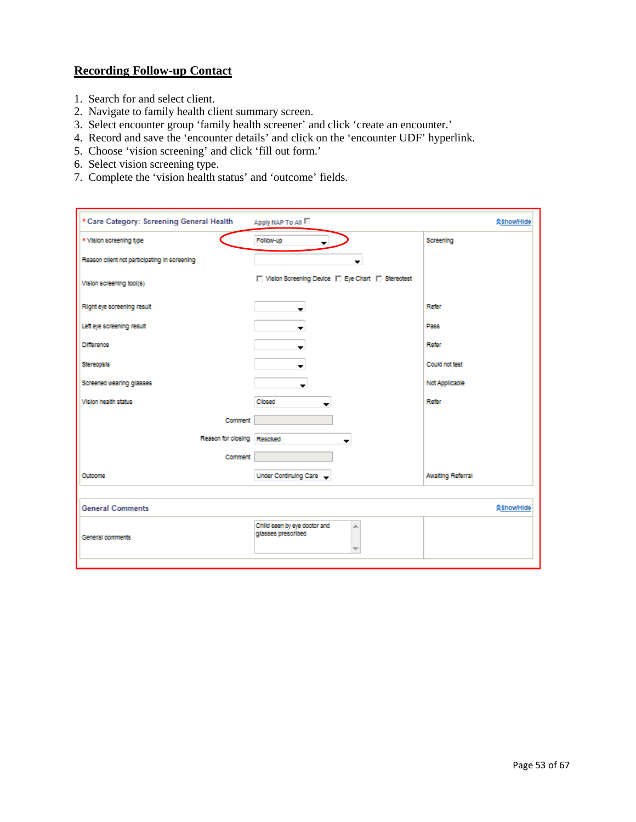# **Recording Follow-up Contact**

- 1. Search for and select client.
- 2. Navigate to family health client summary screen.
- 3. Select encounter group 'family health screener' and click 'create an encounter.'
- 4. Record and save the 'encounter details' and click on the 'encounter UDF' hyperlink.
- 5. Choose 'vision screening' and click 'fill out form.'
- 6. Select vision screening type.
- 7. Complete the 'vision health status' and 'outcome' fields.

| * Care Category: Screening General Health    | Apply NAP To All                                   | <b>会Show/Hide</b>        |
|----------------------------------------------|----------------------------------------------------|--------------------------|
| * Vision screening type                      | Follow-up                                          | Screening                |
| Reason client not participating in screening |                                                    |                          |
| Vision screening tool(s)                     | □ Vision Screening Device □ Eye Chart □ Stereotest |                          |
| Right eye screening result                   | ▼                                                  | Refer                    |
| Left eye screening result                    | $\blacksquare$                                     | Pass                     |
| <b>Difference</b>                            | <b>v</b>                                           | Refer                    |
| Stereopsis                                   |                                                    | Could not test           |
| Screened wearing glasses                     |                                                    | Not Applicable           |
| Vision health status                         | Closed                                             | Refer                    |
| Comment                                      |                                                    |                          |
| Reason for closing Resolved                  | $\overline{\phantom{a}}$                           |                          |
| Comment                                      |                                                    |                          |
| Outcome                                      | Under Continuing Care                              | <b>Awaiting Referral</b> |
| <b>General Comments</b>                      |                                                    | <b>Ashow/Hide</b>        |
| General comments                             | Child seen by eye doctor and<br>glasses prescribed |                          |
|                                              |                                                    |                          |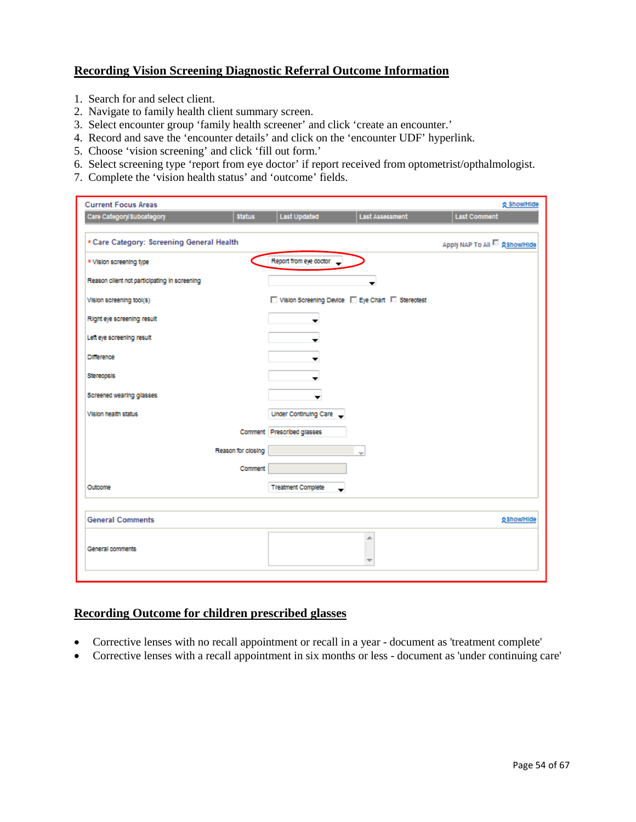#### **Recording Vision Screening Diagnostic Referral Outcome Information**

- 1. Search for and select client.
- 2. Navigate to family health client summary screen.
- 3. Select encounter group 'family health screener' and click 'create an encounter.'
- 4. Record and save the 'encounter details' and click on the 'encounter UDF' hyperlink.
- 5. Choose 'vision screening' and click 'fill out form.'
- 6. Select screening type 'report from eye doctor' if report received from optometrist/opthalmologist.
- 7. Complete the 'vision health status' and 'outcome' fields.

| <b>Current Focus Areas</b>                   |                                                    | ☆ Show/Hide                        |
|----------------------------------------------|----------------------------------------------------|------------------------------------|
| Care Category/Subcategory<br><b>Status</b>   | <b>Last Updated</b><br>Last Assessment             | <b>Last Comment</b>                |
| * Care Category: Screening General Health    |                                                    | Apply NAP To All <a> Show/Hide</a> |
| * Vision screening type                      | Report from eye doctor                             |                                    |
| Reason client not participating in screening |                                                    |                                    |
| Vision screening tool(s)                     | □ Vision Screening Device □ Eye Chart □ Stereotest |                                    |
| Right eye screening result                   |                                                    |                                    |
| Left eye screening result                    |                                                    |                                    |
| Difference                                   |                                                    |                                    |
| Stereopsis                                   |                                                    |                                    |
| Screened wearing glasses                     | ▼                                                  |                                    |
| Vision health status                         | Under Continuing Care                              |                                    |
|                                              | Comment Prescribed glasses                         |                                    |
| Reason for closing                           |                                                    |                                    |
| Comment                                      |                                                    |                                    |
| Outcome                                      | <b>Treatment Complete</b>                          |                                    |
| <b>General Comments</b>                      |                                                    | <b>AShow/Hide</b>                  |
|                                              | ∸                                                  |                                    |
| General comments                             |                                                    |                                    |
|                                              |                                                    |                                    |

#### **Recording Outcome for children prescribed glasses**

- Corrective lenses with no recall appointment or recall in a year document as 'treatment complete'
- Corrective lenses with a recall appointment in six months or less document as 'under continuing care'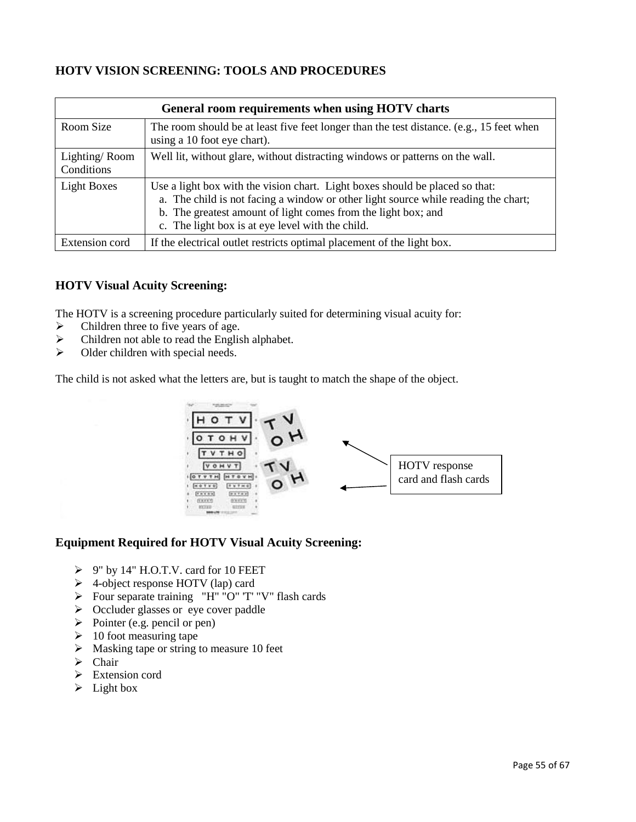## <span id="page-54-0"></span>**HOTV VISION SCREENING: TOOLS AND PROCEDURES**

|                             | General room requirements when using HOTV charts                                                                                                                                                                                                                                        |  |  |  |  |  |  |  |
|-----------------------------|-----------------------------------------------------------------------------------------------------------------------------------------------------------------------------------------------------------------------------------------------------------------------------------------|--|--|--|--|--|--|--|
| Room Size                   | The room should be at least five feet longer than the test distance. (e.g., 15 feet when<br>using a 10 foot eye chart).                                                                                                                                                                 |  |  |  |  |  |  |  |
| Lighting/Room<br>Conditions | Well lit, without glare, without distracting windows or patterns on the wall.                                                                                                                                                                                                           |  |  |  |  |  |  |  |
| Light Boxes                 | Use a light box with the vision chart. Light boxes should be placed so that:<br>a. The child is not facing a window or other light source while reading the chart;<br>b. The greatest amount of light comes from the light box; and<br>c. The light box is at eye level with the child. |  |  |  |  |  |  |  |
| Extension cord              | If the electrical outlet restricts optimal placement of the light box.                                                                                                                                                                                                                  |  |  |  |  |  |  |  |

## **HOTV Visual Acuity Screening:**

The HOTV is a screening procedure particularly suited for determining visual acuity for:<br>  $\triangleright$  Children three to five vears of age.

- Children three to five years of age.
- $\triangleright$  Children not able to read the English alphabet.<br>  $\triangleright$  Older children with special needs.
- Older children with special needs.

The child is not asked what the letters are, but is taught to match the shape of the object.



# **Equipment Required for HOTV Visual Acuity Screening:**

- 9" by 14" H.O.T.V. card for 10 FEET
- 4-object response HOTV (lap) card
- $\triangleright$  Four separate training "H" "O" 'T' "V" flash cards
- $\triangleright$  Occluder glasses or eye cover paddle
- $\triangleright$  Pointer (e.g. pencil or pen)
- $\triangleright$  10 foot measuring tape
- $\triangleright$  Masking tape or string to measure 10 feet
- $\triangleright$  Chair
- Extension cord
- $\triangleright$  Light box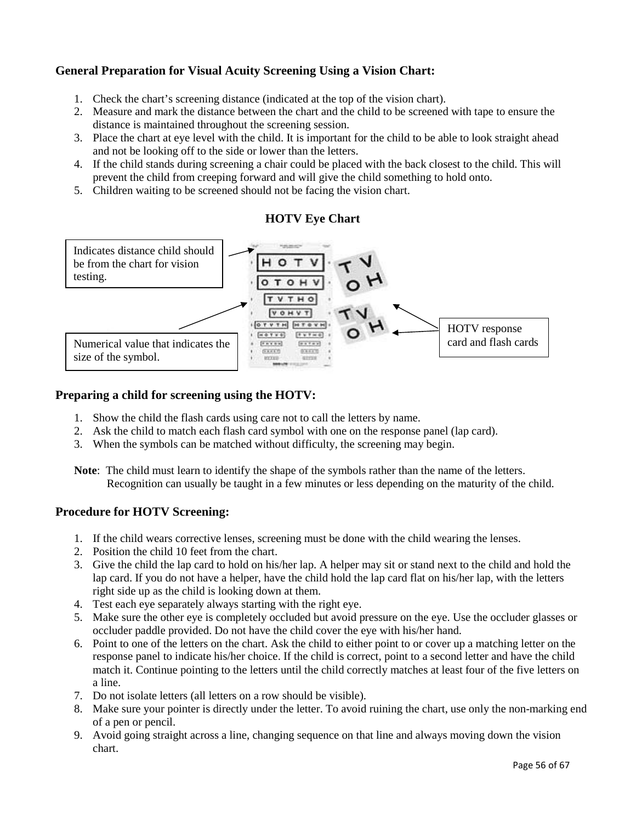# **General Preparation for Visual Acuity Screening Using a Vision Chart:**

- 1. Check the chart's screening distance (indicated at the top of the vision chart).
- 2. Measure and mark the distance between the chart and the child to be screened with tape to ensure the distance is maintained throughout the screening session.
- 3. Place the chart at eye level with the child. It is important for the child to be able to look straight ahead and not be looking off to the side or lower than the letters.
- 4. If the child stands during screening a chair could be placed with the back closest to the child. This will prevent the child from creeping forward and will give the child something to hold onto.
- 5. Children waiting to be screened should not be facing the vision chart.





#### **Preparing a child for screening using the HOTV:**

- 1. Show the child the flash cards using care not to call the letters by name.
- 2. Ask the child to match each flash card symbol with one on the response panel (lap card).
- 3. When the symbols can be matched without difficulty, the screening may begin.

**Note**: The child must learn to identify the shape of the symbols rather than the name of the letters. Recognition can usually be taught in a few minutes or less depending on the maturity of the child.

#### **Procedure for HOTV Screening:**

- 1. If the child wears corrective lenses, screening must be done with the child wearing the lenses.
- 2. Position the child 10 feet from the chart.
- 3. Give the child the lap card to hold on his/her lap. A helper may sit or stand next to the child and hold the lap card. If you do not have a helper, have the child hold the lap card flat on his/her lap, with the letters right side up as the child is looking down at them.
- 4. Test each eye separately always starting with the right eye.
- 5. Make sure the other eye is completely occluded but avoid pressure on the eye. Use the occluder glasses or occluder paddle provided. Do not have the child cover the eye with his/her hand.
- 6. Point to one of the letters on the chart. Ask the child to either point to or cover up a matching letter on the response panel to indicate his/her choice. If the child is correct, point to a second letter and have the child match it. Continue pointing to the letters until the child correctly matches at least four of the five letters on a line.
- 7. Do not isolate letters (all letters on a row should be visible).
- 8. Make sure your pointer is directly under the letter. To avoid ruining the chart, use only the non-marking end of a pen or pencil.
- 9. Avoid going straight across a line, changing sequence on that line and always moving down the vision chart.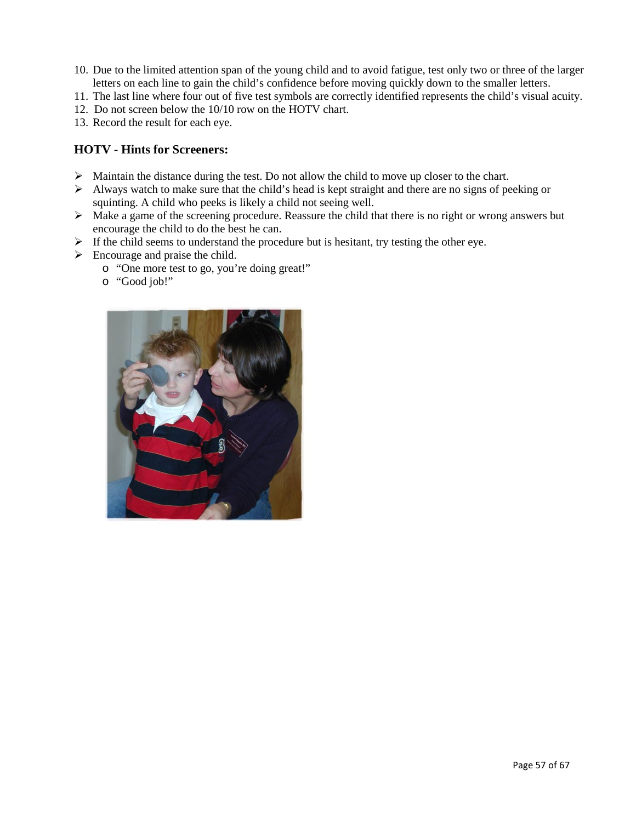- 10. Due to the limited attention span of the young child and to avoid fatigue, test only two or three of the larger letters on each line to gain the child's confidence before moving quickly down to the smaller letters.
- 11. The last line where four out of five test symbols are correctly identified represents the child's visual acuity.
- 12. Do not screen below the 10/10 row on the HOTV chart.
- 13. Record the result for each eye.

#### **HOTV - Hints for Screeners:**

- $\triangleright$  Maintain the distance during the test. Do not allow the child to move up closer to the chart.
- $\triangleright$  Always watch to make sure that the child's head is kept straight and there are no signs of peeking or squinting. A child who peeks is likely a child not seeing well.
- $\triangleright$  Make a game of the screening procedure. Reassure the child that there is no right or wrong answers but encourage the child to do the best he can.
- $\triangleright$  If the child seems to understand the procedure but is hesitant, try testing the other eye.
- $\triangleright$  Encourage and praise the child.
	- o "One more test to go, you're doing great!"
	- o "Good job!"

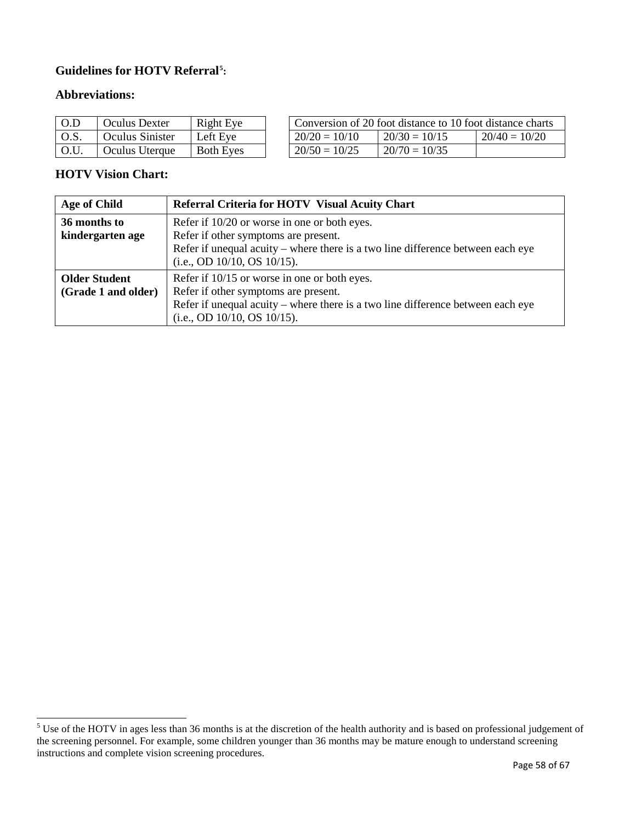# **Guidelines for HOTV Referral[5](#page-57-0) :**

#### **Abbreviations:**

| O.D | Oculus Dexter   | Right Eye        |                 | Conversion of 20 foot distance to 10 foot distance charts |                 |
|-----|-----------------|------------------|-----------------|-----------------------------------------------------------|-----------------|
|     | Oculus Sinister | Left Eve         | $20/20 = 10/10$ | $20/30 = 10/15$                                           | $20/40 = 10/20$ |
|     | Oculus Uteraue  | <b>Both Eves</b> | $20/50 = 10/25$ | $20/70 = 10/35$                                           |                 |

## **HOTV Vision Chart:**

| <b>Age of Child</b>  | <b>Referral Criteria for HOTV Visual Acuity Chart</b>                           |  |  |  |  |
|----------------------|---------------------------------------------------------------------------------|--|--|--|--|
| 36 months to         | Refer if 10/20 or worse in one or both eyes.                                    |  |  |  |  |
| kindergarten age     | Refer if other symptoms are present.                                            |  |  |  |  |
|                      | Refer if unequal acuity – where there is a two line difference between each eye |  |  |  |  |
|                      | (i.e., OD 10/10, OS 10/15).                                                     |  |  |  |  |
| <b>Older Student</b> | Refer if 10/15 or worse in one or both eyes.                                    |  |  |  |  |
| (Grade 1 and older)  | Refer if other symptoms are present.                                            |  |  |  |  |
|                      | Refer if unequal acuity – where there is a two line difference between each eye |  |  |  |  |
|                      | (i.e., OD 10/10, OS 10/15).                                                     |  |  |  |  |

<span id="page-57-0"></span> $5$  Use of the HOTV in ages less than 36 months is at the discretion of the health authority and is based on professional judgement of the screening personnel. For example, some children younger than 36 months may be mature enough to understand screening instructions and complete vision screening procedures.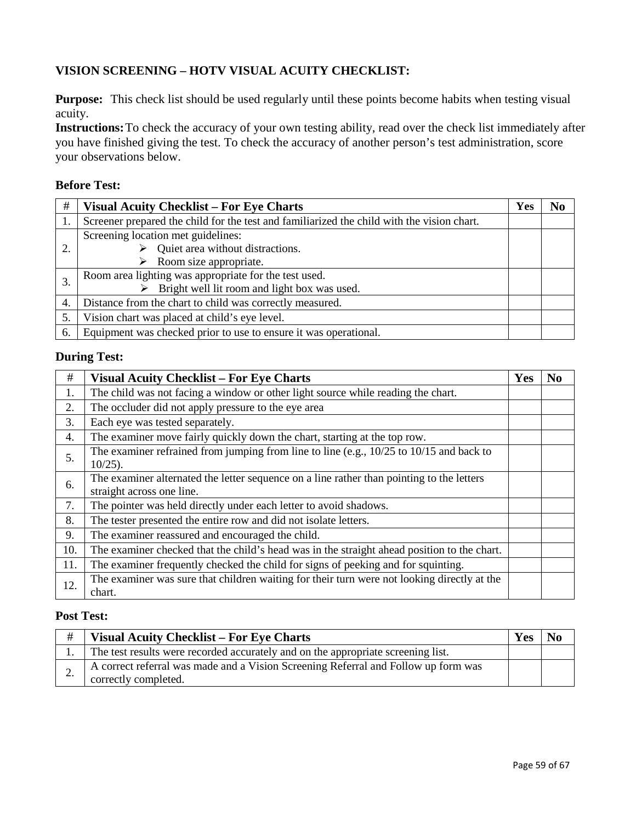# **VISION SCREENING – HOTV VISUAL ACUITY CHECKLIST:**

**Purpose:** This check list should be used regularly until these points become habits when testing visual acuity.

**Instructions:**To check the accuracy of your own testing ability, read over the check list immediately after you have finished giving the test. To check the accuracy of another person's test administration, score your observations below.

## **Before Test:**

| #  | <b>Visual Acuity Checklist – For Eye Charts</b>                                            | Yes |  |
|----|--------------------------------------------------------------------------------------------|-----|--|
|    | Screener prepared the child for the test and familiarized the child with the vision chart. |     |  |
|    | Screening location met guidelines:                                                         |     |  |
|    | Quiet area without distractions.                                                           |     |  |
|    | Room size appropriate.                                                                     |     |  |
| 3. | Room area lighting was appropriate for the test used.                                      |     |  |
|    | Bright well lit room and light box was used.                                               |     |  |
| 4. | Distance from the chart to child was correctly measured.                                   |     |  |
| 5. | Vision chart was placed at child's eye level.                                              |     |  |
| 6. | Equipment was checked prior to use to ensure it was operational.                           |     |  |

#### **During Test:**

| #   | <b>Visual Acuity Checklist - For Eye Charts</b>                                                                        |  |  |  |  |  |  |  |  |  |
|-----|------------------------------------------------------------------------------------------------------------------------|--|--|--|--|--|--|--|--|--|
| 1.  | The child was not facing a window or other light source while reading the chart.                                       |  |  |  |  |  |  |  |  |  |
| 2.  | The occluder did not apply pressure to the eye area                                                                    |  |  |  |  |  |  |  |  |  |
| 3.  | Each eye was tested separately.                                                                                        |  |  |  |  |  |  |  |  |  |
| 4.  | The examiner move fairly quickly down the chart, starting at the top row.                                              |  |  |  |  |  |  |  |  |  |
| 5.  | The examiner refrained from jumping from line to line (e.g., 10/25 to 10/15 and back to<br>$10/25$ ).                  |  |  |  |  |  |  |  |  |  |
| 6.  | The examiner alternated the letter sequence on a line rather than pointing to the letters<br>straight across one line. |  |  |  |  |  |  |  |  |  |
| 7.  | The pointer was held directly under each letter to avoid shadows.                                                      |  |  |  |  |  |  |  |  |  |
| 8.  | The tester presented the entire row and did not isolate letters.                                                       |  |  |  |  |  |  |  |  |  |
| 9.  | The examiner reassured and encouraged the child.                                                                       |  |  |  |  |  |  |  |  |  |
| 10. | The examiner checked that the child's head was in the straight ahead position to the chart.                            |  |  |  |  |  |  |  |  |  |
| 11. | The examiner frequently checked the child for signs of peeking and for squinting.                                      |  |  |  |  |  |  |  |  |  |
| 12. | The examiner was sure that children waiting for their turn were not looking directly at the<br>chart.                  |  |  |  |  |  |  |  |  |  |

## **Post Test:**

| #  | <b>Visual Acuity Checklist – For Eye Charts</b>                                                            | Yes |  |
|----|------------------------------------------------------------------------------------------------------------|-----|--|
|    | The test results were recorded accurately and on the appropriate screening list.                           |     |  |
| ۷, | A correct referral was made and a Vision Screening Referral and Follow up form was<br>correctly completed. |     |  |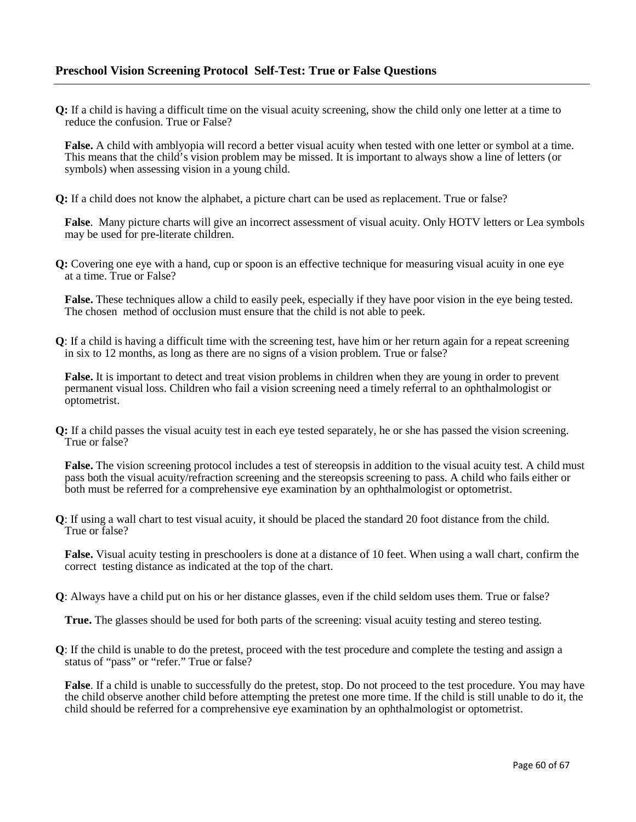**Q:** If a child is having a difficult time on the visual acuity screening, show the child only one letter at a time to reduce the confusion. True or False?

**False.** A child with amblyopia will record a better visual acuity when tested with one letter or symbol at a time. This means that the child's vision problem may be missed. It is important to always show a line of letters (or symbols) when assessing vision in a young child.

**Q:** If a child does not know the alphabet, a picture chart can be used as replacement. True or false?

**False**. Many picture charts will give an incorrect assessment of visual acuity. Only HOTV letters or Lea symbols may be used for pre-literate children.

**Q:** Covering one eye with a hand, cup or spoon is an effective technique for measuring visual acuity in one eye at a time. True or False?

**False.** These techniques allow a child to easily peek, especially if they have poor vision in the eye being tested. The chosen method of occlusion must ensure that the child is not able to peek.

**Q**: If a child is having a difficult time with the screening test, have him or her return again for a repeat screening in six to 12 months, as long as there are no signs of a vision problem. True or false?

**False.** It is important to detect and treat vision problems in children when they are young in order to prevent permanent visual loss. Children who fail a vision screening need a timely referral to an ophthalmologist or optometrist.

**Q:** If a child passes the visual acuity test in each eye tested separately, he or she has passed the vision screening. True or false?

**False.** The vision screening protocol includes a test of stereopsis in addition to the visual acuity test. A child must pass both the visual acuity/refraction screening and the stereopsis screening to pass. A child who fails either or both must be referred for a comprehensive eye examination by an ophthalmologist or optometrist.

**Q**: If using a wall chart to test visual acuity, it should be placed the standard 20 foot distance from the child. True or false?

**False.** Visual acuity testing in preschoolers is done at a distance of 10 feet. When using a wall chart, confirm the correct testing distance as indicated at the top of the chart.

**Q**: Always have a child put on his or her distance glasses, even if the child seldom uses them. True or false?

**True.** The glasses should be used for both parts of the screening: visual acuity testing and stereo testing.

**Q**: If the child is unable to do the pretest, proceed with the test procedure and complete the testing and assign a status of "pass" or "refer." True or false?

**False**. If a child is unable to successfully do the pretest, stop. Do not proceed to the test procedure. You may have the child observe another child before attempting the pretest one more time. If the child is still unable to do it, the child should be referred for a comprehensive eye examination by an ophthalmologist or optometrist.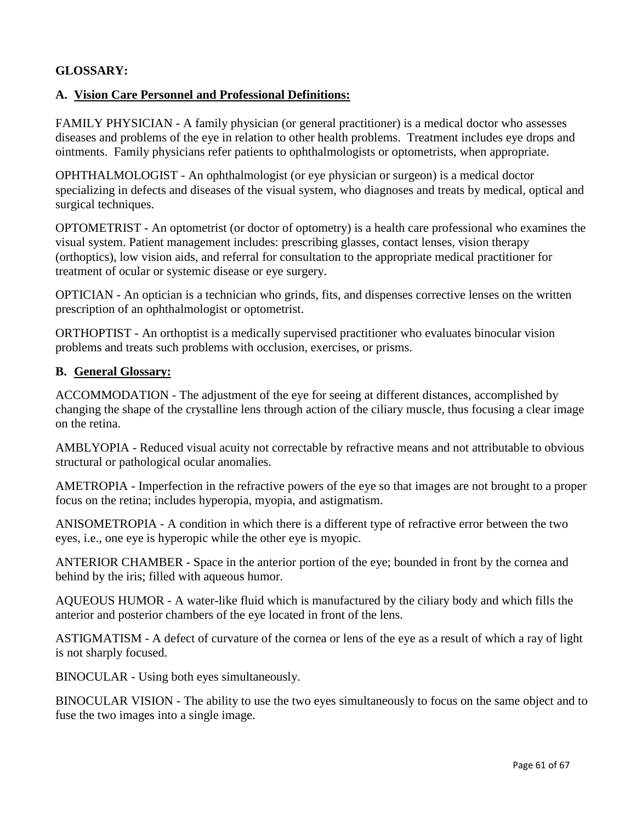## <span id="page-60-0"></span>**GLOSSARY:**

#### <span id="page-60-1"></span>**A. Vision Care Personnel and Professional Definitions:**

FAMILY PHYSICIAN - A family physician (or general practitioner) is a medical doctor who assesses diseases and problems of the eye in relation to other health problems. Treatment includes eye drops and ointments. Family physicians refer patients to ophthalmologists or optometrists, when appropriate.

OPHTHALMOLOGIST - An ophthalmologist (or eye physician or surgeon) is a medical doctor specializing in defects and diseases of the visual system, who diagnoses and treats by medical, optical and surgical techniques.

OPTOMETRIST - An optometrist (or doctor of optometry) is a health care professional who examines the visual system. Patient management includes: prescribing glasses, contact lenses, vision therapy (orthoptics), low vision aids, and referral for consultation to the appropriate medical practitioner for treatment of ocular or systemic disease or eye surgery.

OPTICIAN - An optician is a technician who grinds, fits, and dispenses corrective lenses on the written prescription of an ophthalmologist or optometrist.

ORTHOPTIST - An orthoptist is a medically supervised practitioner who evaluates binocular vision problems and treats such problems with occlusion, exercises, or prisms.

#### <span id="page-60-2"></span>**B. General Glossary:**

ACCOMMODATION - The adjustment of the eye for seeing at different distances, accomplished by changing the shape of the crystalline lens through action of the ciliary muscle, thus focusing a clear image on the retina.

AMBLYOPIA - Reduced visual acuity not correctable by refractive means and not attributable to obvious structural or pathological ocular anomalies.

AMETROPIA - Imperfection in the refractive powers of the eye so that images are not brought to a proper focus on the retina; includes hyperopia, myopia, and astigmatism.

ANISOMETROPIA - A condition in which there is a different type of refractive error between the two eyes, i.e., one eye is hyperopic while the other eye is myopic.

ANTERIOR CHAMBER - Space in the anterior portion of the eye; bounded in front by the cornea and behind by the iris; filled with aqueous humor.

AQUEOUS HUMOR - A water-like fluid which is manufactured by the ciliary body and which fills the anterior and posterior chambers of the eye located in front of the lens.

ASTIGMATISM - A defect of curvature of the cornea or lens of the eye as a result of which a ray of light is not sharply focused.

BINOCULAR - Using both eyes simultaneously.

BINOCULAR VISION - The ability to use the two eyes simultaneously to focus on the same object and to fuse the two images into a single image.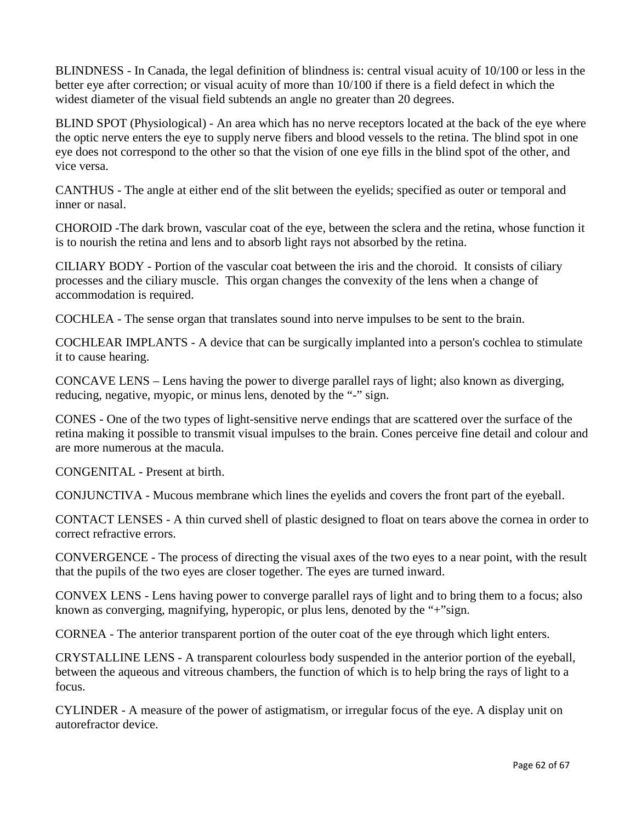BLINDNESS - In Canada, the legal definition of blindness is: central visual acuity of 10/100 or less in the better eye after correction; or visual acuity of more than 10/100 if there is a field defect in which the widest diameter of the visual field subtends an angle no greater than 20 degrees.

BLIND SPOT (Physiological) - An area which has no nerve receptors located at the back of the eye where the optic nerve enters the eye to supply nerve fibers and blood vessels to the retina. The blind spot in one eye does not correspond to the other so that the vision of one eye fills in the blind spot of the other, and vice versa.

CANTHUS - The angle at either end of the slit between the eyelids; specified as outer or temporal and inner or nasal.

CHOROID -The dark brown, vascular coat of the eye, between the sclera and the retina, whose function it is to nourish the retina and lens and to absorb light rays not absorbed by the retina.

CILIARY BODY - Portion of the vascular coat between the iris and the choroid. It consists of ciliary processes and the ciliary muscle. This organ changes the convexity of the lens when a change of accommodation is required.

COCHLEA - The sense organ that translates sound into nerve impulses to be sent to the brain.

COCHLEAR IMPLANTS - A device that can be surgically implanted into a person's [cochlea](http://www.nchearingloss.org/cochlea.htm?fromncshhh) to stimulate it to cause hearing.

CONCAVE LENS – Lens having the power to diverge parallel rays of light; also known as diverging, reducing, negative, myopic, or minus lens, denoted by the "-" sign.

CONES - One of the two types of light-sensitive nerve endings that are scattered over the surface of the retina making it possible to transmit visual impulses to the brain. Cones perceive fine detail and colour and are more numerous at the macula.

CONGENITAL - Present at birth.

CONJUNCTIVA - Mucous membrane which lines the eyelids and covers the front part of the eyeball.

CONTACT LENSES - A thin curved shell of plastic designed to float on tears above the cornea in order to correct refractive errors.

CONVERGENCE - The process of directing the visual axes of the two eyes to a near point, with the result that the pupils of the two eyes are closer together. The eyes are turned inward.

CONVEX LENS - Lens having power to converge parallel rays of light and to bring them to a focus; also known as converging, magnifying, hyperopic, or plus lens, denoted by the "+"sign.

CORNEA - The anterior transparent portion of the outer coat of the eye through which light enters.

CRYSTALLINE LENS - A transparent colourless body suspended in the anterior portion of the eyeball, between the aqueous and vitreous chambers, the function of which is to help bring the rays of light to a focus.

CYLINDER - A measure of the power of astigmatism, or irregular focus of the eye. A display unit on autorefractor device.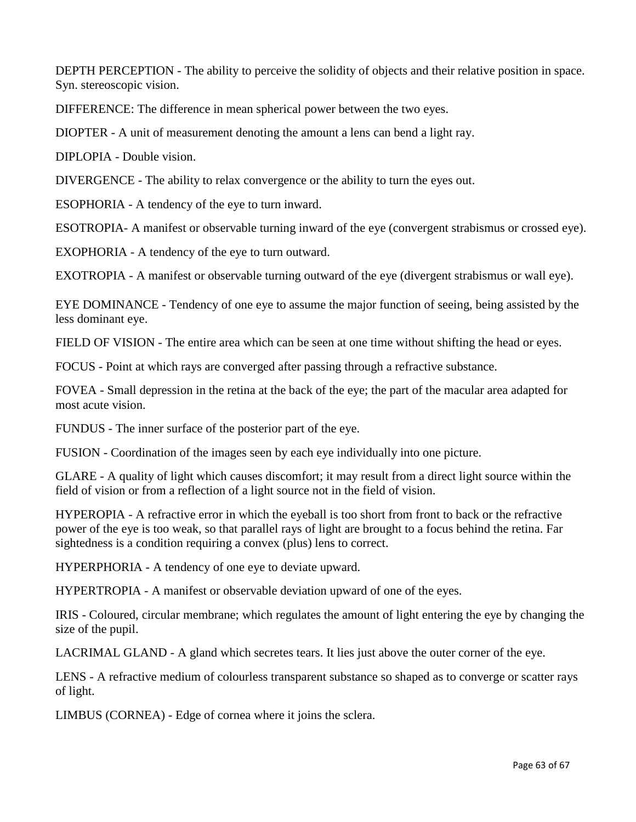DEPTH PERCEPTION - The ability to perceive the solidity of objects and their relative position in space. Syn. stereoscopic vision.

DIFFERENCE: The difference in mean spherical power between the two eyes.

DIOPTER - A unit of measurement denoting the amount a lens can bend a light ray.

DIPLOPIA - Double vision.

DIVERGENCE - The ability to relax convergence or the ability to turn the eyes out.

ESOPHORIA - A tendency of the eye to turn inward.

ESOTROPIA- A manifest or observable turning inward of the eye (convergent strabismus or crossed eye).

EXOPHORIA - A tendency of the eye to turn outward.

EXOTROPIA - A manifest or observable turning outward of the eye (divergent strabismus or wall eye).

EYE DOMINANCE - Tendency of one eye to assume the major function of seeing, being assisted by the less dominant eye.

FIELD OF VISION - The entire area which can be seen at one time without shifting the head or eyes.

FOCUS - Point at which rays are converged after passing through a refractive substance.

FOVEA - Small depression in the retina at the back of the eye; the part of the macular area adapted for most acute vision.

FUNDUS - The inner surface of the posterior part of the eye.

FUSION - Coordination of the images seen by each eye individually into one picture.

GLARE - A quality of light which causes discomfort; it may result from a direct light source within the field of vision or from a reflection of a light source not in the field of vision.

HYPEROPIA - A refractive error in which the eyeball is too short from front to back or the refractive power of the eye is too weak, so that parallel rays of light are brought to a focus behind the retina. Far sightedness is a condition requiring a convex (plus) lens to correct.

HYPERPHORIA - A tendency of one eye to deviate upward.

HYPERTROPIA - A manifest or observable deviation upward of one of the eyes.

IRIS - Coloured, circular membrane; which regulates the amount of light entering the eye by changing the size of the pupil.

LACRIMAL GLAND - A gland which secretes tears. It lies just above the outer corner of the eye.

LENS - A refractive medium of colourless transparent substance so shaped as to converge or scatter rays of light.

LIMBUS (CORNEA) - Edge of cornea where it joins the sclera.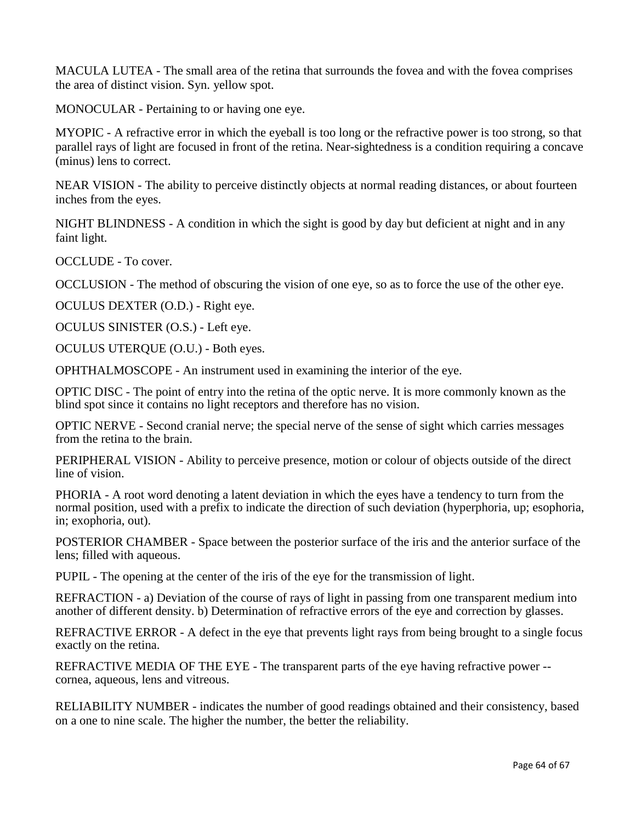MACULA LUTEA - The small area of the retina that surrounds the fovea and with the fovea comprises the area of distinct vision. Syn. yellow spot.

MONOCULAR - Pertaining to or having one eye.

MYOPIC - A refractive error in which the eyeball is too long or the refractive power is too strong, so that parallel rays of light are focused in front of the retina. Near-sightedness is a condition requiring a concave (minus) lens to correct.

NEAR VISION - The ability to perceive distinctly objects at normal reading distances, or about fourteen inches from the eyes.

NIGHT BLINDNESS - A condition in which the sight is good by day but deficient at night and in any faint light.

OCCLUDE - To cover.

OCCLUSION - The method of obscuring the vision of one eye, so as to force the use of the other eye.

OCULUS DEXTER (O.D.) - Right eye.

OCULUS SINISTER (O.S.) - Left eye.

OCULUS UTERQUE (O.U.) - Both eyes.

OPHTHALMOSCOPE - An instrument used in examining the interior of the eye.

OPTIC DISC - The point of entry into the retina of the optic nerve. It is more commonly known as the blind spot since it contains no light receptors and therefore has no vision.

OPTIC NERVE - Second cranial nerve; the special nerve of the sense of sight which carries messages from the retina to the brain.

PERIPHERAL VISION - Ability to perceive presence, motion or colour of objects outside of the direct line of vision.

PHORIA - A root word denoting a latent deviation in which the eyes have a tendency to turn from the normal position, used with a prefix to indicate the direction of such deviation (hyperphoria, up; esophoria, in; exophoria, out).

POSTERIOR CHAMBER - Space between the posterior surface of the iris and the anterior surface of the lens; filled with aqueous.

PUPIL - The opening at the center of the iris of the eye for the transmission of light.

REFRACTION - a) Deviation of the course of rays of light in passing from one transparent medium into another of different density. b) Determination of refractive errors of the eye and correction by glasses.

REFRACTIVE ERROR - A defect in the eye that prevents light rays from being brought to a single focus exactly on the retina.

REFRACTIVE MEDIA OF THE EYE - The transparent parts of the eye having refractive power - cornea, aqueous, lens and vitreous.

RELIABILITY NUMBER - indicates the number of good readings obtained and their consistency, based on a one to nine scale. The higher the number, the better the reliability.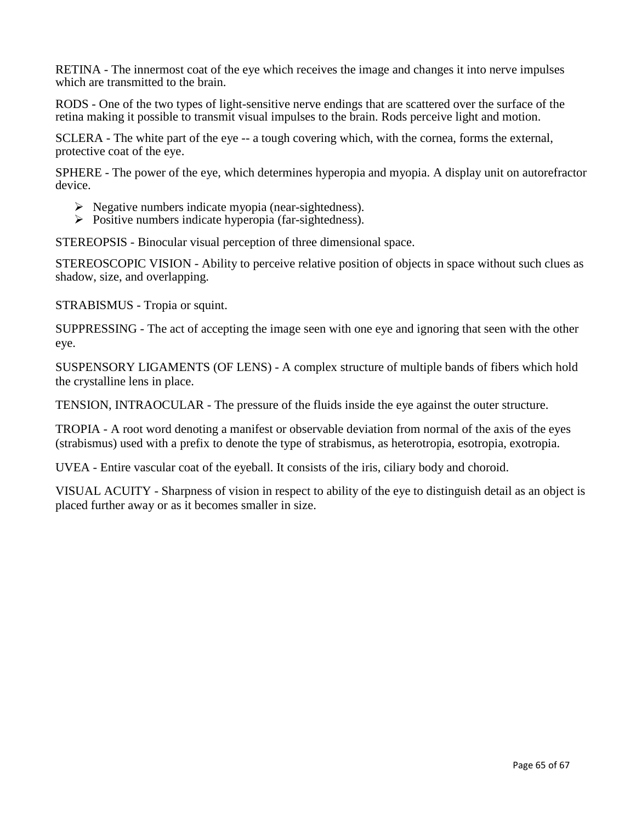RETINA - The innermost coat of the eye which receives the image and changes it into nerve impulses which are transmitted to the brain.

RODS - One of the two types of light-sensitive nerve endings that are scattered over the surface of the retina making it possible to transmit visual impulses to the brain. Rods perceive light and motion.

SCLERA - The white part of the eye -- a tough covering which, with the cornea, forms the external, protective coat of the eye.

SPHERE - The power of the eye, which determines hyperopia and myopia. A display unit on autorefractor device.

- $\triangleright$  Negative numbers indicate myopia (near-sightedness).
- $\triangleright$  Positive numbers indicate hyperopia (far-sightedness).

STEREOPSIS - Binocular visual perception of three dimensional space.

STEREOSCOPIC VISION - Ability to perceive relative position of objects in space without such clues as shadow, size, and overlapping.

STRABISMUS - Tropia or squint.

SUPPRESSING - The act of accepting the image seen with one eye and ignoring that seen with the other eye.

SUSPENSORY LIGAMENTS (OF LENS) - A complex structure of multiple bands of fibers which hold the crystalline lens in place.

TENSION, INTRAOCULAR - The pressure of the fluids inside the eye against the outer structure.

TROPIA - A root word denoting a manifest or observable deviation from normal of the axis of the eyes (strabismus) used with a prefix to denote the type of strabismus, as heterotropia, esotropia, exotropia.

UVEA - Entire vascular coat of the eyeball. It consists of the iris, ciliary body and choroid.

VISUAL ACUITY - Sharpness of vision in respect to ability of the eye to distinguish detail as an object is placed further away or as it becomes smaller in size.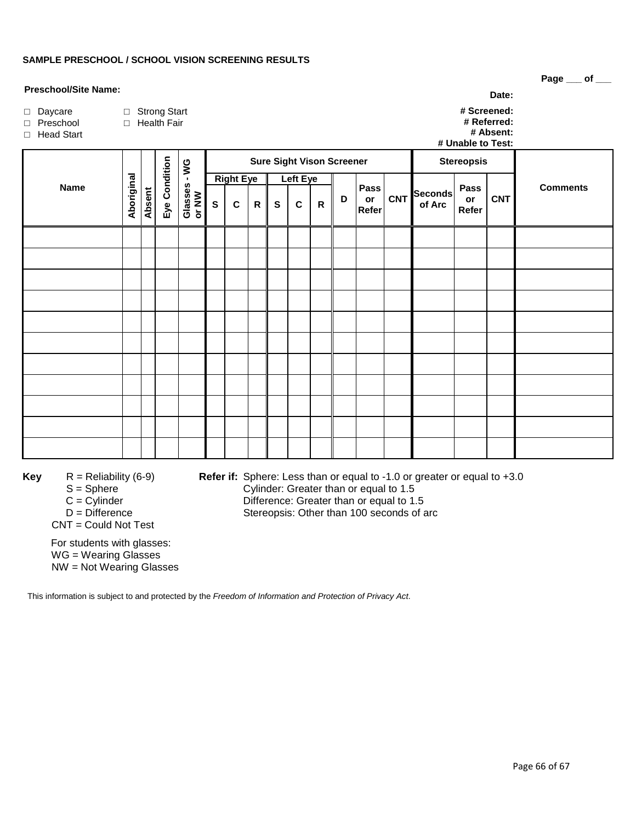#### **SAMPLE PRESCHOOL / SCHOOL VISION SCREENING RESULTS**

| . ~ჟ~ ___ ~: ___                                                          |            |               |               |                       |                                  |                                                              |           |           |             |              |   |                     |                   |                       |                            |            |                 |  |
|---------------------------------------------------------------------------|------------|---------------|---------------|-----------------------|----------------------------------|--------------------------------------------------------------|-----------|-----------|-------------|--------------|---|---------------------|-------------------|-----------------------|----------------------------|------------|-----------------|--|
| <b>Preschool/Site Name:</b><br>Date:                                      |            |               |               |                       |                                  |                                                              |           |           |             |              |   |                     |                   |                       |                            |            |                 |  |
| □ Strong Start<br>Daycare<br>□ Health Fair<br>□ Preschool<br>□ Head Start |            |               |               |                       |                                  | # Screened:<br># Referred:<br># Absent:<br># Unable to Test: |           |           |             |              |   |                     |                   |                       |                            |            |                 |  |
|                                                                           |            |               |               |                       | <b>Sure Sight Vison Screener</b> |                                                              |           |           |             |              |   |                     | <b>Stereopsis</b> |                       |                            |            |                 |  |
|                                                                           |            |               |               | Glasses - WG<br>or NW |                                  | <b>Right Eye</b>                                             |           |           | Left Eye    |              |   |                     |                   |                       |                            |            |                 |  |
| <b>Name</b>                                                               | Aboriginal | <b>Absent</b> | Eye Condition |                       | $\mathbf{s}$                     | $\mathbf c$                                                  | ${\sf R}$ | ${\bf s}$ | $\mathbf c$ | $\mathsf{R}$ | D | Pass<br>or<br>Refer |                   | CNT Seconds<br>of Arc | <b>Pass</b><br>or<br>Refer | <b>CNT</b> | <b>Comments</b> |  |
|                                                                           |            |               |               |                       |                                  |                                                              |           |           |             |              |   |                     |                   |                       |                            |            |                 |  |
|                                                                           |            |               |               |                       |                                  |                                                              |           |           |             |              |   |                     |                   |                       |                            |            |                 |  |
|                                                                           |            |               |               |                       |                                  |                                                              |           |           |             |              |   |                     |                   |                       |                            |            |                 |  |
|                                                                           |            |               |               |                       |                                  |                                                              |           |           |             |              |   |                     |                   |                       |                            |            |                 |  |
|                                                                           |            |               |               |                       |                                  |                                                              |           |           |             |              |   |                     |                   |                       |                            |            |                 |  |
|                                                                           |            |               |               |                       |                                  |                                                              |           |           |             |              |   |                     |                   |                       |                            |            |                 |  |
|                                                                           |            |               |               |                       |                                  |                                                              |           |           |             |              |   |                     |                   |                       |                            |            |                 |  |
|                                                                           |            |               |               |                       |                                  |                                                              |           |           |             |              |   |                     |                   |                       |                            |            |                 |  |
|                                                                           |            |               |               |                       |                                  |                                                              |           |           |             |              |   |                     |                   |                       |                            |            |                 |  |
|                                                                           |            |               |               |                       |                                  |                                                              |           |           |             |              |   |                     |                   |                       |                            |            |                 |  |
|                                                                           |            |               |               |                       |                                  |                                                              |           |           |             |              |   |                     |                   |                       |                            |            |                 |  |

Stereopsis: Other than 100 seconds of arc

**Key** R = Reliability (6-9) **Refer if:** Sphere: Less than or equal to -1.0 or greater or equal to +3.0<br>S = Sphere **Refericial Collective**: Greater than or equal to 1.5

 $S = Sphere$ <br>  $C = Cylinder$   $C = Cylinder$   $Difference: Greater than or equal to 1.5$   $Difference: Greater than or equal to 1.5$ 

- $C = C$ ylinder Difference: Greater than or equal to 1.5<br>D = Difference Stereopsis: Other than 100 seconds of a
- 
- CNT = Could Not Test

For students with glasses:

WG = Wearing Glasses

NW = Not Wearing Glasses

This information is subject to and protected by the *Freedom of Information and Protection of Privacy Act*.

Page 66 of 67

Page of